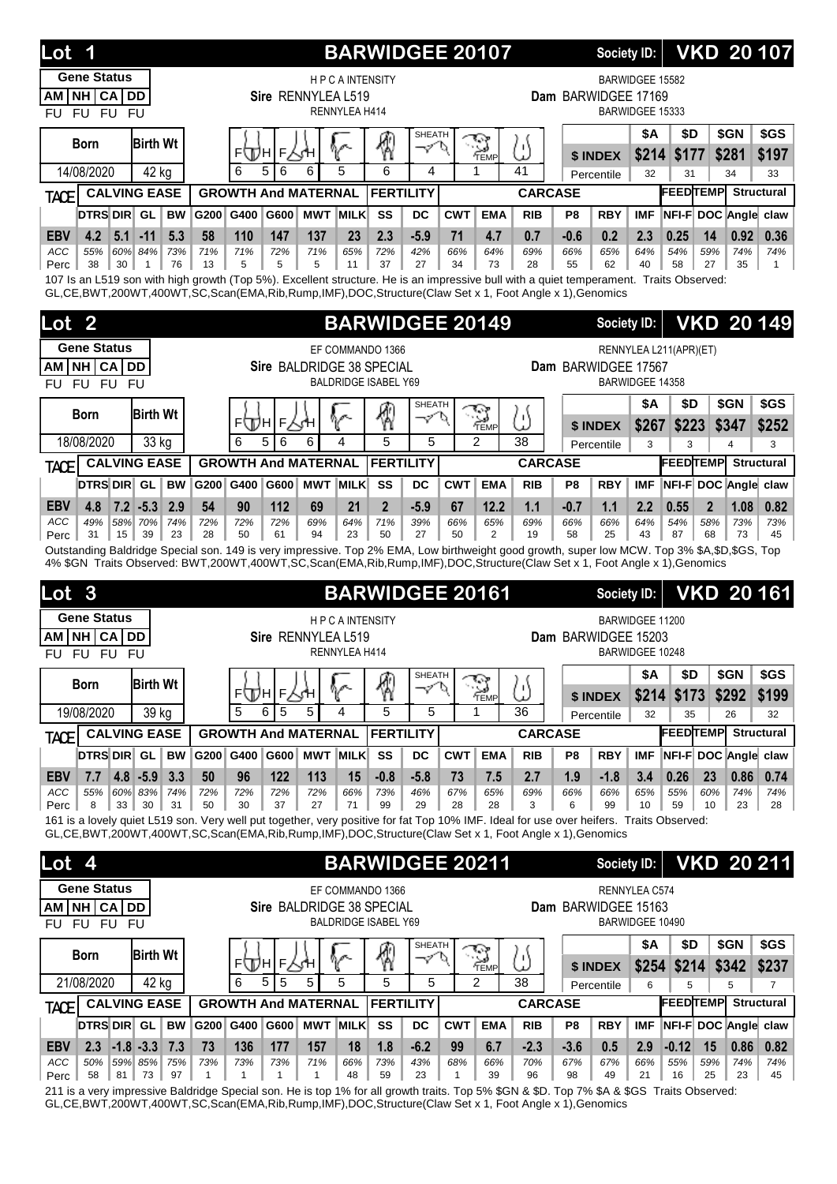| Lot<br>1                                                                                                                                                                                                                                        |                                     |                            |                           |                                       | <b>BARWIDGEE 20107</b>                     |                                             |            |                                          |                   |                          | Society ID:            |                                    |                        |                |                | <b>VKD 20107</b>             |
|-------------------------------------------------------------------------------------------------------------------------------------------------------------------------------------------------------------------------------------------------|-------------------------------------|----------------------------|---------------------------|---------------------------------------|--------------------------------------------|---------------------------------------------|------------|------------------------------------------|-------------------|--------------------------|------------------------|------------------------------------|------------------------|----------------|----------------|------------------------------|
| <b>Gene Status</b><br>NH CA DD<br><b>AM</b><br>FU FU FU<br><b>FU</b>                                                                                                                                                                            |                                     |                            | Sire RENNYLEA L519        | <b>HPCAINTENSITY</b><br>RENNYLEA H414 |                                            |                                             |            |                                          |                   | Dam BARWIDGEE 17169      |                        | BARWIDGEE 15582<br>BARWIDGEE 15333 |                        |                |                |                              |
| <b>Birth Wt</b><br><b>Born</b>                                                                                                                                                                                                                  |                                     | ⊧∖Дн                       | F人∕H                      |                                       |                                            | <b>SHEATH</b><br>マ                          |            |                                          | ω                 |                          |                        | <b>\$A</b>                         | \$D                    |                | \$GN           | \$GS                         |
| 14/08/2020                                                                                                                                                                                                                                      | 42 kg                               | 5<br>6<br>6                | 6                         | 5                                     | 6                                          | 4                                           |            | TEMP<br>1                                | 41                |                          | \$ INDEX<br>Percentile | \$214<br>32                        | \$177<br>31            |                | \$281<br>34    | \$197<br>33                  |
| <b>CALVING EASE</b><br><b>TACE</b>                                                                                                                                                                                                              |                                     | <b>GROWTH And MATERNAL</b> |                           |                                       | <b>FERTILITY</b>                           |                                             |            |                                          | <b>CARCASE</b>    |                          |                        |                                    | <b>FEEDTEMP</b>        |                |                | <b>Structural</b>            |
| DTRS DIR GL                                                                                                                                                                                                                                     | <b>BW</b><br>G200 G400              | G600                       | <b>MWT MILK</b>           |                                       | SS                                         | DC                                          | <b>CWT</b> | <b>EMA</b>                               | <b>RIB</b>        | P <sub>8</sub>           | <b>RBY</b>             | <b>IMF</b>                         |                        |                |                | NFI-F DOC Angle claw         |
| $-11$<br><b>EBV</b><br>4.2<br>5.1<br>ACC<br>55%<br>60% 84%                                                                                                                                                                                      | 5.3<br>58<br>73%<br>71%             | 110<br>147<br>71%<br>72%   | 137<br>71%                | 23<br>65%                             | 2.3<br>72%                                 | $-5.9$<br>42%                               | 71<br>66%  | 4.7<br>64%                               | 0.7<br>69%        | $-0.6$<br>66%            | 0.2<br>65%             | 2.3<br>64%                         | 0.25<br>54%            | 14<br>59%      | 0.92<br>74%    | 0.36<br>74%                  |
| 38<br>30<br>Perc<br>$\mathbf{1}$                                                                                                                                                                                                                | 76<br>13                            | 5<br>5                     | 5                         | 11                                    | 37                                         | 27                                          | 34         | 73                                       | 28                | 55                       | 62                     | 40                                 | 58                     | 27             | 35             | 1                            |
| 107 Is an L519 son with high growth (Top 5%). Excellent structure. He is an impressive bull with a quiet temperament. Traits Observed:<br>GL,CE,BWT,200WT,400WT,SC,Scan(EMA,Rib,Rump,IMF),DOC,Structure(Claw Set x 1, Foot Angle x 1),Genomics  |                                     |                            |                           |                                       |                                            |                                             |            |                                          |                   |                          |                        |                                    |                        |                |                |                              |
| $\overline{2}$<br>Lot                                                                                                                                                                                                                           |                                     |                            |                           |                                       | <b>BARWIDGEE 20149</b>                     |                                             |            |                                          |                   |                          | <b>Society ID:</b>     |                                    |                        |                |                | <b>VKD 20149</b>             |
| <b>Gene Status</b>                                                                                                                                                                                                                              |                                     |                            |                           |                                       | EF COMMANDO 1366                           |                                             |            |                                          |                   |                          |                        |                                    | RENNYLEA L211(APR)(ET) |                |                |                              |
| NH CA DD<br>AM<br>FU FU FU<br><b>FU</b>                                                                                                                                                                                                         |                                     |                            | Sire BALDRIDGE 38 SPECIAL |                                       | <b>BALDRIDGE ISABEL Y69</b>                |                                             |            |                                          |                   | Dam BARWIDGEE 17567      |                        | BARWIDGEE 14358                    |                        |                |                |                              |
|                                                                                                                                                                                                                                                 |                                     |                            |                           |                                       |                                            | <b>SHEATH</b>                               |            | 54                                       |                   |                          |                        | <b>\$A</b>                         | \$D                    |                | \$GN           | \$GS                         |
| <b>Birth Wt</b><br><b>Born</b>                                                                                                                                                                                                                  |                                     | F<br>FШH                   |                           |                                       | ⊛                                          | マ                                           |            | TEMP                                     | ω                 |                          | \$ INDEX               | \$267                              | \$223                  |                | \$347          | \$252                        |
| 18/08/2020                                                                                                                                                                                                                                      | 33 kg                               | 5<br>6<br>6                | 6                         | 4                                     | 5                                          | 5                                           |            | $\overline{2}$                           | 38                |                          | Percentile             | 3                                  | 3                      |                | $\overline{4}$ | 3                            |
| <b>CALVING EASE</b><br><b>TACE</b><br><b>DTRS DIR GL</b>                                                                                                                                                                                        |                                     | <b>GROWTH And MATERNAL</b> |                           |                                       | <b>FERTILITY</b>                           |                                             | <b>CWT</b> |                                          | <b>CARCASE</b>    |                          |                        |                                    | <b>FEEDTEMP</b>        |                |                | Structural                   |
| <b>EBV</b><br>$7.2$ -5.3<br>4.8                                                                                                                                                                                                                 | <b>BW</b><br>G200 G400<br>2.9<br>54 | 90<br>112                  | G600 MWT MILK<br>69       | 21                                    | SS<br>$\overline{2}$                       | DC<br>$-5.9$                                | 67         | <b>EMA</b><br>12.2                       | <b>RIB</b><br>1.1 | P <sub>8</sub><br>$-0.7$ | <b>RBY</b><br>1.1      | <b>IMF</b><br>2.2                  | 0.55                   | $\overline{2}$ | 1.08           | NFI-F DOC Angle claw<br>0.82 |
| 58% 70%<br>ACC<br>49%                                                                                                                                                                                                                           | 74%<br>72%                          | 72%<br>72%                 | 69%                       | 64%                                   | 71%                                        | 39%                                         | 66%        | 65%                                      | 69%               | 66%                      | 66%                    | 64%                                | 54%                    | 58%            | 73%            | 73%                          |
| 15<br>39<br>31<br>Perc<br>Outstanding Baldridge Special son. 149 is very impressive. Top 2% EMA, Low birthweight good growth, super low MCW. Top 3% \$A,\$D,\$GS, Top                                                                           | 23<br>28                            | 50<br>61                   | 94                        | 23                                    | 50                                         | 27                                          | 50         | 2                                        | 19                | 58                       | 25                     | 43                                 | 87                     | 68             | 73             | 45                           |
|                                                                                                                                                                                                                                                 |                                     |                            |                           |                                       |                                            |                                             |            |                                          |                   |                          |                        |                                    |                        |                |                |                              |
| 4% \$GN Traits Observed: BWT,200WT,400WT,SC,Scan(EMA,Rib,Rump,IMF),DOC,Structure(Claw Set x 1, Foot Angle x 1),Genomics                                                                                                                         |                                     |                            |                           |                                       |                                            |                                             |            |                                          |                   |                          |                        |                                    |                        |                |                |                              |
| Lot<br>$\mathbf{3}$                                                                                                                                                                                                                             |                                     |                            |                           |                                       | <b>BARWIDGEE 20161</b>                     |                                             |            |                                          |                   |                          | <b>Society ID:</b>     |                                    |                        |                |                | <b>VKD 20161</b>             |
| <b>Gene Status</b>                                                                                                                                                                                                                              |                                     |                            |                           | <b>HPCAINTENSITY</b>                  |                                            |                                             |            |                                          |                   |                          |                        | BARWIDGEE 11200                    |                        |                |                |                              |
| NH CA DD<br>AM I                                                                                                                                                                                                                                |                                     |                            | Sire RENNYLEA L519        |                                       |                                            |                                             |            |                                          |                   | Dam BARWIDGEE 15203      |                        |                                    |                        |                |                |                              |
| FU FU FU<br>FU.                                                                                                                                                                                                                                 |                                     |                            |                           | RENNYLEA H414                         |                                            | <b>SHEATH</b>                               |            |                                          |                   |                          |                        | BARWIDGEE 10248                    |                        |                | SGN            |                              |
| <b>Birth Wt</b><br><b>Born</b>                                                                                                                                                                                                                  |                                     | ⊧Д∖н∣⊧∑үн                  |                           | ∿                                     | ⊗                                          | へん                                          |            |                                          | ₩                 |                          | \$ INDEX               | \$A<br>\$214                       | \$D<br>\$173           |                | \$292          | \$GS<br>\$199                |
| 19/08/2020                                                                                                                                                                                                                                      | 39 kg                               | 5<br>6<br>5                | 5                         | 4                                     | 5                                          | 5                                           |            | $\sum_{\text{TEMP}}$<br>1                | 36                |                          | Percentile             | 32                                 | 35                     |                | 26             | 32                           |
| <b>CALVING EASE</b><br><b>TACE</b>                                                                                                                                                                                                              |                                     | <b>GROWTH And MATERNAL</b> |                           |                                       | <b>FERTILITY</b>                           |                                             |            |                                          | <b>CARCASE</b>    |                          |                        |                                    | <b>FEEDTEMP</b>        |                |                | <b>Structural</b>            |
| <b>DTRS DIR</b> GL                                                                                                                                                                                                                              | G200 G400<br><b>BW</b>              |                            | G600 MWT MILK             |                                       | SS                                         | DC                                          | <b>CWT</b> | <b>EMA</b>                               | <b>RIB</b>        | P8                       | <b>RBY</b>             | <b>IMF</b>                         |                        |                |                | NFI-F DOC Angle claw         |
| $4.8 - 5.9$<br><b>EBV</b><br>7.7<br>ACC<br>55%<br>60% 83%                                                                                                                                                                                       | 3.3<br>50<br>74%<br>72%             | 96<br>122<br>72%<br>72%    | 113<br>72%                | 15<br>66%                             | $-0.8$<br>73%                              | $-5.8$<br>46%                               | 73<br>67%  | 7.5<br>65%                               | 2.7<br>69%        | 1.9<br>66%               | $-1.8$<br>66%          | 3.4<br>65%                         | 0.26<br>55%            | 23<br>60%      | 0.86<br>74%    | 0.74<br>74%                  |
| 8<br>33<br>30<br>Perc                                                                                                                                                                                                                           | 31<br>50                            | 30<br>37                   | 27                        | 71                                    | 99                                         | 29                                          | 28         | 28                                       | 3                 | 6                        | 99                     | 10                                 | 59                     | 10             | 23             | 28                           |
| 161 is a lovely quiet L519 son. Very well put together, very positive for fat Top 10% IMF. Ideal for use over heifers. Traits Observed:<br>GL,CE,BWT,200WT,400WT,SC,Scan(EMA,Rib,Rump,IMF),DOC,Structure(Claw Set x 1, Foot Angle x 1),Genomics |                                     |                            |                           |                                       |                                            |                                             |            |                                          |                   |                          |                        |                                    |                        |                |                |                              |
| Lot 4                                                                                                                                                                                                                                           |                                     |                            |                           |                                       |                                            |                                             |            |                                          |                   |                          | Society ID:            |                                    |                        |                |                | <b>VKD 20 211</b>            |
| <b>Gene Status</b>                                                                                                                                                                                                                              |                                     |                            |                           |                                       | <b>BARWIDGEE 20211</b><br>EF COMMANDO 1366 |                                             |            |                                          |                   |                          |                        | RENNYLEA C574                      |                        |                |                |                              |
| AM NH CA DD                                                                                                                                                                                                                                     |                                     |                            | Sire BALDRIDGE 38 SPECIAL |                                       |                                            |                                             |            |                                          |                   | Dam BARWIDGEE 15163      |                        |                                    |                        |                |                |                              |
| FU FU FU<br>FU                                                                                                                                                                                                                                  |                                     |                            |                           |                                       | <b>BALDRIDGE ISABEL Y69</b>                |                                             |            |                                          |                   |                          |                        | BARWIDGEE 10490                    |                        |                |                |                              |
| <b>Birth Wt</b><br><b>Born</b>                                                                                                                                                                                                                  |                                     |                            |                           | ∾                                     |                                            | <b>SHEATH</b><br>$\boldsymbol{\mathcal{I}}$ | .a         |                                          | /۱                |                          |                        | \$Α                                | \$D                    |                | \$GN           | \$GS                         |
| 21/08/2020                                                                                                                                                                                                                                      | 42 kg                               | ⊧⊕н∣⊧∖√н<br>6<br>5<br>5    | 5                         | 5                                     | 4<br>5                                     | 5                                           |            | $\frac{1}{\frac{1}{2}}$<br>$\mathcal{P}$ | 38                |                          | \$ INDEX<br>Percentile | \$254<br>6                         | \$214<br>5             |                | \$342<br>5     | \$237<br>7                   |
| <b>CALVING EASE</b><br><b>TACE</b>                                                                                                                                                                                                              |                                     | <b>GROWTH And MATERNAL</b> |                           |                                       | <b>FERTILITY</b>                           |                                             |            |                                          | <b>CARCASE</b>    |                          |                        |                                    | <b>FEEDTEMP</b>        |                |                | <b>Structural</b>            |
| DTRS DIR GL                                                                                                                                                                                                                                     | <b>BW</b><br>G200 G400              |                            | G600 MWT MILK             |                                       | SS                                         | DC                                          | <b>CWT</b> | <b>EMA</b>                               | <b>RIB</b>        | P8                       | <b>RBY</b>             | <b>IMF</b>                         |                        |                |                | NFI-F DOC Angle claw         |
| $-1.8 - 3.3$<br><b>EBV</b><br>2.3<br>ACC<br>50%<br>59% 85%                                                                                                                                                                                      | 7.3<br>73<br>73%<br>75%             | 136<br>177<br>73%<br>73%   | 157<br>71%                | 18<br>66%                             | 1.8<br>73%                                 | $-6.2$<br>43%                               | 99<br>68%  | 6.7<br>66%                               | $-2.3$<br>70%     | $-3.6$<br>67%            | 0.5<br>67%             | 2.9<br>66%                         | $-0.12$<br>55%         | 15<br>59%      | 0.86<br>74%    | 0.82<br>74%                  |

211 is a very impressive Baldridge Special son. He is top 1% for all growth traits. Top 5% \$GN & \$D. Top 7% \$A & \$GS Traits Observed: GL,CE,BWT,200WT,400WT,SC,Scan(EMA,Rib,Rump,IMF),DOC,Structure(Claw Set x 1, Foot Angle x 1),Genomics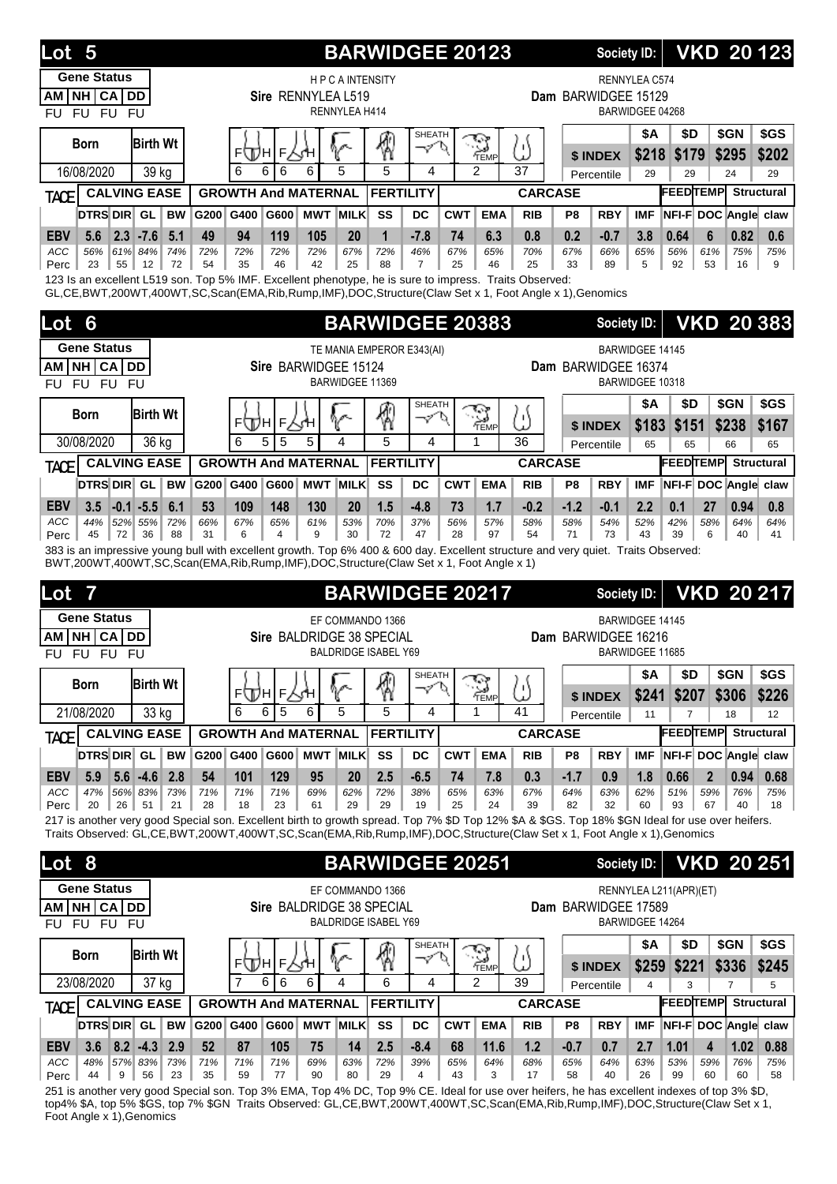| Lot<br>5                                                                                                                                                                                                                                                                 |                                        |           |                     |                            |                      | <b>BARWIDGEE 20123</b>      |                    |            |                    |                |                     | <b>Society ID:</b> |                        |                        |                     | <b>VKD 20123</b>           |
|--------------------------------------------------------------------------------------------------------------------------------------------------------------------------------------------------------------------------------------------------------------------------|----------------------------------------|-----------|---------------------|----------------------------|----------------------|-----------------------------|--------------------|------------|--------------------|----------------|---------------------|--------------------|------------------------|------------------------|---------------------|----------------------------|
| <b>Gene Status</b>                                                                                                                                                                                                                                                       |                                        |           |                     |                            | <b>HPCAINTENSITY</b> |                             |                    |            |                    |                |                     |                    | RENNYLEA C574          |                        |                     |                            |
| NH CA DD<br>AM<br>FU FU FU<br><b>FU</b>                                                                                                                                                                                                                                  |                                        |           |                     | Sire RENNYLEA L519         | RENNYLEA H414        |                             |                    |            |                    |                | Dam BARWIDGEE 15129 |                    | BARWIDGEE 04268        |                        |                     |                            |
| <b>Born</b>                                                                                                                                                                                                                                                              | <b>Birth Wt</b>                        |           | ⊾Щы                 | F∕√H                       |                      |                             | <b>SHEATH</b><br>マ |            | $\sim$<br>TEMP     | /۱             |                     | \$ INDEX           | <b>\$A</b><br>\$218    | \$D<br>\$179           | \$GN<br>\$295       | \$GS<br>\$202              |
| 16/08/2020                                                                                                                                                                                                                                                               | 39 kg                                  |           | 6<br>6              | 6<br>6                     | 5                    | 5                           | 4                  |            | $\overline{2}$     | 37             |                     | Percentile         | 29                     | 29                     | 24                  | 29                         |
| <b>TACE</b>                                                                                                                                                                                                                                                              | <b>CALVING EASE</b>                    |           |                     | <b>GROWTH And MATERNAL</b> |                      | <b>FERTILITY</b>            |                    |            |                    | <b>CARCASE</b> |                     |                    |                        | <b>FEEDTEMP</b>        |                     | <b>Structural</b>          |
| <b>DTRS DIR</b> GL                                                                                                                                                                                                                                                       | BW                                     | G200      | G400                | G600 MWT MILK              |                      | SS                          | DC                 | <b>CWT</b> | <b>EMA</b>         | <b>RIB</b>     | P8                  | <b>RBY</b>         | <b>IMF</b>             |                        |                     | NFI-F DOC Angle claw       |
| <b>EBV</b><br>5.6                                                                                                                                                                                                                                                        | $2.3 - 7.6$<br>5.1                     | 49        | 94                  | 119<br>105                 | 20                   | 1                           | $-7.8$             | 74         | 6.3                | 0.8            | 0.2                 | $-0.7$             | 3.8                    | 0.64                   | 6                   | 0.82<br>0.6                |
| ACC<br>56%<br>23<br>55<br>Perc                                                                                                                                                                                                                                           | 61% 84%<br>74%<br>12<br>72             | 72%<br>54 | 72%<br>35           | 72%<br>72%<br>46<br>42     | 67%<br>25            | 72%<br>88                   | 46%<br>7           | 67%<br>25  | 65%<br>46          | 70%<br>25      | 67%<br>33           | 66%<br>89          | 65%<br>5               | 56%<br>92              | 61%<br>53           | 75%<br>75%<br>16<br>9      |
| 123 Is an excellent L519 son. Top 5% IMF. Excellent phenotype, he is sure to impress. Traits Observed:<br>GL,CE,BWT,200WT,400WT,SC,Scan(EMA,Rib,Rump,IMF),DOC,Structure(Claw Set x 1, Foot Angle x 1),Genomics                                                           |                                        |           |                     |                            |                      |                             |                    |            |                    |                |                     |                    |                        |                        |                     |                            |
| Lot<br>6                                                                                                                                                                                                                                                                 |                                        |           |                     |                            |                      | <b>BARWIDGEE 20383</b>      |                    |            |                    |                |                     | Society ID:        |                        |                        |                     | <b>VKD 20383</b>           |
| <b>Gene Status</b>                                                                                                                                                                                                                                                       |                                        |           |                     |                            |                      | TE MANIA EMPEROR E343(AI)   |                    |            |                    |                |                     |                    | <b>BARWIDGEE 14145</b> |                        |                     |                            |
| NH CA DD<br>AM                                                                                                                                                                                                                                                           |                                        |           |                     | Sire BARWIDGEE 15124       |                      |                             |                    |            |                    |                | Dam BARWIDGEE 16374 |                    |                        |                        |                     |                            |
| FU FU FU<br><b>FU</b>                                                                                                                                                                                                                                                    |                                        |           |                     |                            | BARWIDGEE 11369      |                             |                    |            |                    |                |                     |                    | BARWIDGEE 10318        |                        |                     |                            |
| <b>Born</b>                                                                                                                                                                                                                                                              | <b>Birth Wt</b>                        |           |                     |                            |                      |                             | <b>SHEATH</b><br>マ |            |                    |                |                     |                    | <b>\$A</b>             | \$D                    | \$GN                | \$GS                       |
| 30/08/2020                                                                                                                                                                                                                                                               | 36 kg                                  |           | FЩH<br>5<br>6       | F<br>5<br>5                | 4                    | 5                           | 4                  |            | TEMP               | ω<br>36        |                     | \$ INDEX           | \$183                  | \$151                  | \$238               | \$167                      |
|                                                                                                                                                                                                                                                                          | <b>CALVING EASE</b>                    |           |                     | <b>GROWTH And MATERNAL</b> |                      | <b>FERTILITY</b>            |                    |            |                    | <b>CARCASE</b> |                     | Percentile         | 65                     | 65<br><b>FEEDTEMP</b>  | 66                  | 65<br>Structural           |
| <b>TACE</b><br>DTRS DIR GL                                                                                                                                                                                                                                               | <b>BW</b>                              | G200 G400 |                     | G600<br><b>MWT MILK</b>    |                      | SS                          | DC                 | <b>CWT</b> | <b>EMA</b>         | <b>RIB</b>     | P8                  | <b>RBY</b>         | <b>IMF</b>             |                        |                     | NFI-F DOC Angle claw       |
|                                                                                                                                                                                                                                                                          |                                        | 53        |                     | 148<br>130                 | 20                   | 1.5                         |                    | 73         | 1.7                | $-0.2$         | $-1.2$              | $-0.1$             |                        | 0.1                    | 27                  |                            |
| <b>EBV</b><br>3.5<br>ACC<br>44%                                                                                                                                                                                                                                          | $-0.1$ $-5.5$<br>6.1<br>52% 55%<br>72% | 66%       | 109<br>67%          | 65%<br>61%                 | 53%                  | 70%                         | $-4.8$<br>37%      | 56%        | 57%                | 58%            | 58%                 | 54%                | 2.2<br>52%             | 42%                    | 58%                 | 0.94<br>0.8<br>64%<br>64%  |
| 45<br>72<br>Perc                                                                                                                                                                                                                                                         | 88<br>36                               | 31        | 6                   | 4<br>9                     | 30                   | 72                          | 47                 | 28         | 97                 | 54             | 71                  | 73                 | 43                     | 39                     | 6                   | 40<br>41                   |
| 383 is an impressive young bull with excellent growth. Top 6% 400 & 600 day. Excellent structure and very quiet. Traits Observed:<br>BWT,200WT,400WT,SC,Scan(EMA,Rib,Rump,IMF),DOC,Structure(Claw Set x 1, Foot Angle x 1)                                               |                                        |           |                     |                            |                      |                             |                    |            |                    |                |                     |                    |                        |                        |                     |                            |
| Lot                                                                                                                                                                                                                                                                      |                                        |           |                     |                            |                      | <b>BARWIDGEE 20217</b>      |                    |            |                    |                |                     | <b>Society ID:</b> |                        |                        |                     | <b>VKD 20 217</b>          |
| <b>Gene Status</b>                                                                                                                                                                                                                                                       |                                        |           |                     |                            |                      |                             |                    |            |                    |                |                     |                    |                        |                        |                     |                            |
| <b>CA</b><br><b>NH</b><br>AM I                                                                                                                                                                                                                                           |                                        |           |                     |                            |                      | EF COMMANDO 1366            |                    |            |                    |                |                     |                    | <b>BARWIDGEE 14145</b> |                        |                     |                            |
| FU FU FU<br>FU.                                                                                                                                                                                                                                                          | <b>DD</b>                              |           |                     | Sire BALDRIDGE 38 SPECIAL  |                      | <b>BALDRIDGE ISABEL Y69</b> |                    |            |                    |                | Dam BARWIDGEE 16216 |                    | <b>BARWIDGEE 11685</b> |                        |                     |                            |
|                                                                                                                                                                                                                                                                          |                                        |           |                     |                            |                      |                             | SHEATH             |            |                    |                |                     |                    | <b>\$A</b>             | \$D                    | \$GN                | \$GS                       |
| <b>Born</b>                                                                                                                                                                                                                                                              | <b>Birth Wt</b>                        |           | ⊧ДА∣⊧∖ун            |                            | V                    | ∕₩                          | マロ                 |            | <b>RAN</b><br>TEMP | U              |                     | \$ INDEX           | \$241                  | \$207                  | \$306               | \$226                      |
| 21/08/2020                                                                                                                                                                                                                                                               | 33 kg                                  |           | 6<br>6              | 5<br>6                     | 5                    | 5                           | 4                  |            | 1                  | 41             |                     | Percentile         | 11                     | $\overline{7}$         | 18                  | 12                         |
| <b>TACE</b>                                                                                                                                                                                                                                                              | <b>CALVING EASE</b>                    |           |                     | <b>GROWTH And MATERNAL</b> |                      | <b>FERTILITY</b>            |                    |            |                    | <b>CARCASE</b> |                     |                    |                        |                        |                     | <b>FEEDTEMP</b> Structural |
| <b>DTRS DIR GL</b>                                                                                                                                                                                                                                                       | <b>BW</b>                              | G200 G400 |                     | G600 MWT MILK              |                      | SS                          | DC                 | <b>CWT</b> | <b>EMA</b>         | <b>RIB</b>     | P8                  | <b>RBY</b>         | <b>IMF</b>             |                        |                     | NFI-F DOC Angle claw       |
| <b>EBV</b><br>5.9<br>ACC<br>47%                                                                                                                                                                                                                                          | $5.6 - 4.6$<br>2.8<br>56% 83%<br>73%   | 54<br>71% | 101<br>71%          | 129<br>95<br>71%<br>69%    | 20<br>62%            | 2.5<br>72%                  | $-6.5$<br>38%      | 74<br>65%  | 7.8<br>63%         | 0.3<br>67%     | $-1.7$<br>64%       | 0.9<br>63%         | 1.8<br>62%             | 0.66<br>51%            | $\mathbf{2}$<br>59% | 0.94<br>0.68<br>76%<br>75% |
| 26<br>20<br>Perc                                                                                                                                                                                                                                                         | 21<br>51                               | 28        | 18                  | 23<br>61                   | 29                   | 29                          | 19                 | 25         | 24                 | 39             | 82                  | 32                 | 60                     | 93                     | 67                  | 40<br>18                   |
| 217 is another very good Special son. Excellent birth to growth spread. Top 7% \$D Top 12% \$A & \$GS. Top 18% \$GN Ideal for use over heifers.<br>Traits Observed: GL,CE,BWT,200WT,400WT,SC,Scan(EMA,Rib,Rump,IMF),DOC,Structure(Claw Set x 1, Foot Angle x 1),Genomics |                                        |           |                     |                            |                      |                             |                    |            |                    |                |                     |                    |                        |                        |                     |                            |
|                                                                                                                                                                                                                                                                          |                                        |           |                     |                            |                      |                             |                    |            |                    |                |                     |                    |                        |                        |                     |                            |
| Lot <sub>8</sub>                                                                                                                                                                                                                                                         |                                        |           |                     |                            |                      | <b>BARWIDGEE 20251</b>      |                    |            |                    |                |                     | Society ID:        |                        |                        |                     | <b>VKD 20 251</b>          |
| <b>Gene Status</b>                                                                                                                                                                                                                                                       |                                        |           |                     |                            |                      | EF COMMANDO 1366            |                    |            |                    |                |                     |                    |                        | RENNYLEA L211(APR)(ET) |                     |                            |
| AM NH CA DD<br>FU.                                                                                                                                                                                                                                                       |                                        |           |                     | Sire BALDRIDGE 38 SPECIAL  |                      | <b>BALDRIDGE ISABEL Y69</b> |                    |            |                    |                | Dam BARWIDGEE 17589 |                    | BARWIDGEE 14264        |                        |                     |                            |
| FU FU FU                                                                                                                                                                                                                                                                 |                                        |           |                     |                            |                      |                             | <b>SHEATH</b>      |            |                    |                |                     |                    | \$Α                    | \$D                    | \$GN                | \$GS                       |
| <b>Born</b>                                                                                                                                                                                                                                                              | <b>Birth Wt</b>                        |           | ⊧∖Дн                | F∕γΉ                       | ∾                    |                             | マ                  | D          | ্ৰ<br>TEMP         | /۱             |                     | \$ INDEX           | \$259                  | \$221                  | \$336               | \$245                      |
| 23/08/2020                                                                                                                                                                                                                                                               | 37 kg                                  |           | $\overline{7}$<br>6 | 6<br>6                     | 4                    | 6                           | 4                  |            | $\mathcal{P}$      | 39             |                     | Percentile         | 4                      | 3                      | $\overline{7}$      | 5                          |
| <b>TACE</b>                                                                                                                                                                                                                                                              | <b>CALVING EASE</b>                    |           |                     | <b>GROWTH And MATERNAL</b> |                      | <b>FERTILITY</b>            |                    |            |                    | <b>CARCASE</b> |                     |                    |                        | <b>FEEDTEMP</b>        |                     | <b>Structural</b>          |
| DTRS DIR GL                                                                                                                                                                                                                                                              | <b>BW</b>                              | G200 G400 |                     | G600 MWT MILK              |                      | SS                          | DC                 | <b>CWT</b> | <b>EMA</b>         | <b>RIB</b>     | P8                  | <b>RBY</b>         | <b>IMF</b>             |                        |                     | NFI-F DOC Angle claw       |
| <b>EBV</b><br>3.6<br>ACC<br>48%                                                                                                                                                                                                                                          | $8.2$ -4.3<br>2.9<br>57% 83%<br>73%    | 52<br>71% | 87<br>71%           | 105<br>75<br>71%<br>69%    | 14<br>63%            | 2.5<br>72%                  | $-8.4$<br>39%      | 68<br>65%  | 11.6<br>64%        | 1.2<br>68%     | $-0.7$<br>65%       | 0.7<br>64%         | 2.7<br>63%             | 1.01<br>53%            | 4<br>59%            | 1.02<br>0.88<br>76%<br>75% |

251 is another very good Special son. Top 3% EMA, Top 4% DC, Top 9% CE. Ideal for use over heifers, he has excellent indexes of top 3% \$D, top4% \$A, top 5% \$GS, top 7% \$GN Traits Observed: GL,CE,BWT,200WT,400WT,SC,Scan(EMA,Rib,Rump,IMF),DOC,Structure(Claw Set x 1, Foot Angle x 1),Genomics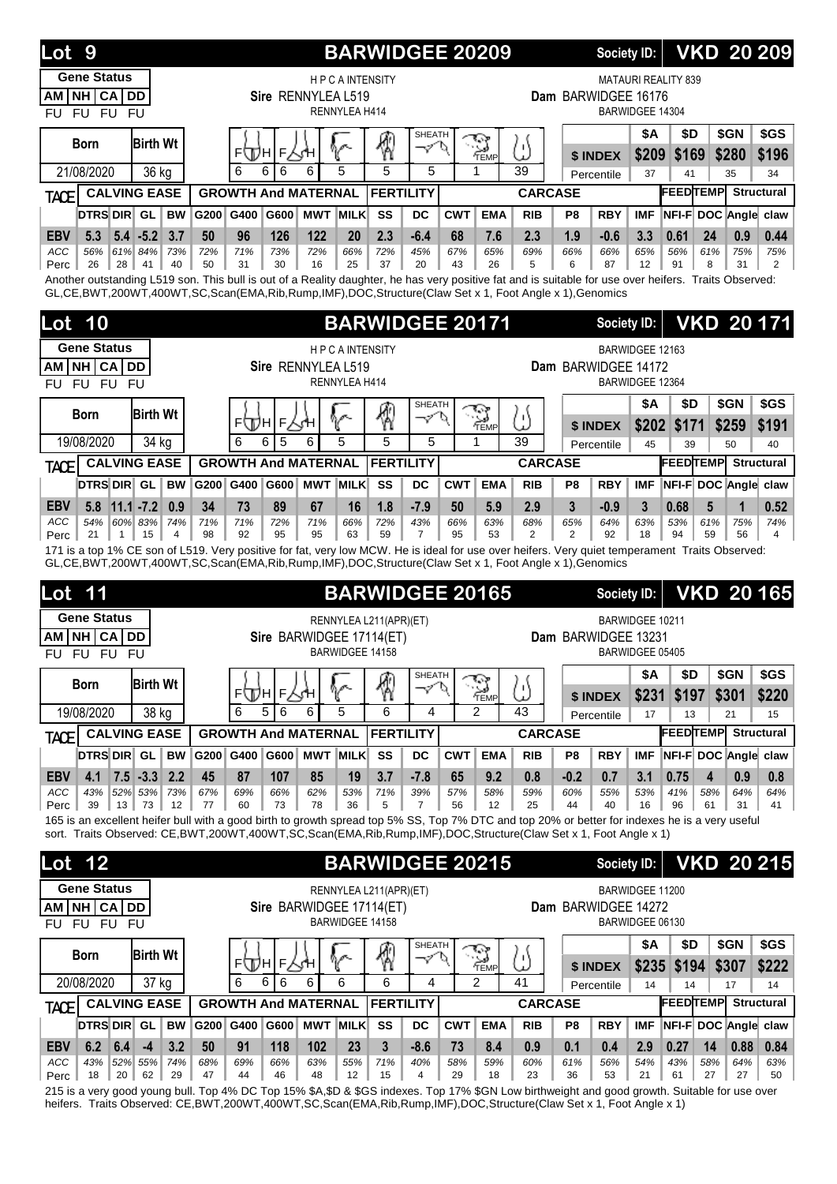| Lot<br>9                                                                                                                                                                                                                                                                          |                               |           |                            |                |                    |                                       | <b>BARWIDGEE 20209</b>   |                         |            |                      |                |                     | Society ID:        |                 |                                  |           |               | <b>VKD 20 209</b>    |
|-----------------------------------------------------------------------------------------------------------------------------------------------------------------------------------------------------------------------------------------------------------------------------------|-------------------------------|-----------|----------------------------|----------------|--------------------|---------------------------------------|--------------------------|-------------------------|------------|----------------------|----------------|---------------------|--------------------|-----------------|----------------------------------|-----------|---------------|----------------------|
| <b>Gene Status</b><br>NH CA DD<br><b>AM</b><br>FU FU FU<br><b>FU</b>                                                                                                                                                                                                              |                               |           |                            |                | Sire RENNYLEA L519 | <b>HPCAINTENSITY</b><br>RENNYLEA H414 |                          |                         |            |                      |                | Dam BARWIDGEE 16176 |                    | BARWIDGEE 14304 | <b>MATAURI REALITY 839</b>       |           |               |                      |
| Born<br>21/08/2020                                                                                                                                                                                                                                                                | <b>Birth Wt</b><br>36 kg      |           | ⊧∖Дн<br>6                  | F∕yH<br>6<br>6 | 6                  | 5                                     | 5                        | <b>SHEATH</b><br>マ<br>5 |            | TEMP                 | ω<br>39        |                     | \$ INDEX           | \$Α<br>\$209    | \$D<br>\$169                     |           | \$GN<br>\$280 | \$GS<br>\$196        |
|                                                                                                                                                                                                                                                                                   | <b>CALVING EASE</b>           |           | <b>GROWTH And MATERNAL</b> |                |                    |                                       | <b>FERTILITY</b>         |                         |            |                      | <b>CARCASE</b> |                     | Percentile         | 37              | 41<br><b>FEEDTEMP</b> Structural |           | 35            | 34                   |
| TACE<br><b>DTRS DIR GL</b>                                                                                                                                                                                                                                                        | <b>BW</b>                     | G200      | G400                       | G600           |                    | <b>MWT MILK</b>                       | SS                       | <b>DC</b>               | <b>CWT</b> | <b>EMA</b>           | <b>RIB</b>     | P <sub>8</sub>      | <b>RBY</b>         | <b>IMF</b>      | NFI-F DOC Angle claw             |           |               |                      |
| <b>EBV</b><br>5.3                                                                                                                                                                                                                                                                 | 3.7<br>$5.4 - 5.2$            | 50        | 96                         | 126            | 122                | 20                                    | 2.3                      | $-6.4$                  | 68         | 7.6                  | 2.3            | 1.9                 | $-0.6$             | 3.3             | 0.61                             | 24        | 0.9           | 0.44                 |
| ACC<br>56%                                                                                                                                                                                                                                                                        | 61% 84%<br>73%                | 72%       | 71%                        | 73%            | 72%                | 66%                                   | 72%                      | 45%                     | 67%        | 65%                  | 69%            | 66%                 | 66%                | 65%             | 56%                              | 61%       | 75%           | 75%                  |
| 26<br>28<br>Perc<br>Another outstanding L519 son. This bull is out of a Reality daughter, he has very positive fat and is suitable for use over heifers. Traits Observed:<br>GL,CE,BWT,200WT,400WT,SC,Scan(EMA,Rib,Rump,IMF),DOC,Structure(Claw Set x 1, Foot Angle x 1),Genomics | 41<br>40                      | 50        | 31                         | 30             | 16                 | 25                                    | 37                       | 20                      | 43         | 26                   | 5              | 6                   | 87                 | 12              | 91                               | 8         | 31            | 2                    |
| 10<br>Lot                                                                                                                                                                                                                                                                         |                               |           |                            |                |                    |                                       | <b>BARWIDGEE 20171</b>   |                         |            |                      |                |                     | <b>Society ID:</b> |                 |                                  |           |               | <b>VKD 20171</b>     |
| <b>Gene Status</b>                                                                                                                                                                                                                                                                |                               |           |                            |                |                    | <b>HPCAINTENSITY</b>                  |                          |                         |            |                      |                |                     |                    | BARWIDGEE 12163 |                                  |           |               |                      |
| AM NH CA DD                                                                                                                                                                                                                                                                       |                               |           |                            |                | Sire RENNYLEA L519 |                                       |                          |                         |            |                      |                | Dam BARWIDGEE 14172 |                    |                 |                                  |           |               |                      |
| FU FU FU<br>FU                                                                                                                                                                                                                                                                    |                               |           |                            |                |                    | RENNYLEA H414                         |                          |                         |            |                      |                |                     |                    | BARWIDGEE 12364 |                                  |           |               |                      |
| Born                                                                                                                                                                                                                                                                              | <b>Birth Wt</b>               |           | ⊧∖Дн                       | F人∱H           |                    |                                       | ₩                        | <b>SHEATH</b><br>マ      | P.         | <b>R</b><br>TEMP     | ω              |                     |                    | \$Α             | \$D                              |           | \$GN          | \$GS                 |
| 19/08/2020                                                                                                                                                                                                                                                                        | 34 kg                         |           | 6                          | 6<br>5         | 6                  | 5                                     | 5                        | 5                       |            | 1                    | 39             |                     | \$ INDEX           | \$202<br>45     | \$171<br>39                      |           | \$259<br>50   | \$191<br>40          |
|                                                                                                                                                                                                                                                                                   | <b>CALVING EASE</b>           |           | <b>GROWTH And MATERNAL</b> |                |                    |                                       | <b>FERTILITY</b>         |                         |            |                      | <b>CARCASE</b> |                     | Percentile         |                 | <b>FEEDTEMP</b>                  |           |               | <b>Structural</b>    |
| TACE<br>DTRS DIR GL                                                                                                                                                                                                                                                               | <b>BW</b>                     | G200      | G400                       | G600           |                    | <b>MWT MILK</b>                       | SS                       | <b>DC</b>               | <b>CWT</b> | <b>EMA</b>           | <b>RIB</b>     | P <sub>8</sub>      | <b>RBY</b>         | <b>IMF</b>      |                                  |           |               | NFI-F DOC Angle claw |
| <b>EBV</b><br>5.8                                                                                                                                                                                                                                                                 | $11.1 - 7.2$<br>0.9           | 34        | 73                         | 89             | 67                 | 16                                    | 1.8                      | $-7.9$                  | 50         | 5.9                  | 2.9            | 3                   | $-0.9$             | 3               | 0.68                             | 5         | 1             | 0.52                 |
| 54%<br>ACC                                                                                                                                                                                                                                                                        | 60% 83%<br>74%                | 71%       | 71%                        | 72%            | 71%                | 66%                                   | 72%                      | 43%                     | 66%        | 63%                  | 68%            | 65%                 | 64%                | 63%             | 53%                              | 61%       | 75%           | 74%                  |
| 21<br>$\mathbf{1}$<br>Perc                                                                                                                                                                                                                                                        | 15<br>4                       | 98        | 92                         | 95             | 95                 | 63                                    | 59                       | 7                       | 95         | 53                   | 2              | 2                   | 92                 | 18              | 94                               | 59        | 56            | 4                    |
|                                                                                                                                                                                                                                                                                   |                               |           |                            |                |                    |                                       |                          |                         |            |                      |                |                     |                    |                 |                                  |           |               |                      |
| 171 is a top 1% CE son of L519. Very positive for fat, very low MCW. He is ideal for use over heifers. Very quiet temperament Traits Observed:<br>GL,CE,BWT,200WT,400WT,SC,Scan(EMA,Rib,Rump,IMF),DOC,Structure(Claw Set x 1, Foot Angle x 1),Genomics                            |                               |           |                            |                |                    |                                       |                          |                         |            |                      |                |                     |                    |                 |                                  |           |               |                      |
| Lot<br>11                                                                                                                                                                                                                                                                         |                               |           |                            |                |                    |                                       | <b>BARWIDGEE 20165</b>   |                         |            |                      |                |                     | <b>Society ID:</b> |                 |                                  |           |               | <b>VKD 20165</b>     |
| <b>Gene Status</b>                                                                                                                                                                                                                                                                |                               |           |                            |                |                    |                                       | RENNYLEA L211(APR)(ET)   |                         |            |                      |                |                     |                    | BARWIDGEE 10211 |                                  |           |               |                      |
| <b>NH CA</b><br>AM<br>FU FU FU<br>FU                                                                                                                                                                                                                                              | <b>DD</b>                     |           |                            |                |                    | BARWIDGEE 14158                       | Sire BARWIDGEE 17114(ET) |                         |            |                      |                | Dam BARWIDGEE 13231 |                    | BARWIDGEE 05405 |                                  |           |               |                      |
|                                                                                                                                                                                                                                                                                   |                               |           |                            |                |                    |                                       |                          | SHEATH                  |            |                      |                |                     |                    | \$A             | \$D                              |           | \$GN          | \$GS                 |
| <b>Born</b>                                                                                                                                                                                                                                                                       | <b>Birth Wt</b>               |           |                            | ⊧ДА∣⊧∖ун       |                    | $\gamma$                              | 圈                        | マロ                      |            | $\sum_{\text{TEMP}}$ | U              |                     | \$ INDEX           | \$231           | \$197                            |           | \$301         | \$220                |
| 19/08/2020                                                                                                                                                                                                                                                                        | 38 kg                         |           | 6                          | 5<br>6         | 6                  | 5                                     | 6                        | 4                       |            | $\mathfrak{p}$       | 43             |                     | Percentile         | 17              | 13                               |           | 21            | 15                   |
| <b>TACE</b>                                                                                                                                                                                                                                                                       | <b>CALVING EASE</b>           |           | <b>GROWTH And MATERNAL</b> |                |                    |                                       | <b>FERTILITY</b>         |                         |            |                      | <b>CARCASE</b> |                     |                    |                 | <b>FEEDTEMP</b> Structural       |           |               |                      |
| DTRS DIR GL                                                                                                                                                                                                                                                                       | <b>BW</b>                     | G200 G400 |                            | G600           |                    | <b>MWT MILK</b>                       | SS                       | DC                      | <b>CWT</b> | <b>EMA</b>           | <b>RIB</b>     | P8                  | <b>RBY</b>         | <b>IMF</b>      | NFI-F DOC Angle claw             |           |               |                      |
| <b>EBV</b><br>4.1                                                                                                                                                                                                                                                                 | $7.5 - 3.3$ 2.2               | 45        | 87                         | 107            | 85                 | 19                                    | 3.7                      | $-7.8$                  | 65         | 9.2                  | 0.8            | $-0.2$              | 0.7                | 3.1             | 0.75                             | 4         | 0.9           | 0.8                  |
| ACC<br>43%<br>39<br>$13 \parallel$<br>Perc                                                                                                                                                                                                                                        | 52% 53%<br>73%<br>73<br>12    | 67%<br>77 | 69%<br>60                  | 66%<br>73      | 62%<br>78          | 53%<br>36                             | 71%<br>5                 | 39%<br>7                | 57%<br>56  | 58%<br>12            | 59%<br>25      | 60%<br>44           | 55%<br>40          | 53%<br>16       | 41%<br>96                        | 58%<br>61 | 64%<br>31     | 64%<br>41            |
| 165 is an excellent heifer bull with a good birth to growth spread top 5% SS, Top 7% DTC and top 20% or better for indexes he is a very useful                                                                                                                                    |                               |           |                            |                |                    |                                       |                          |                         |            |                      |                |                     |                    |                 |                                  |           |               |                      |
| sort. Traits Observed: CE,BWT,200WT,400WT,SC,Scan(EMA,Rib,Rump,IMF),DOC,Structure(Claw Set x 1, Foot Angle x 1)                                                                                                                                                                   |                               |           |                            |                |                    |                                       |                          |                         |            |                      |                |                     |                    |                 |                                  |           |               |                      |
| <b>Lot 12</b>                                                                                                                                                                                                                                                                     |                               |           |                            |                |                    |                                       | <b>BARWIDGEE 20215</b>   |                         |            |                      |                |                     | <b>Society ID:</b> |                 |                                  |           |               |                      |
| <b>Gene Status</b>                                                                                                                                                                                                                                                                |                               |           |                            |                |                    |                                       | RENNYLEA L211(APR)(ET)   |                         |            |                      |                |                     |                    | BARWIDGEE 11200 |                                  |           |               | <b>VKD 20 215</b>    |
| AM NH CA DD                                                                                                                                                                                                                                                                       |                               |           |                            |                |                    |                                       | Sire BARWIDGEE 17114(ET) |                         |            |                      |                | Dam BARWIDGEE 14272 |                    |                 |                                  |           |               |                      |
| FU FU FU<br>FU                                                                                                                                                                                                                                                                    |                               |           |                            |                |                    | BARWIDGEE 14158                       |                          |                         |            |                      |                |                     |                    | BARWIDGEE 06130 |                                  |           |               |                      |
| <b>Born</b>                                                                                                                                                                                                                                                                       | <b>Birth Wt</b>               |           |                            |                |                    |                                       |                          | <b>SHEATH</b><br>マロ     |            |                      |                |                     |                    | \$Α             | \$D                              |           | \$GN          | \$GS                 |
|                                                                                                                                                                                                                                                                                   |                               |           | ⊧⊕ы                        | г∆н            |                    | V                                     |                          |                         |            | $\sum_{\text{TEMP}}$ | ω              |                     | \$ INDEX           | \$235           | \$194                            |           | \$307         | \$222                |
| 20/08/2020                                                                                                                                                                                                                                                                        | $\overline{37}$ kg            |           | 6                          | 6<br>6         | 6                  | 6                                     | 6                        | 4                       |            | 2                    | 41             |                     | Percentile         | 14              | 14                               |           | 17            | 14                   |
| <b>TACE</b>                                                                                                                                                                                                                                                                       | <b>CALVING EASE</b>           |           | <b>GROWTH And MATERNAL</b> |                |                    |                                       | <b>FERTILITY</b>         |                         |            |                      | <b>CARCASE</b> |                     |                    |                 | <b>FEEDTEMP</b> Structural       |           |               |                      |
| DTRS DIR GL                                                                                                                                                                                                                                                                       | <b>BW</b>                     | G200 G400 |                            | G600           |                    | MWT MILK                              | SS                       | DC                      | <b>CWT</b> | <b>EMA</b>           | <b>RIB</b>     | P8                  | <b>RBY</b>         | <b>IMF</b>      |                                  |           |               | NFI-F DOC Angle claw |
| <b>EBV</b><br>6.2<br>6.4<br>ACC<br>43%                                                                                                                                                                                                                                            | 3.2<br>$-4$<br>52% 55%<br>74% | 50<br>68% | 91<br>69%                  | 118<br>66%     | 102<br>63%         | 23<br>55%                             | 3<br>71%                 | $-8.6$<br>40%           | 73<br>58%  | 8.4<br>59%           | 0.9<br>60%     | 0.1<br>61%          | 0.4<br>56%         | 2.9<br>54%      | 0.27<br>43%                      | 14<br>58% | 0.88<br>64%   | 0.84<br>63%          |

215 is a very good young bull. Top 4% DC Top 15% \$A,\$D & \$GS indexes. Top 17% \$GN Low birthweight and good growth. Suitable for use over heifers. Traits Observed: CE,BWT,200WT,400WT,SC,Scan(EMA,Rib,Rump,IMF),DOC,Structure(Claw Set x 1, Foot Angle x 1)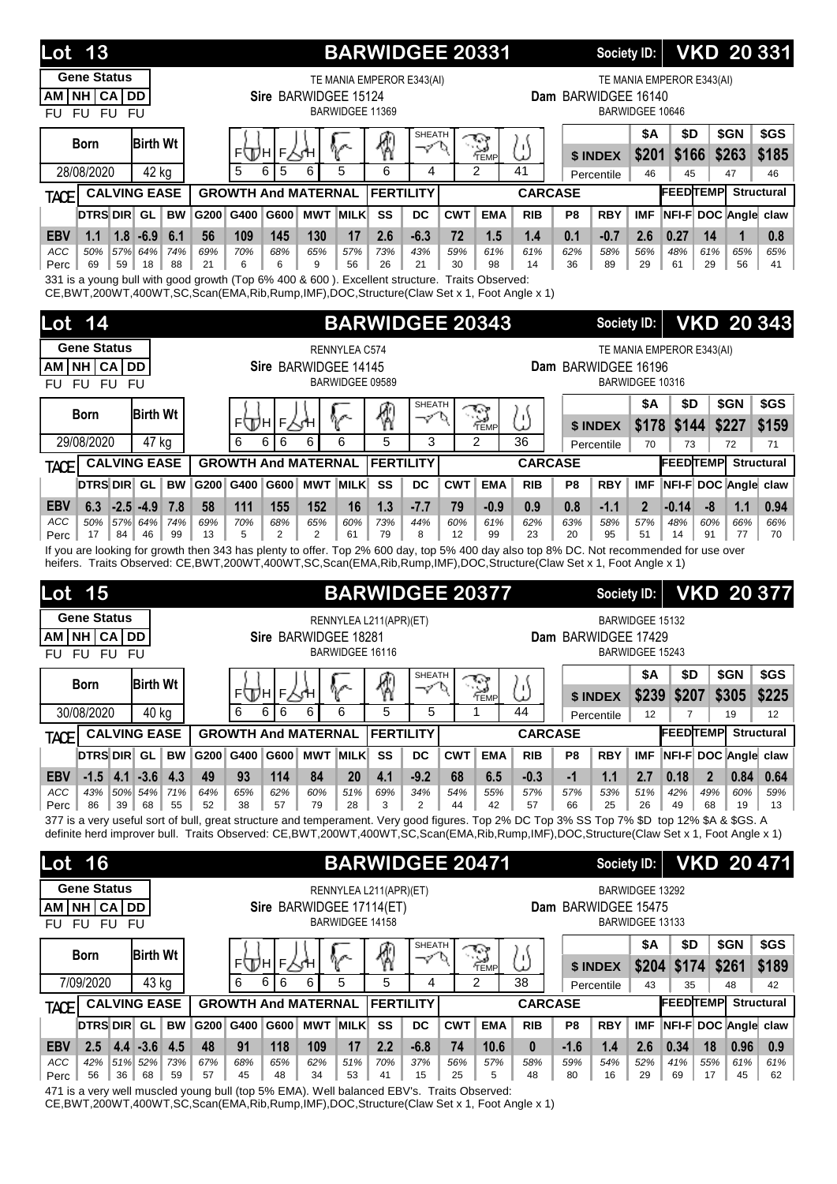| 13<br>Lot                                                                                                                                                                                             |                 |                    |                       |                                         |           | <b>BARWIDGEE 20331</b>    |                     |                  |                              |                     |                | <b>Society ID:</b>     |                     |                           |                |               | <b>VKD 20 331</b>       |
|-------------------------------------------------------------------------------------------------------------------------------------------------------------------------------------------------------|-----------------|--------------------|-----------------------|-----------------------------------------|-----------|---------------------------|---------------------|------------------|------------------------------|---------------------|----------------|------------------------|---------------------|---------------------------|----------------|---------------|-------------------------|
| <b>Gene Status</b>                                                                                                                                                                                    |                 |                    |                       |                                         |           | TE MANIA EMPEROR E343(AI) |                     |                  |                              |                     |                |                        |                     | TE MANIA EMPEROR E343(AI) |                |               |                         |
| NH CA DD<br>AM I<br>FU FU FU<br><b>FU</b>                                                                                                                                                             |                 |                    |                       | Sire BARWIDGEE 15124<br>BARWIDGEE 11369 |           |                           |                     |                  |                              |                     |                | Dam BARWIDGEE 16140    | BARWIDGEE 10646     |                           |                |               |                         |
| <b>Birth Wt</b><br><b>Born</b>                                                                                                                                                                        |                 | ⊧\Дн               | F<br>ΧΉ               |                                         |           | 4                         | <b>SHEATH</b><br>ーン |                  | $\ddot{\phantom{a}}$<br>TEMP | '۱<br>Ŀ,            |                | \$ INDEX               | <b>\$A</b><br>\$201 | \$D<br>\$166              |                | \$GN<br>\$263 | \$GS<br>\$185           |
| 28/08/2020<br>42 kg                                                                                                                                                                                   |                 | 5<br>6             | 5                     | 5<br>6                                  |           | 6                         | 4                   | $\mathfrak{p}$   |                              | 41                  |                | Percentile             | 46                  | 45                        |                | 47            | 46                      |
| <b>CALVING EASE</b><br><b>TACE</b>                                                                                                                                                                    |                 |                    |                       | <b>GROWTH And MATERNAL</b>              |           | <b>FERTILITY</b>          |                     |                  |                              | <b>CARCASE</b>      |                |                        |                     | <b>FEEDTEMP</b>           |                |               | <b>Structural</b>       |
| <b>DTRS DIR</b> GL<br><b>BW</b>                                                                                                                                                                       | G200            | G400               | G600                  | <b>MWT MILK</b>                         |           | SS                        | <b>DC</b>           | <b>CWT</b>       | <b>EMA</b>                   | <b>RIB</b>          | P <sub>8</sub> | <b>RBY</b>             | <b>IMF</b>          | NFI-F DOC Angle claw      |                |               |                         |
| <b>EBV</b><br>$1.8 - 6.9$<br>6.1<br>1.1                                                                                                                                                               | 56              | 109                | 145                   | 130                                     | 17        | 2.6                       | $-6.3$              | 72               | 1.5                          | 1.4                 | 0.1            | $-0.7$                 | 2.6                 | 0.27                      | 14             | 1             | 0.8                     |
| 50%<br>57% 64%<br>74%<br>ACC<br>69<br>59<br>18<br>88<br>Perc                                                                                                                                          | 69%<br>21       | 70%<br>6           | 68%<br>6              | 65%<br>9                                | 57%<br>56 | 73%<br>26                 | 43%<br>21           | 59%<br>30        | 61%<br>98                    | 61%<br>14           | 62%<br>36      | 58%<br>89              | 56%<br>29           | 48%<br>61                 | 61%<br>29      | 65%<br>56     | 65%<br>41               |
| 331 is a young bull with good growth (Top 6% 400 & 600). Excellent structure. Traits Observed:<br>CE, BWT, 200WT, 400WT, SC, Scan(EMA, Rib, Rump, IMF), DOC, Structure (Claw Set x 1, Foot Angle x 1) |                 |                    |                       |                                         |           |                           |                     |                  |                              |                     |                |                        |                     |                           |                |               |                         |
| 14<br>Lot                                                                                                                                                                                             |                 |                    |                       |                                         |           | <b>BARWIDGEE 20343</b>    |                     |                  |                              |                     |                | <b>Society ID:</b>     |                     |                           |                |               | <b>VKD 20 343</b>       |
| <b>Gene Status</b>                                                                                                                                                                                    |                 |                    |                       | RENNYLEA C574                           |           |                           |                     |                  |                              |                     |                |                        |                     | TE MANIA EMPEROR E343(AI) |                |               |                         |
| NH CA DD<br>AM                                                                                                                                                                                        |                 |                    |                       | Sire BARWIDGEE 14145                    |           |                           |                     |                  |                              |                     |                | Dam BARWIDGEE 16196    |                     |                           |                |               |                         |
| FU FU FU<br><b>FU</b>                                                                                                                                                                                 |                 |                    |                       | BARWIDGEE 09589                         |           |                           |                     |                  |                              |                     |                |                        | BARWIDGEE 10316     |                           |                |               |                         |
| <b>Birth Wt</b><br><b>Born</b>                                                                                                                                                                        |                 | ⊧∖Дн               | F<br>∕√Ή              |                                         |           | ⊛                         | <b>SHEATH</b><br>ーン |                  | $\mathbb{R}$<br>`⇔<br>′TEMP  | ω                   |                |                        | <b>\$A</b><br>\$178 | \$D<br>\$144              |                | \$GN<br>\$227 | \$GS<br>\$159           |
| 29/08/2020<br>47 kg                                                                                                                                                                                   |                 | 6<br>6             | 6                     | 6<br>6                                  |           | 5                         | 3                   | $\overline{2}$   |                              | 36                  |                | \$ INDEX<br>Percentile | 70                  | 73                        |                | 72            | 71                      |
| <b>CALVING EASE</b><br><b>TACE</b>                                                                                                                                                                    |                 |                    |                       | <b>GROWTH And MATERNAL</b>              |           | <b>FERTILITY</b>          |                     |                  |                              | <b>CARCASE</b>      |                |                        |                     | <b>FEEDTEMP</b>           |                |               | <b>Structural</b>       |
| <b>DTRS DIR</b> GL<br><b>BW</b>                                                                                                                                                                       | G200 G400       |                    | G600                  | <b>MWT MILK</b>                         |           | SS                        | <b>DC</b>           | <b>CWT</b>       | <b>EMA</b>                   | <b>RIB</b>          | P8             | <b>RBY</b>             | <b>IMF</b>          | NFI-F DOC Angle claw      |                |               |                         |
| $-2.5 - 4.9$<br><b>EBV</b><br>6.3<br>7.8                                                                                                                                                              | 58              | 111                | 155                   | 152                                     | 16        | 1.3                       | $-7.7$              | 79               | $-0.9$                       | 0.9                 | 0.8            | $-1.1$                 | $\mathbf{2}$        | $-0.14$                   | -8             | 1.1           | 0.94                    |
| ACC<br>57% 64%<br>74%<br>50%<br>17<br>84<br>46<br>99<br>Perc                                                                                                                                          | 69%<br>13       | 70%<br>5           | 68%<br>$\overline{2}$ | 65%<br>$\overline{2}$                   | 60%<br>61 | 73%<br>79                 | 44%<br>8            | 60%<br>12        | 61%<br>99                    | 62%<br>23           | 63%<br>20      | 58%<br>95              | 57%<br>51           | 48%<br>14                 | 60%<br>91      | 66%<br>77     | 66%<br>70               |
|                                                                                                                                                                                                       |                 |                    |                       |                                         |           |                           |                     |                  |                              |                     |                |                        |                     |                           |                |               |                         |
| If you are looking for growth then 343 has plenty to offer. Top 2% 600 day, top 5% 400 day also top 8% DC. Not recommended for use over                                                               |                 |                    |                       |                                         |           |                           |                     |                  |                              |                     |                |                        |                     |                           |                |               |                         |
| heifers. Traits Observed: CE,BWT,200WT,400WT,SC,Scan(EMA,Rib,Rump,IMF),DOC,Structure(Claw Set x 1, Foot Angle x 1)                                                                                    |                 |                    |                       |                                         |           |                           |                     |                  |                              |                     |                |                        |                     |                           |                |               |                         |
| 15<br>Lot                                                                                                                                                                                             |                 |                    |                       |                                         |           | <b>BARWIDGEE 20377</b>    |                     |                  |                              |                     |                | <b>Society ID:</b>     |                     |                           |                |               | <b>VKD 20 377</b>       |
| <b>Gene Status</b><br><b>NH CA</b><br><b>DD</b><br>AM I                                                                                                                                               |                 |                    |                       | Sire BARWIDGEE 18281                    |           | RENNYLEA L211(APR)(ET)    |                     |                  |                              |                     |                |                        | BARWIDGEE 15132     |                           |                |               |                         |
| <b>FU</b><br><b>FU</b><br><b>FU</b><br><b>FU</b>                                                                                                                                                      |                 |                    |                       | BARWIDGEE 16116                         |           |                           |                     |                  |                              |                     |                | Dam BARWIDGEE 17429    | BARWIDGEE 15243     |                           |                |               |                         |
|                                                                                                                                                                                                       |                 |                    |                       |                                         |           |                           | SHEATH              |                  | ক                            |                     |                |                        | <b>\$A</b>          | \$D                       |                | \$GN          | \$GS                    |
| <b>Birth Wt</b><br><b>Born</b>                                                                                                                                                                        |                 |                    | ⊧⊕н∣⊧∑ч               | V                                       |           | 圈                         | ーン                  |                  | TEMP                         | ω                   |                | \$ INDEX               | \$239               | \$207                     |                | \$305         | \$225                   |
| 30/08/2020<br>40 kg                                                                                                                                                                                   |                 | 6<br>6             | 6                     | 6<br>6                                  |           | 5                         | 5                   | 1                |                              | 44                  |                | Percentile             | 12                  | 7                         |                | 19            | 12                      |
| <b>CALVING EASE</b><br><b>TACE</b>                                                                                                                                                                    |                 |                    |                       | <b>GROWTH And MATERNAL</b>              |           | <b>FERTILITY</b>          |                     |                  |                              | <b>CARCASE</b>      |                |                        |                     | <b>FEEDTEMP</b>           |                |               | <b>Structural</b>       |
| <b>DTRS DIR GL</b><br><b>BW</b>                                                                                                                                                                       | G200 G400<br>49 |                    |                       | G600 MWT MILK<br>84                     |           | SS                        | DC                  | <b>CWT</b><br>68 | <b>EMA</b>                   | <b>RIB</b>          | P8             | <b>RBY</b>             | <b>IMF</b>          | NFI-F DOC Angle claw      | $\overline{2}$ |               |                         |
| $4.1 - 3.6$<br> 4.3<br><b>EBV</b><br>$-1.5$<br>ACC<br>50% 54%<br>71%<br>43%                                                                                                                           | 64%             | 93<br>65%          | 114<br>62%            | 60%                                     | 20<br>51% | 4.1<br>69%                | $-9.2$<br>34%       | 54%              | 6.5<br>55%                   | $-0.3$<br>57%       | $-1$<br>57%    | 1.1<br>53%             | 2.7<br>51%          | 0.18<br>42%               | 49%            | 0.84<br>60%   | 0.64<br>59%             |
| 86<br>39<br>68<br>55<br>Perc<br>377 is a very useful sort of bull, great structure and temperament. Very good figures. Top 2% DC Top 3% SS Top 7% \$D top 12% \$A & \$GS. A                           | 52              | 38                 | 57                    | 79                                      | 28        | 3                         | 2                   | 44               | 42                           | 57                  | 66             | 25                     | 26                  | 49                        | 68             | 19            | 13                      |
| definite herd improver bull. Traits Observed: CE,BWT,200WT,400WT,SC,Scan(EMA,Rib,Rump,IMF),DOC,Structure(Claw Set x 1, Foot Angle x 1)                                                                |                 |                    |                       |                                         |           |                           |                     |                  |                              |                     |                |                        |                     |                           |                |               |                         |
| 16<br>Lot                                                                                                                                                                                             |                 |                    |                       |                                         |           | <b>BARWIDGEE 20471</b>    |                     |                  |                              |                     |                | <b>Society ID:</b>     |                     |                           |                |               | <b>VKD 20 471</b>       |
| <b>Gene Status</b>                                                                                                                                                                                    |                 |                    |                       |                                         |           |                           |                     |                  |                              |                     |                |                        | BARWIDGEE 13292     |                           |                |               |                         |
| AM NH CA DD                                                                                                                                                                                           |                 |                    |                       | Sire BARWIDGEE 17114(ET)                |           | RENNYLEA L211(APR)(ET)    |                     |                  |                              |                     |                | Dam BARWIDGEE 15475    |                     |                           |                |               |                         |
| FU FU FU<br>FU                                                                                                                                                                                        |                 |                    |                       | BARWIDGEE 14158                         |           |                           |                     |                  |                              |                     |                |                        | BARWIDGEE 13133     |                           |                |               |                         |
| <b>Birth Wt</b><br><b>Born</b>                                                                                                                                                                        |                 |                    |                       |                                         |           |                           | SHEATH<br>マ         |                  |                              |                     |                |                        | \$Α                 | \$D                       |                | \$GN          | \$GS                    |
| 7/09/2020                                                                                                                                                                                             |                 | ⊧ДА∣⊧Р₹н<br>6<br>6 | 6                     | V<br>5<br>6                             |           | ⊗<br>5                    | 4                   | $\mathfrak{p}$   | $\sum_{\text{new}}$          | ω<br>38             |                | \$ INDEX               | \$204               | \$174                     |                | \$261<br>48   | \$189                   |
| 43 kg<br><b>CALVING EASE</b>                                                                                                                                                                          |                 |                    |                       | <b>GROWTH And MATERNAL</b>              |           | <b>FERTILITY</b>          |                     |                  |                              | <b>CARCASE</b>      |                | Percentile             | 43                  | 35<br><b>FEEDTEMP</b>     |                |               | 42<br><b>Structural</b> |
| <b>TACE</b><br><b>DTRS DIR GL</b><br><b>BW</b>                                                                                                                                                        | G200 G400       |                    |                       | G600 MWT MILK                           |           | SS                        | <b>DC</b>           | <b>CWT</b>       | <b>EMA</b>                   | <b>RIB</b>          | P8             | <b>RBY</b>             | <b>IMF</b>          | NFI-F DOC Angle claw      |                |               |                         |
| $4.4 - 3.6$<br>4.5<br><b>EBV</b><br>2.5<br>ACC<br>42%<br>51% 52%<br>73%                                                                                                                               | 48<br>67%       | 91<br>68%          | 118<br>65%            | 109<br>62%                              | 17<br>51% | 2.2<br>70%                | $-6.8$<br>37%       | 74<br>56%        | 10.6<br>57%                  | $\mathbf{0}$<br>58% | $-1.6$<br>59%  | 1.4<br>54%             | 2.6<br>52%          | 0.34<br>41%               | 18<br>55%      | 0.96<br>61%   | 0.9<br>61%              |

471 is a very well muscled young bull (top 5% EMA). Well balanced EBV's. Traits Observed:

CE,BWT,200WT,400WT,SC,Scan(EMA,Rib,Rump,IMF),DOC,Structure(Claw Set x 1, Foot Angle x 1)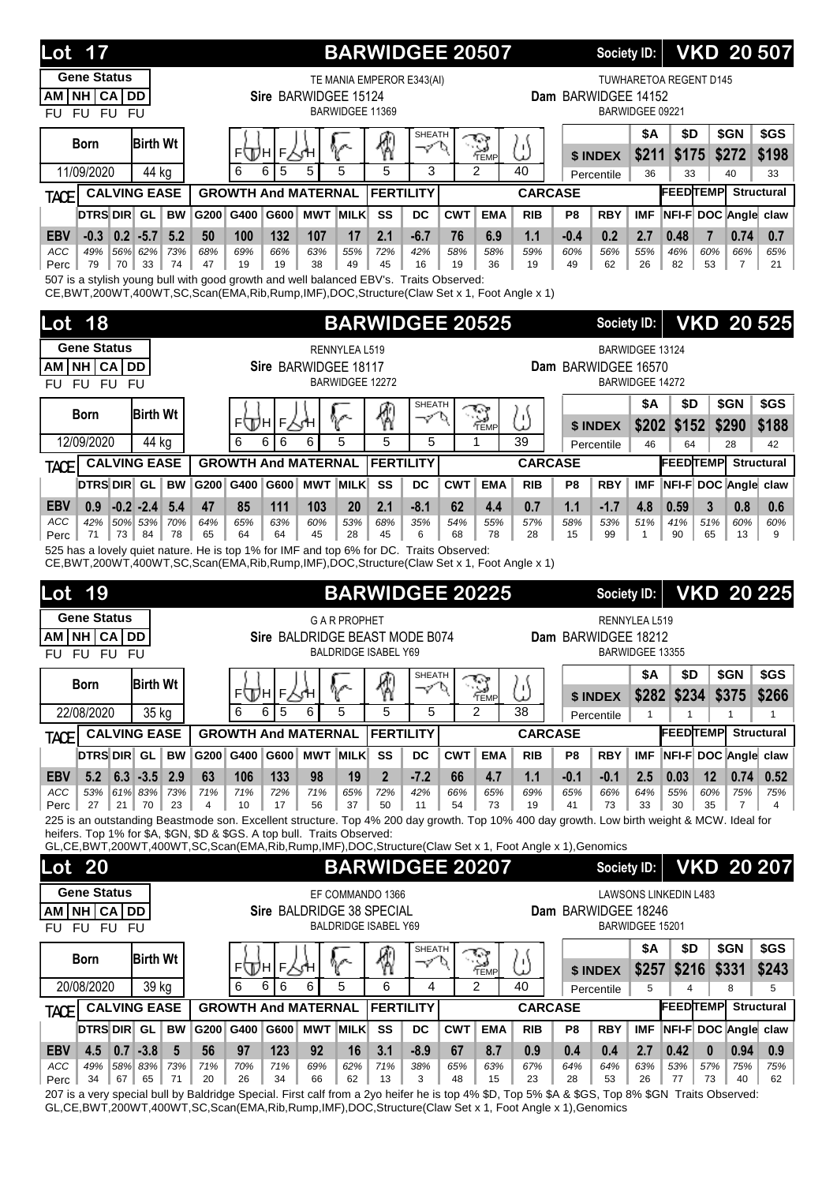| <b>Lot 17</b>                                                                                                                                                                                  |           |                 |                                |                      | <b>BARWIDGEE 20507</b>      |                          |                  |                      |                |                | Society ID:         |                 |                                 | <b>VKD 20507</b>                   |                                   |
|------------------------------------------------------------------------------------------------------------------------------------------------------------------------------------------------|-----------|-----------------|--------------------------------|----------------------|-----------------------------|--------------------------|------------------|----------------------|----------------|----------------|---------------------|-----------------|---------------------------------|------------------------------------|-----------------------------------|
| <b>Gene Status</b><br>NH CA DD<br>AM<br>FU FU FU<br><b>FU</b>                                                                                                                                  |           |                 | Sire BARWIDGEE 15124           | BARWIDGEE 11369      | TE MANIA EMPEROR E343(AI)   |                          |                  |                      |                |                | Dam BARWIDGEE 14152 | BARWIDGEE 09221 | TUWHARETOA REGENT D145          |                                    |                                   |
| <b>Birth Wt</b><br><b>Born</b>                                                                                                                                                                 |           |                 | ⊧ДА∣⊧∖Ан                       |                      | 9                           | <b>SHEATH</b><br>$\prec$ | d                | ್<br>TEMP            | ω              |                | \$ INDEX            | \$A<br>\$211    | \$D<br>\$175                    | \$GN<br>\$272                      | \$GS<br>\$198                     |
| 11/09/2020<br>44 kg                                                                                                                                                                            |           | 6<br>6          | 5<br>5                         | 5                    | 5                           | 3                        |                  | $\mathcal{P}$        | 40             |                | Percentile          | 36              | 33                              | 40                                 | 33                                |
| <b>CALVING EASE</b><br>TACE                                                                                                                                                                    |           |                 | <b>GROWTH And MATERNAL</b>     |                      | <b>FERTILITY</b>            |                          |                  |                      | <b>CARCASE</b> |                |                     |                 | <b>FEEDTEMP</b>                 |                                    | <b>Structural</b>                 |
| DTRS DIR GL<br><b>BW</b>                                                                                                                                                                       |           | G200 G400       | G600                           | <b>MWT MILK</b>      | SS                          | DC                       | <b>CWT</b>       | <b>EMA</b>           | <b>RIB</b>     | P <sub>8</sub> | <b>RBY</b>          | <b>IMF</b>      |                                 | NFI-F DOC Angle claw               |                                   |
| <b>EBV</b><br>$-0.3$<br>$0.2$ -5.7<br>5.2                                                                                                                                                      | 50        | 100             | 132<br>107                     | 17                   | 2.1                         | $-6.7$                   | 76               | 6.9                  | 1.1            | $-0.4$         | 0.2                 | 2.7             | 0.48                            | 0.74<br>7                          | 0.7                               |
| ACC<br>49%<br>56% 62%<br>73%<br>79<br>70<br>33<br>74<br>Perc                                                                                                                                   | 68%<br>47 | 69%<br>19       | 66%<br>63%<br>19<br>38         | 55%<br>49            | 72%<br>45                   | 42%<br>16                | 58%<br>19        | 58%<br>36            | 59%<br>19      | 60%<br>49      | 56%<br>62           | 55%<br>26       | 46%<br>82                       | 60%<br>66%<br>53<br>$\overline{7}$ | 65%<br>21                         |
| 507 is a stylish young bull with good growth and well balanced EBV's. Traits Observed:<br>CE, BWT, 200WT, 400WT, SC, Scan(EMA, Rib, Rump, IMF), DOC, Structure (Claw Set x 1, Foot Angle x 1)  |           |                 |                                |                      |                             |                          |                  |                      |                |                |                     |                 |                                 |                                    |                                   |
| 18<br>Lot                                                                                                                                                                                      |           |                 |                                |                      | <b>BARWIDGEE 20525</b>      |                          |                  |                      |                |                | Society ID:         |                 |                                 | <b>VKD 20 525</b>                  |                                   |
| <b>Gene Status</b>                                                                                                                                                                             |           |                 |                                | RENNYLEA L519        |                             |                          |                  |                      |                |                |                     | BARWIDGEE 13124 |                                 |                                    |                                   |
| NH CA DD<br>AM I<br>FU FU FU                                                                                                                                                                   |           |                 | Sire BARWIDGEE 18117           | BARWIDGEE 12272      |                             |                          |                  |                      |                |                | Dam BARWIDGEE 16570 | BARWIDGEE 14272 |                                 |                                    |                                   |
| <b>FU</b>                                                                                                                                                                                      |           |                 |                                |                      |                             | SHEATH                   |                  |                      |                |                |                     | <b>\$A</b>      | \$D                             | \$GN                               | \$GS                              |
| <b>Birth Wt</b><br><b>Born</b>                                                                                                                                                                 |           |                 | ⊧⊕Лн∣⊧∖⊀н                      | ∿                    | \$                          | マ                        | U                | ্র<br>TEMP           | ω              |                | \$ INDEX            | \$202           | \$152                           | \$290                              | \$188                             |
| 12/09/2020<br>44 kg                                                                                                                                                                            |           | 6<br>6          | 6<br>6                         | 5                    | 5                           | 5                        |                  | 1                    | 39             |                | Percentile          | 46              | 64                              | 28                                 | 42                                |
| <b>CALVING EASE</b><br>TACE                                                                                                                                                                    |           |                 | <b>GROWTH And MATERNAL</b>     |                      | <b>FERTILITY</b>            |                          |                  |                      | <b>CARCASE</b> |                |                     |                 | <b>FEEDTEMP</b>                 |                                    | <b>Structural</b>                 |
| DTRS DIR GL<br><b>BW</b>                                                                                                                                                                       |           | G200 G400       | G600                           | <b>MWT MILK</b>      | SS                          | DC                       | <b>CWT</b>       | <b>EMA</b>           | <b>RIB</b>     | P8             | <b>RBY</b>          | <b>IMF</b>      |                                 | NFI-F DOC Angle claw               |                                   |
| $-0.2 -2.4$<br><b>EBV</b><br>0.9<br>5.4                                                                                                                                                        | 47        | 85              | 111<br>103                     | 20                   | 2.1                         | $-8.1$                   | 62               | 4.4                  | 0.7            | 1.1            | $-1.7$              | 4.8             | 0.59                            | 3<br>0.8                           | 0.6                               |
| <b>ACC</b><br>42%<br>50% 53%<br>70%<br>71<br>73<br>84<br>78<br>Perc                                                                                                                            | 64%<br>65 | 65%<br>64       | 63%<br>60%<br>64<br>45         | 53%<br>28            | 68%<br>45                   | 35%<br>6                 | 54%<br>68        | 55%<br>78            | 57%<br>28      | 58%<br>15      | 53%<br>99           | 51%<br>1        | 41%<br>90                       | 51%<br>60%<br>65<br>13             | 60%<br>9                          |
| 525 has a lovely quiet nature. He is top 1% for IMF and top 6% for DC. Traits Observed:<br>CE, BWT, 200WT, 400WT, SC, Scan(EMA, Rib, Rump, IMF), DOC, Structure (Claw Set x 1, Foot Angle x 1) |           |                 |                                |                      |                             |                          |                  |                      |                |                |                     |                 |                                 |                                    |                                   |
| Lot<br>19                                                                                                                                                                                      |           |                 |                                |                      | <b>BARWIDGEE 20225</b>      |                          |                  |                      |                |                | <b>Society ID:</b>  |                 |                                 | <b>VKD 20 225</b>                  |                                   |
| <b>Gene Status</b>                                                                                                                                                                             |           |                 |                                | <b>G A R PROPHET</b> |                             |                          |                  |                      |                |                |                     | RENNYLEA L519   |                                 |                                    |                                   |
| NH CA DD<br>AM I<br>FU FU FU<br>FU.                                                                                                                                                            |           |                 | Sire BALDRIDGE BEAST MODE B074 |                      | <b>BALDRIDGE ISABEL Y69</b> |                          |                  |                      |                |                | Dam BARWIDGEE 18212 | BARWIDGEE 13355 |                                 |                                    |                                   |
| <b>Birth Wt</b><br><b>Born</b>                                                                                                                                                                 |           |                 |                                | ዮ                    | 4                           | SHEATH<br>マリ             |                  | $\sum_{\text{Temp}}$ | U              |                |                     | <b>\$A</b>      | \$D                             | \$GN                               | \$GS                              |
| 22/08/2020<br>35 kg                                                                                                                                                                            |           | 6<br>6          | ⊧⊕Чн∣⊧<br>5<br>6               | 5                    | 5                           | 5                        |                  | $\overline{2}$       | 38             |                | \$ INDEX            |                 | \$282 \$234                     | \$375                              | \$266                             |
| <b>CALVING EASE</b><br><b>TACE</b>                                                                                                                                                             |           |                 | <b>GROWTH And MATERNAL</b>     |                      | <b>FERTILITY</b>            |                          |                  |                      | <b>CARCASE</b> |                | Percentile          | $\mathbf{1}$    | $\mathbf{1}$<br><b>FEEDTEMP</b> | $\mathbf{1}$                       | $\mathbf{1}$<br><b>Structural</b> |
| <b>DTRS DIR</b> GL<br><b>BW</b>                                                                                                                                                                |           | G200 G400       | G600                           | <b>MWT MILK</b>      | SS                          | DC                       | <b>CWT</b>       | <b>EMA</b>           | <b>RIB</b>     | P8             | <b>RBY</b>          | <b>IMF</b>      |                                 | NFI-F DOC Angle claw               |                                   |
| 5.2<br>$6.3 - 3.5$<br>2.9<br><b>EBV</b>                                                                                                                                                        | 63        | 106             | 133<br>98                      | 19                   | $\overline{2}$              | $-7.2$                   | 66               | 4.7                  | 1.1            | $-0.1$         | $-0.1$              | 2.5             | 0.03                            | 0.74<br>12                         | 0.52                              |
| ACC<br>53%<br>61% 83% 73%<br>21<br>70<br>23<br>Perc $ $<br>27                                                                                                                                  | 71%<br>4  | 71%<br>10       | 72%<br>71%<br>17<br>56         | 65%<br>37            | 72%<br>50                   | 42%<br>11                | 66%<br>54        | 65%<br>73            | 69%<br>19      | 65%<br>41      | 66%<br>73           | 64%<br>33       | 55%<br>30                       | 60%<br>75%<br>35<br>$\overline{7}$ | 75%<br>$\overline{4}$             |
| 225 is an outstanding Beastmode son. Excellent structure. Top 4% 200 day growth. Top 10% 400 day growth. Low birth weight & MCW. Ideal for                                                     |           |                 |                                |                      |                             |                          |                  |                      |                |                |                     |                 |                                 |                                    |                                   |
| heifers. Top 1% for \$A, \$GN, \$D & \$GS. A top bull. Traits Observed:<br>GL,CE,BWT,200WT,400WT,SC,Scan(EMA,Rib,Rump,IMF),DOC,Structure(Claw Set x 1, Foot Angle x 1),Genomics                |           |                 |                                |                      |                             |                          |                  |                      |                |                |                     |                 |                                 |                                    |                                   |
| <b>Lot 20</b>                                                                                                                                                                                  |           |                 |                                |                      | <b>BARWIDGEE 20207</b>      |                          |                  |                      |                |                | <b>Society ID:</b>  |                 |                                 | <b>VKD 20 207</b>                  |                                   |
| <b>Gene Status</b>                                                                                                                                                                             |           |                 |                                |                      | EF COMMANDO 1366            |                          |                  |                      |                |                |                     |                 | <b>LAWSONS LINKEDIN L483</b>    |                                    |                                   |
| AM NH CA DD<br>FU FU FU<br>FU.                                                                                                                                                                 |           |                 | Sire BALDRIDGE 38 SPECIAL      |                      | <b>BALDRIDGE ISABEL Y69</b> |                          |                  |                      |                |                | Dam BARWIDGEE 18246 | BARWIDGEE 15201 |                                 |                                    |                                   |
| <b>Birth Wt</b><br><b>Born</b>                                                                                                                                                                 |           |                 |                                |                      |                             | SHEATH                   |                  |                      |                |                |                     | <b>\$A</b>      | \$D                             | \$GN                               | \$GS                              |
|                                                                                                                                                                                                |           | F<br>וחקה       | E,                             | V                    | \$                          | $\varphi^{\prime}$       | σ                | $\sum_{\text{Temp}}$ | ω              |                | \$ INDEX            | \$257           | \$216                           | \$331                              | \$243                             |
| 20/08/2020<br>39 kg                                                                                                                                                                            |           | 6<br>6          | 6<br>6                         | 5                    | 6                           | 4                        |                  | $\overline{2}$       | 40             |                | Percentile          | 5               | 4                               | 8                                  | 5                                 |
| <b>CALVING EASE</b><br><b>TACE</b>                                                                                                                                                             |           |                 | <b>GROWTH And MATERNAL</b>     |                      | <b>FERTILITY</b>            |                          |                  |                      | <b>CARCASE</b> |                |                     |                 | <b>FEEDTEMP</b>                 |                                    | <b>Structural</b>                 |
| DTRS DIR GL<br><b>BW</b><br>4.5<br>$0.7 - 3.8$<br>$5\phantom{.0}$                                                                                                                              | 56        | G200 G400<br>97 | G600<br>92                     | <b>MWT MILK</b>      | SS<br>3.1                   | DC                       | <b>CWT</b><br>67 | <b>EMA</b>           | <b>RIB</b>     | P8             | <b>RBY</b>          | IMF             |                                 | NFI-F DOC Angle claw               |                                   |
| <b>EBV</b><br>49%<br>58% 83%<br>ACC<br>73%                                                                                                                                                     | 71%       | 70%             | 123<br>69%<br>71%              | 16<br>62%            | 71%                         | $-8.9$<br>38%            | 65%              | 8.7<br>63%           | 0.9<br>67%     | 0.4<br>64%     | 0.4<br>64%          | 2.7<br>63%      | 0.42<br>53%                     | $\mathbf{0}$<br>0.94<br>57%<br>75% | 0.9<br>75%                        |
| 34<br>67<br>71<br>65<br>Perc                                                                                                                                                                   | 20        | 26              | 34<br>66                       | 62                   | 13                          | 3                        | 48               | 15                   | 23             | 28             | 53                  | 26              | 77                              | 73<br>40                           | 62                                |

207 is a very special bull by Baldridge Special. First calf from a 2yo heifer he is top 4% \$D, Top 5% \$A & \$GS, Top 8% \$GN Traits Observed: GL,CE,BWT,200WT,400WT,SC,Scan(EMA,Rib,Rump,IMF),DOC,Structure(Claw Set x 1, Foot Angle x 1),Genomics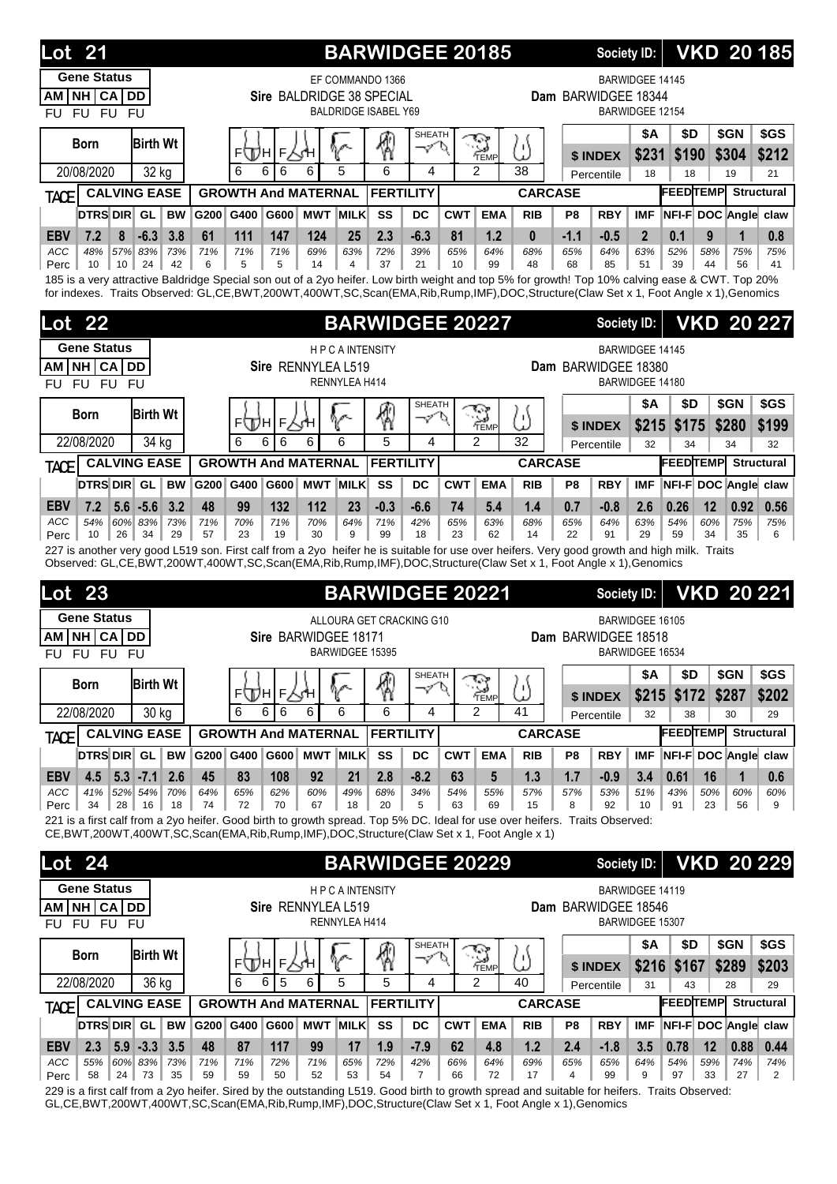| <b>Gene Status</b><br><b>BARWIDGEE 14145</b><br>EF COMMANDO 1366<br>NH CA <br><b>DD</b><br>Sire BALDRIDGE 38 SPECIAL<br>Dam BARWIDGEE 18344<br>AM<br><b>BALDRIDGE ISABEL Y69</b><br>$FU$ $FU$<br>BARWIDGEE 12154<br><b>FU</b><br><b>FU</b><br>\$GN<br>\$GS<br>\$A<br>\$D<br><b>SHEATH</b><br>₩<br><b>S</b><br><b>Birth Wt</b><br><b>Born</b><br>৺১<br>IJ<br>⊧\Дн<br>F<br>\$231<br>\$304<br>\$212<br>\$190<br>\$ INDEX<br>5<br>6<br>$\mathfrak{p}$<br>38<br>20/08/2020<br>6<br>6<br>6<br>6<br>4<br>32 kg<br>18<br>18<br>19<br>21<br>Percentile<br><b>FEEDTEMPL</b><br><b>GROWTH And MATERNAL</b><br><b>FERTILITY</b><br><b>Structural</b><br><b>CALVING EASE</b><br><b>CARCASE</b><br><b>TACE</b><br>DTRS DIR GL<br><b>MWT MILK</b><br>SS<br><b>CWT</b><br>NFI-F DOC Angle claw<br><b>BW</b><br>G200<br>G400<br>G600<br>DC<br><b>EMA</b><br><b>RIB</b><br>P <sub>8</sub><br><b>RBY</b><br><b>IMF</b><br>$-6.3$<br>61<br>111<br>147<br>2.3<br>$-6.3$<br>$-1.1$<br>$\mathbf{1}$<br>0.8<br><b>EBV</b><br>7.2<br>8<br>3.8<br>124<br>25<br>81<br>1.2<br>$\bf{0}$<br>$-0.5$<br>$\overline{2}$<br>0.1<br>9<br>ACC<br>48%<br>57% 83%<br>71%<br>71%<br>71%<br>69%<br>63%<br>72%<br>39%<br>65%<br>64%<br>64%<br>63%<br>52%<br>75%<br>73%<br>68%<br>65%<br>58%<br>75%<br>10<br>10 <sup>1</sup><br>24<br>42<br>6<br>5<br>5<br>14<br>$\overline{4}$<br>37<br>21<br>10<br>99<br>48<br>68<br>85<br>51<br>39<br>Perc<br>44<br>56<br>41<br>185 is a very attractive Baldridge Special son out of a 2yo heifer. Low birth weight and top 5% for growth! Top 10% calving ease & CWT. Top 20%<br>for indexes. Traits Observed: GL,CE,BWT,200WT,400WT,SC,Scan(EMA,Rib,Rump,IMF),DOC,Structure(Claw Set x 1, Foot Angle x 1),Genomics<br><b>BARWIDGEE 20227</b><br><b>VKD 20 227</b><br><b>Lot 22</b><br><b>Society ID:</b><br><b>Gene Status</b><br>BARWIDGEE 14145<br><b>HPCAINTENSITY</b><br>NH CA<br><b>DD</b><br>Sire RENNYLEA L519<br>Dam BARWIDGEE 18380<br>AM<br>RENNYLEA H414<br>BARWIDGEE 14180<br>FU FU<br><b>FU</b><br>FU<br>\$Α<br>\$GN<br>\$GS<br>\$D<br><b>SHEATH</b><br>\$<br>$\sum_{\text{Temp}}$<br><b>Birth Wt</b><br><b>Born</b><br>σ<br>5<br>$\varphi'$<br>⊧\Дн<br>F<br>\$215<br>\$280<br>\$199<br>\$175<br>\$ INDEX<br>5<br>6<br>6<br>6<br>$\overline{2}$<br>32<br>22/08/2020<br>6<br>6<br>4<br>34 kg<br>32<br>34<br>34<br>32<br>Percentile<br><b>FEEDTEMP</b><br><b>Structural</b><br><b>GROWTH And MATERNAL</b><br><b>FERTILITY</b><br><b>CALVING EASE</b><br><b>CARCASE</b><br><b>TACE</b><br>DTRS DIR GL<br><b>MWT MILK</b><br>SS<br>NFI-F DOC Angle claw<br><b>BW</b><br>G200<br>G400<br>G600<br>DC<br><b>CWT</b><br><b>EMA</b><br><b>RBY</b><br><b>IMF</b><br><b>RIB</b><br>P8<br><b>EBV</b><br>7.2<br>$5.6 - 5.6$<br>3.2<br>48<br>99<br>132<br>112<br>$-0.3$<br>1.4<br>0.7<br>12<br>0.92<br>0.56<br>23<br>$-6.6$<br>74<br>5.4<br>$-0.8$<br>2.6<br>0.26<br><b>ACC</b><br>54%<br>60% 83%<br>71%<br>70%<br>64%<br>71%<br>42%<br>65%<br>64%<br>63%<br>54%<br>73%<br>71%<br>70%<br>63%<br>68%<br>65%<br>60%<br>75%<br>75%<br>9<br>10<br>26 <sup>1</sup><br>34<br>29<br>57<br>23<br>19<br>30<br>99<br>18<br>23<br>62<br>14<br>22<br>91<br>29<br>59<br>34<br>35<br>6<br>Perc<br>227 is another very good L519 son. First calf from a 2yo heifer he is suitable for use over heifers. Very good growth and high milk. Traits<br>Observed: GL,CE,BWT,200WT,400WT,SC,Scan(EMA,Rib,Rump,IMF),DOC,Structure(Claw Set x 1, Foot Angle x 1),Genomics<br><b>BARWIDGEE 20221</b><br><b>VKD 20 221</b><br>23<br>Lot<br><b>Society ID:</b><br><b>Gene Status</b><br>ALLOURA GET CRACKING G10<br>BARWIDGEE 16105<br><b>NH CA</b><br>Sire BARWIDGEE 18171<br>Dam BARWIDGEE 18518<br><b>DD</b><br>ΑM<br>BARWIDGEE 15395<br>BARWIDGEE 16534<br><b>FU</b><br><b>FU</b><br>FU.<br>FU<br>\$D<br>\$Α<br>\$GN<br>\$GS<br><b>SHEATH</b><br>\$<br><b>S</b><br><b>Birth Wt</b><br><b>Born</b><br>V<br>5<br>マ<br>⊧∰н∣⊧∖√н<br>\$215<br>\$287<br>\$202<br>\$172<br>\$ INDEX<br>$\overline{2}$<br>22/08/2020<br>6<br>6<br>41<br>30 kg<br>6<br>6<br>6<br>6<br>4<br>Percentile<br>32<br>38<br>30<br>29<br><b>FEEDTEMP</b><br><b>Structural</b><br><b>GROWTH And MATERNAL</b><br><b>FERTILITY</b><br><b>CALVING EASE</b><br><b>CARCASE</b><br><b>TACE</b><br><b>DTRS DIR GL</b><br>G600 MWT MILK<br>NFI-F DOC Angle claw<br><b>BW</b><br>G200 G400<br>SS<br><b>CWT</b><br><b>EMA</b><br><b>RBY</b><br><b>IMF</b><br>DC<br><b>RIB</b><br>P8<br>4.5<br>$5.3$ -7.1<br>2.6<br>45<br>83<br>108<br>92<br>2.8<br>$-8.2$<br>63<br>5<br>1.3<br>1.7<br>$-0.9$<br>0.61<br>16<br>$\mathbf 1$<br>0.6<br><b>EBV</b><br>21<br>3.4<br>ACC<br>41%<br>52% 54%<br>70%<br>64%<br>49%<br>68%<br>34%<br>54%<br>53%<br>51%<br>50%<br>65%<br>62%<br>60%<br>55%<br>57%<br>57%<br>43%<br>60%<br>60%<br>70<br>20<br>92<br>34<br>28<br>16<br>18<br>74<br>72<br>67<br>18<br>5<br>63<br>69<br>15<br>8<br>10<br>23<br>9<br>Perc<br>91<br>56<br>221 is a first calf from a 2yo heifer. Good birth to growth spread. Top 5% DC. Ideal for use over heifers. Traits Observed:<br>CE, BWT, 200WT, 400WT, SC, Scan(EMA, Rib, Rump, IMF), DOC, Structure(Claw Set x 1, Foot Angle x 1)<br><b>VKD 20 229</b><br><b>BARWIDGEE 20229</b><br><b>Society ID:</b><br><b>Gene Status</b><br><b>HPCAINTENSITY</b><br>BARWIDGEE 14119<br>AM NH CA DD<br>Sire RENNYLEA L519<br>Dam BARWIDGEE 18546<br>RENNYLEA H414<br>BARWIDGEE 15307<br>FU FU<br><b>FU</b><br>FU<br><b>\$A</b><br>\$GN<br>\$GS<br>\$D<br><b>SHEATH</b><br>$\sum_{\text{TEMP}}$<br><b>Birth Wt</b><br><b>Born</b><br>$\varphi'$<br>P<br>5)<br>V<br>$F_{2}$<br>⊧∖Дн<br>sΉ<br>\$203<br>\$216<br>\$167<br>\$289<br>\$ INDEX<br>5<br>22/08/2020<br>5<br>6<br>5<br>4<br>2<br>40<br>36 kg<br>6<br>6<br>31<br>43<br>Percentile<br>28<br>29<br><b>FEEDTEMP</b><br><b>FERTILITY</b><br><b>Structural</b><br><b>CALVING EASE</b><br><b>GROWTH And MATERNAL</b><br><b>CARCASE</b> | <b>Lot 24</b><br><b>TACE</b><br>DTRS DIR GL<br>G600 MWT MILK<br>NFI-F DOC Angle claw<br><b>BW</b><br>G200 G400<br>SS<br><b>DC</b><br><b>CWT</b><br><b>EMA</b><br><b>RIB</b><br>P8<br><b>RBY</b><br><b>IMF</b><br>2.3<br>$5.9 - 3.3$<br>3.5<br>48<br>87<br>117<br>62<br>1.2<br>2.4<br>12<br>99<br>17<br>1.9<br>$-7.9$<br>4.8<br>$-1.8$<br>3.5<br>0.78<br>0.88<br>0.44<br><b>EBV</b> | 21<br>Lot |  |  |  | <b>BARWIDGEE 20185</b> |  | <b>Society ID:</b> |  |  | <b>VKD 20185</b> |
|-----------------------------------------------------------------------------------------------------------------------------------------------------------------------------------------------------------------------------------------------------------------------------------------------------------------------------------------------------------------------------------------------------------------------------------------------------------------------------------------------------------------------------------------------------------------------------------------------------------------------------------------------------------------------------------------------------------------------------------------------------------------------------------------------------------------------------------------------------------------------------------------------------------------------------------------------------------------------------------------------------------------------------------------------------------------------------------------------------------------------------------------------------------------------------------------------------------------------------------------------------------------------------------------------------------------------------------------------------------------------------------------------------------------------------------------------------------------------------------------------------------------------------------------------------------------------------------------------------------------------------------------------------------------------------------------------------------------------------------------------------------------------------------------------------------------------------------------------------------------------------------------------------------------------------------------------------------------------------------------------------------------------------------------------------------------------------------------------------------------------------------------------------------------------------------------------------------------------------------------------------------------------------------------------------------------------------------------------------------------------------------------------------------------------------------------------------------------------------------------------------------------------------------------------------------------------------------------------------------------------------------------------------------------------------------------------------------------------------------------------------------------------------------------------------------------------------------------------------------------------------------------------------------------------------------------------------------------------------------------------------------------------------------------------------------------------------------------------------------------------------------------------------------------------------------------------------------------------------------------------------------------------------------------------------------------------------------------------------------------------------------------------------------------------------------------------------------------------------------------------------------------------------------------------------------------------------------------------------------------------------------------------------------------------------------------------------------------------------------------------------------------------------------------------------------------------------------------------------------------------------------------------------------------------------------------------------------------------------------------------------------------------------------------------------------------------------------------------------------------------------------------------------------------------------------------------------------------------------------------------------------------------------------------------------------------------------------------------------------------------------------------------------------------------------------------------------------------------------------------------------------------------------------------------------------------------------------------------------------------------------------------------------------------------------------------------------------------------------------------------------------------------------------------------------------------------------------------------------------------------------------------------------------------------------------------------------------------------------------------------------------------------------------------------------------------------------------------------------------------------------------------------------------------------------------------------------------------------------------------------------------------------------------------------------------------------------------------------------------------------------------------------------------------------------------------------------------------------------------------------------------------------------------------------------------------------------------------------------------------------------------------------------------------------------------------------------------------------------------------------------------------------------------------------------------------------------------------------------------|------------------------------------------------------------------------------------------------------------------------------------------------------------------------------------------------------------------------------------------------------------------------------------------------------------------------------------------------------------------------------------|-----------|--|--|--|------------------------|--|--------------------|--|--|------------------|
|                                                                                                                                                                                                                                                                                                                                                                                                                                                                                                                                                                                                                                                                                                                                                                                                                                                                                                                                                                                                                                                                                                                                                                                                                                                                                                                                                                                                                                                                                                                                                                                                                                                                                                                                                                                                                                                                                                                                                                                                                                                                                                                                                                                                                                                                                                                                                                                                                                                                                                                                                                                                                                                                                                                                                                                                                                                                                                                                                                                                                                                                                                                                                                                                                                                                                                                                                                                                                                                                                                                                                                                                                                                                                                                                                                                                                                                                                                                                                                                                                                                                                                                                                                                                                                                                                                                                                                                                                                                                                                                                                                                                                                                                                                                                                                                                                                                                                                                                                                                                                                                                                                                                                                                                                                                                                                                                                                                                                                                                                                                                                                                                                                                                                                                                                                                                                                                           |                                                                                                                                                                                                                                                                                                                                                                                    |           |  |  |  |                        |  |                    |  |  |                  |
|                                                                                                                                                                                                                                                                                                                                                                                                                                                                                                                                                                                                                                                                                                                                                                                                                                                                                                                                                                                                                                                                                                                                                                                                                                                                                                                                                                                                                                                                                                                                                                                                                                                                                                                                                                                                                                                                                                                                                                                                                                                                                                                                                                                                                                                                                                                                                                                                                                                                                                                                                                                                                                                                                                                                                                                                                                                                                                                                                                                                                                                                                                                                                                                                                                                                                                                                                                                                                                                                                                                                                                                                                                                                                                                                                                                                                                                                                                                                                                                                                                                                                                                                                                                                                                                                                                                                                                                                                                                                                                                                                                                                                                                                                                                                                                                                                                                                                                                                                                                                                                                                                                                                                                                                                                                                                                                                                                                                                                                                                                                                                                                                                                                                                                                                                                                                                                                           |                                                                                                                                                                                                                                                                                                                                                                                    |           |  |  |  |                        |  |                    |  |  |                  |
|                                                                                                                                                                                                                                                                                                                                                                                                                                                                                                                                                                                                                                                                                                                                                                                                                                                                                                                                                                                                                                                                                                                                                                                                                                                                                                                                                                                                                                                                                                                                                                                                                                                                                                                                                                                                                                                                                                                                                                                                                                                                                                                                                                                                                                                                                                                                                                                                                                                                                                                                                                                                                                                                                                                                                                                                                                                                                                                                                                                                                                                                                                                                                                                                                                                                                                                                                                                                                                                                                                                                                                                                                                                                                                                                                                                                                                                                                                                                                                                                                                                                                                                                                                                                                                                                                                                                                                                                                                                                                                                                                                                                                                                                                                                                                                                                                                                                                                                                                                                                                                                                                                                                                                                                                                                                                                                                                                                                                                                                                                                                                                                                                                                                                                                                                                                                                                                           |                                                                                                                                                                                                                                                                                                                                                                                    |           |  |  |  |                        |  |                    |  |  |                  |
|                                                                                                                                                                                                                                                                                                                                                                                                                                                                                                                                                                                                                                                                                                                                                                                                                                                                                                                                                                                                                                                                                                                                                                                                                                                                                                                                                                                                                                                                                                                                                                                                                                                                                                                                                                                                                                                                                                                                                                                                                                                                                                                                                                                                                                                                                                                                                                                                                                                                                                                                                                                                                                                                                                                                                                                                                                                                                                                                                                                                                                                                                                                                                                                                                                                                                                                                                                                                                                                                                                                                                                                                                                                                                                                                                                                                                                                                                                                                                                                                                                                                                                                                                                                                                                                                                                                                                                                                                                                                                                                                                                                                                                                                                                                                                                                                                                                                                                                                                                                                                                                                                                                                                                                                                                                                                                                                                                                                                                                                                                                                                                                                                                                                                                                                                                                                                                                           |                                                                                                                                                                                                                                                                                                                                                                                    |           |  |  |  |                        |  |                    |  |  |                  |
|                                                                                                                                                                                                                                                                                                                                                                                                                                                                                                                                                                                                                                                                                                                                                                                                                                                                                                                                                                                                                                                                                                                                                                                                                                                                                                                                                                                                                                                                                                                                                                                                                                                                                                                                                                                                                                                                                                                                                                                                                                                                                                                                                                                                                                                                                                                                                                                                                                                                                                                                                                                                                                                                                                                                                                                                                                                                                                                                                                                                                                                                                                                                                                                                                                                                                                                                                                                                                                                                                                                                                                                                                                                                                                                                                                                                                                                                                                                                                                                                                                                                                                                                                                                                                                                                                                                                                                                                                                                                                                                                                                                                                                                                                                                                                                                                                                                                                                                                                                                                                                                                                                                                                                                                                                                                                                                                                                                                                                                                                                                                                                                                                                                                                                                                                                                                                                                           |                                                                                                                                                                                                                                                                                                                                                                                    |           |  |  |  |                        |  |                    |  |  |                  |
|                                                                                                                                                                                                                                                                                                                                                                                                                                                                                                                                                                                                                                                                                                                                                                                                                                                                                                                                                                                                                                                                                                                                                                                                                                                                                                                                                                                                                                                                                                                                                                                                                                                                                                                                                                                                                                                                                                                                                                                                                                                                                                                                                                                                                                                                                                                                                                                                                                                                                                                                                                                                                                                                                                                                                                                                                                                                                                                                                                                                                                                                                                                                                                                                                                                                                                                                                                                                                                                                                                                                                                                                                                                                                                                                                                                                                                                                                                                                                                                                                                                                                                                                                                                                                                                                                                                                                                                                                                                                                                                                                                                                                                                                                                                                                                                                                                                                                                                                                                                                                                                                                                                                                                                                                                                                                                                                                                                                                                                                                                                                                                                                                                                                                                                                                                                                                                                           |                                                                                                                                                                                                                                                                                                                                                                                    |           |  |  |  |                        |  |                    |  |  |                  |
|                                                                                                                                                                                                                                                                                                                                                                                                                                                                                                                                                                                                                                                                                                                                                                                                                                                                                                                                                                                                                                                                                                                                                                                                                                                                                                                                                                                                                                                                                                                                                                                                                                                                                                                                                                                                                                                                                                                                                                                                                                                                                                                                                                                                                                                                                                                                                                                                                                                                                                                                                                                                                                                                                                                                                                                                                                                                                                                                                                                                                                                                                                                                                                                                                                                                                                                                                                                                                                                                                                                                                                                                                                                                                                                                                                                                                                                                                                                                                                                                                                                                                                                                                                                                                                                                                                                                                                                                                                                                                                                                                                                                                                                                                                                                                                                                                                                                                                                                                                                                                                                                                                                                                                                                                                                                                                                                                                                                                                                                                                                                                                                                                                                                                                                                                                                                                                                           |                                                                                                                                                                                                                                                                                                                                                                                    |           |  |  |  |                        |  |                    |  |  |                  |
|                                                                                                                                                                                                                                                                                                                                                                                                                                                                                                                                                                                                                                                                                                                                                                                                                                                                                                                                                                                                                                                                                                                                                                                                                                                                                                                                                                                                                                                                                                                                                                                                                                                                                                                                                                                                                                                                                                                                                                                                                                                                                                                                                                                                                                                                                                                                                                                                                                                                                                                                                                                                                                                                                                                                                                                                                                                                                                                                                                                                                                                                                                                                                                                                                                                                                                                                                                                                                                                                                                                                                                                                                                                                                                                                                                                                                                                                                                                                                                                                                                                                                                                                                                                                                                                                                                                                                                                                                                                                                                                                                                                                                                                                                                                                                                                                                                                                                                                                                                                                                                                                                                                                                                                                                                                                                                                                                                                                                                                                                                                                                                                                                                                                                                                                                                                                                                                           |                                                                                                                                                                                                                                                                                                                                                                                    |           |  |  |  |                        |  |                    |  |  |                  |
|                                                                                                                                                                                                                                                                                                                                                                                                                                                                                                                                                                                                                                                                                                                                                                                                                                                                                                                                                                                                                                                                                                                                                                                                                                                                                                                                                                                                                                                                                                                                                                                                                                                                                                                                                                                                                                                                                                                                                                                                                                                                                                                                                                                                                                                                                                                                                                                                                                                                                                                                                                                                                                                                                                                                                                                                                                                                                                                                                                                                                                                                                                                                                                                                                                                                                                                                                                                                                                                                                                                                                                                                                                                                                                                                                                                                                                                                                                                                                                                                                                                                                                                                                                                                                                                                                                                                                                                                                                                                                                                                                                                                                                                                                                                                                                                                                                                                                                                                                                                                                                                                                                                                                                                                                                                                                                                                                                                                                                                                                                                                                                                                                                                                                                                                                                                                                                                           |                                                                                                                                                                                                                                                                                                                                                                                    |           |  |  |  |                        |  |                    |  |  |                  |
|                                                                                                                                                                                                                                                                                                                                                                                                                                                                                                                                                                                                                                                                                                                                                                                                                                                                                                                                                                                                                                                                                                                                                                                                                                                                                                                                                                                                                                                                                                                                                                                                                                                                                                                                                                                                                                                                                                                                                                                                                                                                                                                                                                                                                                                                                                                                                                                                                                                                                                                                                                                                                                                                                                                                                                                                                                                                                                                                                                                                                                                                                                                                                                                                                                                                                                                                                                                                                                                                                                                                                                                                                                                                                                                                                                                                                                                                                                                                                                                                                                                                                                                                                                                                                                                                                                                                                                                                                                                                                                                                                                                                                                                                                                                                                                                                                                                                                                                                                                                                                                                                                                                                                                                                                                                                                                                                                                                                                                                                                                                                                                                                                                                                                                                                                                                                                                                           |                                                                                                                                                                                                                                                                                                                                                                                    |           |  |  |  |                        |  |                    |  |  |                  |
|                                                                                                                                                                                                                                                                                                                                                                                                                                                                                                                                                                                                                                                                                                                                                                                                                                                                                                                                                                                                                                                                                                                                                                                                                                                                                                                                                                                                                                                                                                                                                                                                                                                                                                                                                                                                                                                                                                                                                                                                                                                                                                                                                                                                                                                                                                                                                                                                                                                                                                                                                                                                                                                                                                                                                                                                                                                                                                                                                                                                                                                                                                                                                                                                                                                                                                                                                                                                                                                                                                                                                                                                                                                                                                                                                                                                                                                                                                                                                                                                                                                                                                                                                                                                                                                                                                                                                                                                                                                                                                                                                                                                                                                                                                                                                                                                                                                                                                                                                                                                                                                                                                                                                                                                                                                                                                                                                                                                                                                                                                                                                                                                                                                                                                                                                                                                                                                           |                                                                                                                                                                                                                                                                                                                                                                                    |           |  |  |  |                        |  |                    |  |  |                  |
|                                                                                                                                                                                                                                                                                                                                                                                                                                                                                                                                                                                                                                                                                                                                                                                                                                                                                                                                                                                                                                                                                                                                                                                                                                                                                                                                                                                                                                                                                                                                                                                                                                                                                                                                                                                                                                                                                                                                                                                                                                                                                                                                                                                                                                                                                                                                                                                                                                                                                                                                                                                                                                                                                                                                                                                                                                                                                                                                                                                                                                                                                                                                                                                                                                                                                                                                                                                                                                                                                                                                                                                                                                                                                                                                                                                                                                                                                                                                                                                                                                                                                                                                                                                                                                                                                                                                                                                                                                                                                                                                                                                                                                                                                                                                                                                                                                                                                                                                                                                                                                                                                                                                                                                                                                                                                                                                                                                                                                                                                                                                                                                                                                                                                                                                                                                                                                                           |                                                                                                                                                                                                                                                                                                                                                                                    |           |  |  |  |                        |  |                    |  |  |                  |
|                                                                                                                                                                                                                                                                                                                                                                                                                                                                                                                                                                                                                                                                                                                                                                                                                                                                                                                                                                                                                                                                                                                                                                                                                                                                                                                                                                                                                                                                                                                                                                                                                                                                                                                                                                                                                                                                                                                                                                                                                                                                                                                                                                                                                                                                                                                                                                                                                                                                                                                                                                                                                                                                                                                                                                                                                                                                                                                                                                                                                                                                                                                                                                                                                                                                                                                                                                                                                                                                                                                                                                                                                                                                                                                                                                                                                                                                                                                                                                                                                                                                                                                                                                                                                                                                                                                                                                                                                                                                                                                                                                                                                                                                                                                                                                                                                                                                                                                                                                                                                                                                                                                                                                                                                                                                                                                                                                                                                                                                                                                                                                                                                                                                                                                                                                                                                                                           |                                                                                                                                                                                                                                                                                                                                                                                    |           |  |  |  |                        |  |                    |  |  |                  |
|                                                                                                                                                                                                                                                                                                                                                                                                                                                                                                                                                                                                                                                                                                                                                                                                                                                                                                                                                                                                                                                                                                                                                                                                                                                                                                                                                                                                                                                                                                                                                                                                                                                                                                                                                                                                                                                                                                                                                                                                                                                                                                                                                                                                                                                                                                                                                                                                                                                                                                                                                                                                                                                                                                                                                                                                                                                                                                                                                                                                                                                                                                                                                                                                                                                                                                                                                                                                                                                                                                                                                                                                                                                                                                                                                                                                                                                                                                                                                                                                                                                                                                                                                                                                                                                                                                                                                                                                                                                                                                                                                                                                                                                                                                                                                                                                                                                                                                                                                                                                                                                                                                                                                                                                                                                                                                                                                                                                                                                                                                                                                                                                                                                                                                                                                                                                                                                           |                                                                                                                                                                                                                                                                                                                                                                                    |           |  |  |  |                        |  |                    |  |  |                  |
|                                                                                                                                                                                                                                                                                                                                                                                                                                                                                                                                                                                                                                                                                                                                                                                                                                                                                                                                                                                                                                                                                                                                                                                                                                                                                                                                                                                                                                                                                                                                                                                                                                                                                                                                                                                                                                                                                                                                                                                                                                                                                                                                                                                                                                                                                                                                                                                                                                                                                                                                                                                                                                                                                                                                                                                                                                                                                                                                                                                                                                                                                                                                                                                                                                                                                                                                                                                                                                                                                                                                                                                                                                                                                                                                                                                                                                                                                                                                                                                                                                                                                                                                                                                                                                                                                                                                                                                                                                                                                                                                                                                                                                                                                                                                                                                                                                                                                                                                                                                                                                                                                                                                                                                                                                                                                                                                                                                                                                                                                                                                                                                                                                                                                                                                                                                                                                                           |                                                                                                                                                                                                                                                                                                                                                                                    |           |  |  |  |                        |  |                    |  |  |                  |
|                                                                                                                                                                                                                                                                                                                                                                                                                                                                                                                                                                                                                                                                                                                                                                                                                                                                                                                                                                                                                                                                                                                                                                                                                                                                                                                                                                                                                                                                                                                                                                                                                                                                                                                                                                                                                                                                                                                                                                                                                                                                                                                                                                                                                                                                                                                                                                                                                                                                                                                                                                                                                                                                                                                                                                                                                                                                                                                                                                                                                                                                                                                                                                                                                                                                                                                                                                                                                                                                                                                                                                                                                                                                                                                                                                                                                                                                                                                                                                                                                                                                                                                                                                                                                                                                                                                                                                                                                                                                                                                                                                                                                                                                                                                                                                                                                                                                                                                                                                                                                                                                                                                                                                                                                                                                                                                                                                                                                                                                                                                                                                                                                                                                                                                                                                                                                                                           |                                                                                                                                                                                                                                                                                                                                                                                    |           |  |  |  |                        |  |                    |  |  |                  |
|                                                                                                                                                                                                                                                                                                                                                                                                                                                                                                                                                                                                                                                                                                                                                                                                                                                                                                                                                                                                                                                                                                                                                                                                                                                                                                                                                                                                                                                                                                                                                                                                                                                                                                                                                                                                                                                                                                                                                                                                                                                                                                                                                                                                                                                                                                                                                                                                                                                                                                                                                                                                                                                                                                                                                                                                                                                                                                                                                                                                                                                                                                                                                                                                                                                                                                                                                                                                                                                                                                                                                                                                                                                                                                                                                                                                                                                                                                                                                                                                                                                                                                                                                                                                                                                                                                                                                                                                                                                                                                                                                                                                                                                                                                                                                                                                                                                                                                                                                                                                                                                                                                                                                                                                                                                                                                                                                                                                                                                                                                                                                                                                                                                                                                                                                                                                                                                           |                                                                                                                                                                                                                                                                                                                                                                                    |           |  |  |  |                        |  |                    |  |  |                  |
|                                                                                                                                                                                                                                                                                                                                                                                                                                                                                                                                                                                                                                                                                                                                                                                                                                                                                                                                                                                                                                                                                                                                                                                                                                                                                                                                                                                                                                                                                                                                                                                                                                                                                                                                                                                                                                                                                                                                                                                                                                                                                                                                                                                                                                                                                                                                                                                                                                                                                                                                                                                                                                                                                                                                                                                                                                                                                                                                                                                                                                                                                                                                                                                                                                                                                                                                                                                                                                                                                                                                                                                                                                                                                                                                                                                                                                                                                                                                                                                                                                                                                                                                                                                                                                                                                                                                                                                                                                                                                                                                                                                                                                                                                                                                                                                                                                                                                                                                                                                                                                                                                                                                                                                                                                                                                                                                                                                                                                                                                                                                                                                                                                                                                                                                                                                                                                                           |                                                                                                                                                                                                                                                                                                                                                                                    |           |  |  |  |                        |  |                    |  |  |                  |
|                                                                                                                                                                                                                                                                                                                                                                                                                                                                                                                                                                                                                                                                                                                                                                                                                                                                                                                                                                                                                                                                                                                                                                                                                                                                                                                                                                                                                                                                                                                                                                                                                                                                                                                                                                                                                                                                                                                                                                                                                                                                                                                                                                                                                                                                                                                                                                                                                                                                                                                                                                                                                                                                                                                                                                                                                                                                                                                                                                                                                                                                                                                                                                                                                                                                                                                                                                                                                                                                                                                                                                                                                                                                                                                                                                                                                                                                                                                                                                                                                                                                                                                                                                                                                                                                                                                                                                                                                                                                                                                                                                                                                                                                                                                                                                                                                                                                                                                                                                                                                                                                                                                                                                                                                                                                                                                                                                                                                                                                                                                                                                                                                                                                                                                                                                                                                                                           |                                                                                                                                                                                                                                                                                                                                                                                    |           |  |  |  |                        |  |                    |  |  |                  |
|                                                                                                                                                                                                                                                                                                                                                                                                                                                                                                                                                                                                                                                                                                                                                                                                                                                                                                                                                                                                                                                                                                                                                                                                                                                                                                                                                                                                                                                                                                                                                                                                                                                                                                                                                                                                                                                                                                                                                                                                                                                                                                                                                                                                                                                                                                                                                                                                                                                                                                                                                                                                                                                                                                                                                                                                                                                                                                                                                                                                                                                                                                                                                                                                                                                                                                                                                                                                                                                                                                                                                                                                                                                                                                                                                                                                                                                                                                                                                                                                                                                                                                                                                                                                                                                                                                                                                                                                                                                                                                                                                                                                                                                                                                                                                                                                                                                                                                                                                                                                                                                                                                                                                                                                                                                                                                                                                                                                                                                                                                                                                                                                                                                                                                                                                                                                                                                           |                                                                                                                                                                                                                                                                                                                                                                                    |           |  |  |  |                        |  |                    |  |  |                  |
|                                                                                                                                                                                                                                                                                                                                                                                                                                                                                                                                                                                                                                                                                                                                                                                                                                                                                                                                                                                                                                                                                                                                                                                                                                                                                                                                                                                                                                                                                                                                                                                                                                                                                                                                                                                                                                                                                                                                                                                                                                                                                                                                                                                                                                                                                                                                                                                                                                                                                                                                                                                                                                                                                                                                                                                                                                                                                                                                                                                                                                                                                                                                                                                                                                                                                                                                                                                                                                                                                                                                                                                                                                                                                                                                                                                                                                                                                                                                                                                                                                                                                                                                                                                                                                                                                                                                                                                                                                                                                                                                                                                                                                                                                                                                                                                                                                                                                                                                                                                                                                                                                                                                                                                                                                                                                                                                                                                                                                                                                                                                                                                                                                                                                                                                                                                                                                                           |                                                                                                                                                                                                                                                                                                                                                                                    |           |  |  |  |                        |  |                    |  |  |                  |
|                                                                                                                                                                                                                                                                                                                                                                                                                                                                                                                                                                                                                                                                                                                                                                                                                                                                                                                                                                                                                                                                                                                                                                                                                                                                                                                                                                                                                                                                                                                                                                                                                                                                                                                                                                                                                                                                                                                                                                                                                                                                                                                                                                                                                                                                                                                                                                                                                                                                                                                                                                                                                                                                                                                                                                                                                                                                                                                                                                                                                                                                                                                                                                                                                                                                                                                                                                                                                                                                                                                                                                                                                                                                                                                                                                                                                                                                                                                                                                                                                                                                                                                                                                                                                                                                                                                                                                                                                                                                                                                                                                                                                                                                                                                                                                                                                                                                                                                                                                                                                                                                                                                                                                                                                                                                                                                                                                                                                                                                                                                                                                                                                                                                                                                                                                                                                                                           |                                                                                                                                                                                                                                                                                                                                                                                    |           |  |  |  |                        |  |                    |  |  |                  |
|                                                                                                                                                                                                                                                                                                                                                                                                                                                                                                                                                                                                                                                                                                                                                                                                                                                                                                                                                                                                                                                                                                                                                                                                                                                                                                                                                                                                                                                                                                                                                                                                                                                                                                                                                                                                                                                                                                                                                                                                                                                                                                                                                                                                                                                                                                                                                                                                                                                                                                                                                                                                                                                                                                                                                                                                                                                                                                                                                                                                                                                                                                                                                                                                                                                                                                                                                                                                                                                                                                                                                                                                                                                                                                                                                                                                                                                                                                                                                                                                                                                                                                                                                                                                                                                                                                                                                                                                                                                                                                                                                                                                                                                                                                                                                                                                                                                                                                                                                                                                                                                                                                                                                                                                                                                                                                                                                                                                                                                                                                                                                                                                                                                                                                                                                                                                                                                           |                                                                                                                                                                                                                                                                                                                                                                                    |           |  |  |  |                        |  |                    |  |  |                  |
|                                                                                                                                                                                                                                                                                                                                                                                                                                                                                                                                                                                                                                                                                                                                                                                                                                                                                                                                                                                                                                                                                                                                                                                                                                                                                                                                                                                                                                                                                                                                                                                                                                                                                                                                                                                                                                                                                                                                                                                                                                                                                                                                                                                                                                                                                                                                                                                                                                                                                                                                                                                                                                                                                                                                                                                                                                                                                                                                                                                                                                                                                                                                                                                                                                                                                                                                                                                                                                                                                                                                                                                                                                                                                                                                                                                                                                                                                                                                                                                                                                                                                                                                                                                                                                                                                                                                                                                                                                                                                                                                                                                                                                                                                                                                                                                                                                                                                                                                                                                                                                                                                                                                                                                                                                                                                                                                                                                                                                                                                                                                                                                                                                                                                                                                                                                                                                                           |                                                                                                                                                                                                                                                                                                                                                                                    |           |  |  |  |                        |  |                    |  |  |                  |
|                                                                                                                                                                                                                                                                                                                                                                                                                                                                                                                                                                                                                                                                                                                                                                                                                                                                                                                                                                                                                                                                                                                                                                                                                                                                                                                                                                                                                                                                                                                                                                                                                                                                                                                                                                                                                                                                                                                                                                                                                                                                                                                                                                                                                                                                                                                                                                                                                                                                                                                                                                                                                                                                                                                                                                                                                                                                                                                                                                                                                                                                                                                                                                                                                                                                                                                                                                                                                                                                                                                                                                                                                                                                                                                                                                                                                                                                                                                                                                                                                                                                                                                                                                                                                                                                                                                                                                                                                                                                                                                                                                                                                                                                                                                                                                                                                                                                                                                                                                                                                                                                                                                                                                                                                                                                                                                                                                                                                                                                                                                                                                                                                                                                                                                                                                                                                                                           |                                                                                                                                                                                                                                                                                                                                                                                    |           |  |  |  |                        |  |                    |  |  |                  |
|                                                                                                                                                                                                                                                                                                                                                                                                                                                                                                                                                                                                                                                                                                                                                                                                                                                                                                                                                                                                                                                                                                                                                                                                                                                                                                                                                                                                                                                                                                                                                                                                                                                                                                                                                                                                                                                                                                                                                                                                                                                                                                                                                                                                                                                                                                                                                                                                                                                                                                                                                                                                                                                                                                                                                                                                                                                                                                                                                                                                                                                                                                                                                                                                                                                                                                                                                                                                                                                                                                                                                                                                                                                                                                                                                                                                                                                                                                                                                                                                                                                                                                                                                                                                                                                                                                                                                                                                                                                                                                                                                                                                                                                                                                                                                                                                                                                                                                                                                                                                                                                                                                                                                                                                                                                                                                                                                                                                                                                                                                                                                                                                                                                                                                                                                                                                                                                           |                                                                                                                                                                                                                                                                                                                                                                                    |           |  |  |  |                        |  |                    |  |  |                  |
|                                                                                                                                                                                                                                                                                                                                                                                                                                                                                                                                                                                                                                                                                                                                                                                                                                                                                                                                                                                                                                                                                                                                                                                                                                                                                                                                                                                                                                                                                                                                                                                                                                                                                                                                                                                                                                                                                                                                                                                                                                                                                                                                                                                                                                                                                                                                                                                                                                                                                                                                                                                                                                                                                                                                                                                                                                                                                                                                                                                                                                                                                                                                                                                                                                                                                                                                                                                                                                                                                                                                                                                                                                                                                                                                                                                                                                                                                                                                                                                                                                                                                                                                                                                                                                                                                                                                                                                                                                                                                                                                                                                                                                                                                                                                                                                                                                                                                                                                                                                                                                                                                                                                                                                                                                                                                                                                                                                                                                                                                                                                                                                                                                                                                                                                                                                                                                                           |                                                                                                                                                                                                                                                                                                                                                                                    |           |  |  |  |                        |  |                    |  |  |                  |
|                                                                                                                                                                                                                                                                                                                                                                                                                                                                                                                                                                                                                                                                                                                                                                                                                                                                                                                                                                                                                                                                                                                                                                                                                                                                                                                                                                                                                                                                                                                                                                                                                                                                                                                                                                                                                                                                                                                                                                                                                                                                                                                                                                                                                                                                                                                                                                                                                                                                                                                                                                                                                                                                                                                                                                                                                                                                                                                                                                                                                                                                                                                                                                                                                                                                                                                                                                                                                                                                                                                                                                                                                                                                                                                                                                                                                                                                                                                                                                                                                                                                                                                                                                                                                                                                                                                                                                                                                                                                                                                                                                                                                                                                                                                                                                                                                                                                                                                                                                                                                                                                                                                                                                                                                                                                                                                                                                                                                                                                                                                                                                                                                                                                                                                                                                                                                                                           |                                                                                                                                                                                                                                                                                                                                                                                    |           |  |  |  |                        |  |                    |  |  |                  |
|                                                                                                                                                                                                                                                                                                                                                                                                                                                                                                                                                                                                                                                                                                                                                                                                                                                                                                                                                                                                                                                                                                                                                                                                                                                                                                                                                                                                                                                                                                                                                                                                                                                                                                                                                                                                                                                                                                                                                                                                                                                                                                                                                                                                                                                                                                                                                                                                                                                                                                                                                                                                                                                                                                                                                                                                                                                                                                                                                                                                                                                                                                                                                                                                                                                                                                                                                                                                                                                                                                                                                                                                                                                                                                                                                                                                                                                                                                                                                                                                                                                                                                                                                                                                                                                                                                                                                                                                                                                                                                                                                                                                                                                                                                                                                                                                                                                                                                                                                                                                                                                                                                                                                                                                                                                                                                                                                                                                                                                                                                                                                                                                                                                                                                                                                                                                                                                           |                                                                                                                                                                                                                                                                                                                                                                                    |           |  |  |  |                        |  |                    |  |  |                  |
|                                                                                                                                                                                                                                                                                                                                                                                                                                                                                                                                                                                                                                                                                                                                                                                                                                                                                                                                                                                                                                                                                                                                                                                                                                                                                                                                                                                                                                                                                                                                                                                                                                                                                                                                                                                                                                                                                                                                                                                                                                                                                                                                                                                                                                                                                                                                                                                                                                                                                                                                                                                                                                                                                                                                                                                                                                                                                                                                                                                                                                                                                                                                                                                                                                                                                                                                                                                                                                                                                                                                                                                                                                                                                                                                                                                                                                                                                                                                                                                                                                                                                                                                                                                                                                                                                                                                                                                                                                                                                                                                                                                                                                                                                                                                                                                                                                                                                                                                                                                                                                                                                                                                                                                                                                                                                                                                                                                                                                                                                                                                                                                                                                                                                                                                                                                                                                                           |                                                                                                                                                                                                                                                                                                                                                                                    |           |  |  |  |                        |  |                    |  |  |                  |
|                                                                                                                                                                                                                                                                                                                                                                                                                                                                                                                                                                                                                                                                                                                                                                                                                                                                                                                                                                                                                                                                                                                                                                                                                                                                                                                                                                                                                                                                                                                                                                                                                                                                                                                                                                                                                                                                                                                                                                                                                                                                                                                                                                                                                                                                                                                                                                                                                                                                                                                                                                                                                                                                                                                                                                                                                                                                                                                                                                                                                                                                                                                                                                                                                                                                                                                                                                                                                                                                                                                                                                                                                                                                                                                                                                                                                                                                                                                                                                                                                                                                                                                                                                                                                                                                                                                                                                                                                                                                                                                                                                                                                                                                                                                                                                                                                                                                                                                                                                                                                                                                                                                                                                                                                                                                                                                                                                                                                                                                                                                                                                                                                                                                                                                                                                                                                                                           |                                                                                                                                                                                                                                                                                                                                                                                    |           |  |  |  |                        |  |                    |  |  |                  |
|                                                                                                                                                                                                                                                                                                                                                                                                                                                                                                                                                                                                                                                                                                                                                                                                                                                                                                                                                                                                                                                                                                                                                                                                                                                                                                                                                                                                                                                                                                                                                                                                                                                                                                                                                                                                                                                                                                                                                                                                                                                                                                                                                                                                                                                                                                                                                                                                                                                                                                                                                                                                                                                                                                                                                                                                                                                                                                                                                                                                                                                                                                                                                                                                                                                                                                                                                                                                                                                                                                                                                                                                                                                                                                                                                                                                                                                                                                                                                                                                                                                                                                                                                                                                                                                                                                                                                                                                                                                                                                                                                                                                                                                                                                                                                                                                                                                                                                                                                                                                                                                                                                                                                                                                                                                                                                                                                                                                                                                                                                                                                                                                                                                                                                                                                                                                                                                           |                                                                                                                                                                                                                                                                                                                                                                                    |           |  |  |  |                        |  |                    |  |  |                  |
|                                                                                                                                                                                                                                                                                                                                                                                                                                                                                                                                                                                                                                                                                                                                                                                                                                                                                                                                                                                                                                                                                                                                                                                                                                                                                                                                                                                                                                                                                                                                                                                                                                                                                                                                                                                                                                                                                                                                                                                                                                                                                                                                                                                                                                                                                                                                                                                                                                                                                                                                                                                                                                                                                                                                                                                                                                                                                                                                                                                                                                                                                                                                                                                                                                                                                                                                                                                                                                                                                                                                                                                                                                                                                                                                                                                                                                                                                                                                                                                                                                                                                                                                                                                                                                                                                                                                                                                                                                                                                                                                                                                                                                                                                                                                                                                                                                                                                                                                                                                                                                                                                                                                                                                                                                                                                                                                                                                                                                                                                                                                                                                                                                                                                                                                                                                                                                                           |                                                                                                                                                                                                                                                                                                                                                                                    |           |  |  |  |                        |  |                    |  |  |                  |
|                                                                                                                                                                                                                                                                                                                                                                                                                                                                                                                                                                                                                                                                                                                                                                                                                                                                                                                                                                                                                                                                                                                                                                                                                                                                                                                                                                                                                                                                                                                                                                                                                                                                                                                                                                                                                                                                                                                                                                                                                                                                                                                                                                                                                                                                                                                                                                                                                                                                                                                                                                                                                                                                                                                                                                                                                                                                                                                                                                                                                                                                                                                                                                                                                                                                                                                                                                                                                                                                                                                                                                                                                                                                                                                                                                                                                                                                                                                                                                                                                                                                                                                                                                                                                                                                                                                                                                                                                                                                                                                                                                                                                                                                                                                                                                                                                                                                                                                                                                                                                                                                                                                                                                                                                                                                                                                                                                                                                                                                                                                                                                                                                                                                                                                                                                                                                                                           |                                                                                                                                                                                                                                                                                                                                                                                    |           |  |  |  |                        |  |                    |  |  |                  |
|                                                                                                                                                                                                                                                                                                                                                                                                                                                                                                                                                                                                                                                                                                                                                                                                                                                                                                                                                                                                                                                                                                                                                                                                                                                                                                                                                                                                                                                                                                                                                                                                                                                                                                                                                                                                                                                                                                                                                                                                                                                                                                                                                                                                                                                                                                                                                                                                                                                                                                                                                                                                                                                                                                                                                                                                                                                                                                                                                                                                                                                                                                                                                                                                                                                                                                                                                                                                                                                                                                                                                                                                                                                                                                                                                                                                                                                                                                                                                                                                                                                                                                                                                                                                                                                                                                                                                                                                                                                                                                                                                                                                                                                                                                                                                                                                                                                                                                                                                                                                                                                                                                                                                                                                                                                                                                                                                                                                                                                                                                                                                                                                                                                                                                                                                                                                                                                           |                                                                                                                                                                                                                                                                                                                                                                                    |           |  |  |  |                        |  |                    |  |  |                  |
|                                                                                                                                                                                                                                                                                                                                                                                                                                                                                                                                                                                                                                                                                                                                                                                                                                                                                                                                                                                                                                                                                                                                                                                                                                                                                                                                                                                                                                                                                                                                                                                                                                                                                                                                                                                                                                                                                                                                                                                                                                                                                                                                                                                                                                                                                                                                                                                                                                                                                                                                                                                                                                                                                                                                                                                                                                                                                                                                                                                                                                                                                                                                                                                                                                                                                                                                                                                                                                                                                                                                                                                                                                                                                                                                                                                                                                                                                                                                                                                                                                                                                                                                                                                                                                                                                                                                                                                                                                                                                                                                                                                                                                                                                                                                                                                                                                                                                                                                                                                                                                                                                                                                                                                                                                                                                                                                                                                                                                                                                                                                                                                                                                                                                                                                                                                                                                                           |                                                                                                                                                                                                                                                                                                                                                                                    |           |  |  |  |                        |  |                    |  |  |                  |
|                                                                                                                                                                                                                                                                                                                                                                                                                                                                                                                                                                                                                                                                                                                                                                                                                                                                                                                                                                                                                                                                                                                                                                                                                                                                                                                                                                                                                                                                                                                                                                                                                                                                                                                                                                                                                                                                                                                                                                                                                                                                                                                                                                                                                                                                                                                                                                                                                                                                                                                                                                                                                                                                                                                                                                                                                                                                                                                                                                                                                                                                                                                                                                                                                                                                                                                                                                                                                                                                                                                                                                                                                                                                                                                                                                                                                                                                                                                                                                                                                                                                                                                                                                                                                                                                                                                                                                                                                                                                                                                                                                                                                                                                                                                                                                                                                                                                                                                                                                                                                                                                                                                                                                                                                                                                                                                                                                                                                                                                                                                                                                                                                                                                                                                                                                                                                                                           |                                                                                                                                                                                                                                                                                                                                                                                    |           |  |  |  |                        |  |                    |  |  |                  |
|                                                                                                                                                                                                                                                                                                                                                                                                                                                                                                                                                                                                                                                                                                                                                                                                                                                                                                                                                                                                                                                                                                                                                                                                                                                                                                                                                                                                                                                                                                                                                                                                                                                                                                                                                                                                                                                                                                                                                                                                                                                                                                                                                                                                                                                                                                                                                                                                                                                                                                                                                                                                                                                                                                                                                                                                                                                                                                                                                                                                                                                                                                                                                                                                                                                                                                                                                                                                                                                                                                                                                                                                                                                                                                                                                                                                                                                                                                                                                                                                                                                                                                                                                                                                                                                                                                                                                                                                                                                                                                                                                                                                                                                                                                                                                                                                                                                                                                                                                                                                                                                                                                                                                                                                                                                                                                                                                                                                                                                                                                                                                                                                                                                                                                                                                                                                                                                           |                                                                                                                                                                                                                                                                                                                                                                                    |           |  |  |  |                        |  |                    |  |  |                  |
|                                                                                                                                                                                                                                                                                                                                                                                                                                                                                                                                                                                                                                                                                                                                                                                                                                                                                                                                                                                                                                                                                                                                                                                                                                                                                                                                                                                                                                                                                                                                                                                                                                                                                                                                                                                                                                                                                                                                                                                                                                                                                                                                                                                                                                                                                                                                                                                                                                                                                                                                                                                                                                                                                                                                                                                                                                                                                                                                                                                                                                                                                                                                                                                                                                                                                                                                                                                                                                                                                                                                                                                                                                                                                                                                                                                                                                                                                                                                                                                                                                                                                                                                                                                                                                                                                                                                                                                                                                                                                                                                                                                                                                                                                                                                                                                                                                                                                                                                                                                                                                                                                                                                                                                                                                                                                                                                                                                                                                                                                                                                                                                                                                                                                                                                                                                                                                                           |                                                                                                                                                                                                                                                                                                                                                                                    |           |  |  |  |                        |  |                    |  |  |                  |
|                                                                                                                                                                                                                                                                                                                                                                                                                                                                                                                                                                                                                                                                                                                                                                                                                                                                                                                                                                                                                                                                                                                                                                                                                                                                                                                                                                                                                                                                                                                                                                                                                                                                                                                                                                                                                                                                                                                                                                                                                                                                                                                                                                                                                                                                                                                                                                                                                                                                                                                                                                                                                                                                                                                                                                                                                                                                                                                                                                                                                                                                                                                                                                                                                                                                                                                                                                                                                                                                                                                                                                                                                                                                                                                                                                                                                                                                                                                                                                                                                                                                                                                                                                                                                                                                                                                                                                                                                                                                                                                                                                                                                                                                                                                                                                                                                                                                                                                                                                                                                                                                                                                                                                                                                                                                                                                                                                                                                                                                                                                                                                                                                                                                                                                                                                                                                                                           |                                                                                                                                                                                                                                                                                                                                                                                    |           |  |  |  |                        |  |                    |  |  |                  |
|                                                                                                                                                                                                                                                                                                                                                                                                                                                                                                                                                                                                                                                                                                                                                                                                                                                                                                                                                                                                                                                                                                                                                                                                                                                                                                                                                                                                                                                                                                                                                                                                                                                                                                                                                                                                                                                                                                                                                                                                                                                                                                                                                                                                                                                                                                                                                                                                                                                                                                                                                                                                                                                                                                                                                                                                                                                                                                                                                                                                                                                                                                                                                                                                                                                                                                                                                                                                                                                                                                                                                                                                                                                                                                                                                                                                                                                                                                                                                                                                                                                                                                                                                                                                                                                                                                                                                                                                                                                                                                                                                                                                                                                                                                                                                                                                                                                                                                                                                                                                                                                                                                                                                                                                                                                                                                                                                                                                                                                                                                                                                                                                                                                                                                                                                                                                                                                           |                                                                                                                                                                                                                                                                                                                                                                                    |           |  |  |  |                        |  |                    |  |  |                  |
|                                                                                                                                                                                                                                                                                                                                                                                                                                                                                                                                                                                                                                                                                                                                                                                                                                                                                                                                                                                                                                                                                                                                                                                                                                                                                                                                                                                                                                                                                                                                                                                                                                                                                                                                                                                                                                                                                                                                                                                                                                                                                                                                                                                                                                                                                                                                                                                                                                                                                                                                                                                                                                                                                                                                                                                                                                                                                                                                                                                                                                                                                                                                                                                                                                                                                                                                                                                                                                                                                                                                                                                                                                                                                                                                                                                                                                                                                                                                                                                                                                                                                                                                                                                                                                                                                                                                                                                                                                                                                                                                                                                                                                                                                                                                                                                                                                                                                                                                                                                                                                                                                                                                                                                                                                                                                                                                                                                                                                                                                                                                                                                                                                                                                                                                                                                                                                                           |                                                                                                                                                                                                                                                                                                                                                                                    |           |  |  |  |                        |  |                    |  |  |                  |
|                                                                                                                                                                                                                                                                                                                                                                                                                                                                                                                                                                                                                                                                                                                                                                                                                                                                                                                                                                                                                                                                                                                                                                                                                                                                                                                                                                                                                                                                                                                                                                                                                                                                                                                                                                                                                                                                                                                                                                                                                                                                                                                                                                                                                                                                                                                                                                                                                                                                                                                                                                                                                                                                                                                                                                                                                                                                                                                                                                                                                                                                                                                                                                                                                                                                                                                                                                                                                                                                                                                                                                                                                                                                                                                                                                                                                                                                                                                                                                                                                                                                                                                                                                                                                                                                                                                                                                                                                                                                                                                                                                                                                                                                                                                                                                                                                                                                                                                                                                                                                                                                                                                                                                                                                                                                                                                                                                                                                                                                                                                                                                                                                                                                                                                                                                                                                                                           | ACC<br>55%<br>60% 83%<br>73%<br>72%<br>71%<br>71%<br>71%<br>42%<br>66%<br>64%<br>65%<br>65%<br>64%<br>59%<br>74%<br>74%<br>72%<br>65%<br>69%<br>54%<br>58<br>24<br>73<br>35<br>59<br>59<br>50<br>54<br>66<br>99<br>9<br>27<br>$\overline{2}$<br>52<br>53<br>$\overline{7}$<br>72<br>17<br>4<br>97<br>33<br>Perc                                                                    |           |  |  |  |                        |  |                    |  |  |                  |

229 is a first calf from a 2yo heifer. Sired by the outstanding L519. Good birth to growth spread and suitable for heifers. Traits Observed: GL,CE,BWT,200WT,400WT,SC,Scan(EMA,Rib,Rump,IMF),DOC,Structure(Claw Set x 1, Foot Angle x 1),Genomics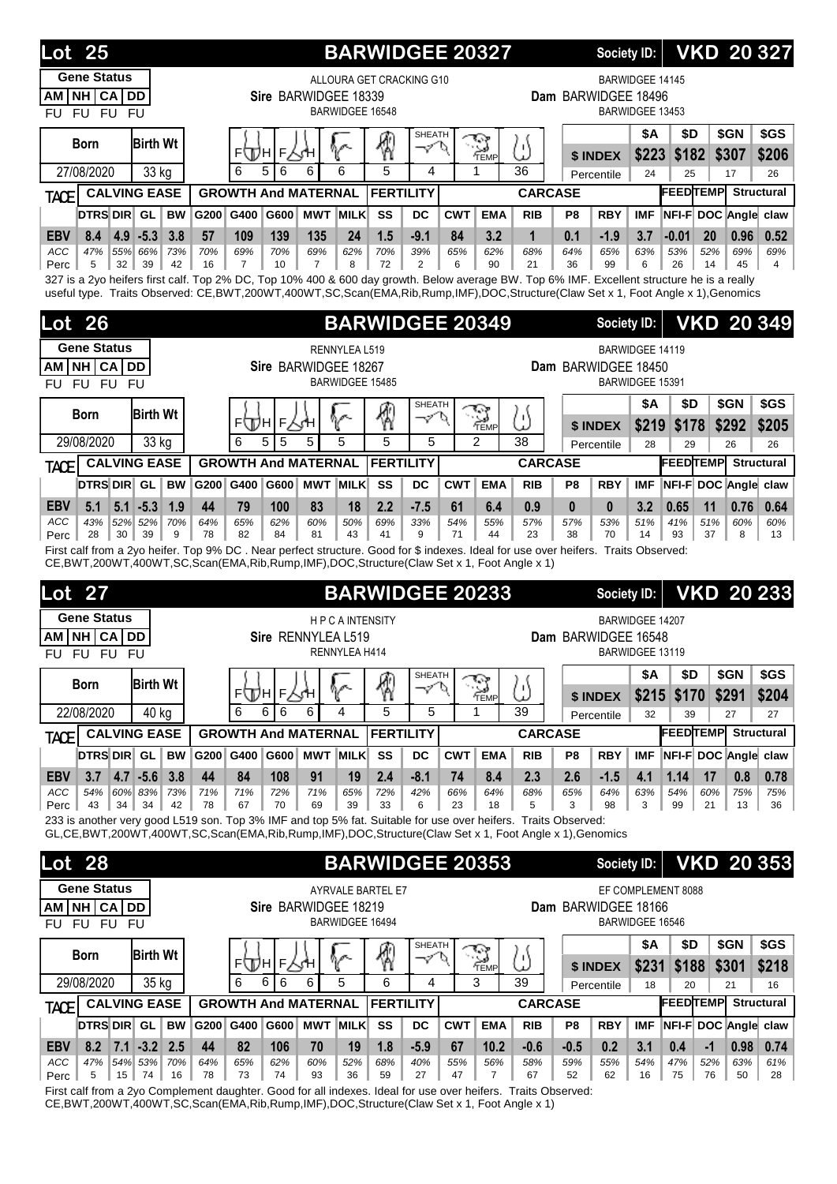| 25<br>Lot                                                                                                                                                                                                                                                                     |                 |                       |                  |                                                                     | <b>BARWIDGEE 20327</b> |                                  |                 |                           |                  |                           | <b>Society ID:</b>     |                                           |                       |                 |                     | <b>VKD 20 327</b>          |
|-------------------------------------------------------------------------------------------------------------------------------------------------------------------------------------------------------------------------------------------------------------------------------|-----------------|-----------------------|------------------|---------------------------------------------------------------------|------------------------|----------------------------------|-----------------|---------------------------|------------------|---------------------------|------------------------|-------------------------------------------|-----------------------|-----------------|---------------------|----------------------------|
| <b>Gene Status</b><br>NH CA DD<br>АM<br><b>FU</b><br><b>FU</b><br><b>FU</b><br><b>FU</b>                                                                                                                                                                                      |                 |                       |                  | ALLOURA GET CRACKING G10<br>Sire BARWIDGEE 18339<br>BARWIDGEE 16548 |                        |                                  |                 |                           |                  |                           | Dam BARWIDGEE 18496    | <b>BARWIDGEE 14145</b><br>BARWIDGEE 13453 |                       |                 |                     |                            |
| <b>Birth Wt</b><br><b>Born</b><br>27/08/2020<br>33 kg                                                                                                                                                                                                                         |                 | FЩH <br>6<br>5        | F<br>6           | 6<br>6                                                              | 4<br>5                 | <b>SHEATH</b><br>$\varphi'$<br>4 |                 | ್ತ<br>TEMP<br>1           | ۱۱<br>36         |                           | \$ INDEX<br>Percentile | <b>\$A</b><br>\$223<br>24                 | \$D<br>\$182<br>25    |                 | \$GN<br>\$307<br>17 | \$GS<br>\$206<br>26        |
| <b>CALVING EASE</b><br><b>TACE</b>                                                                                                                                                                                                                                            |                 |                       |                  | <b>GROWTH And MATERNAL</b>                                          | <b>FERTILITY</b>       |                                  |                 |                           | <b>CARCASE</b>   |                           |                        |                                           | <b>FEEDTEMP</b>       |                 |                     | <b>Structural</b>          |
| DTRS DIR GL<br><b>BW</b>                                                                                                                                                                                                                                                      | G200            | G400                  | G600             | <b>MWT MILK</b>                                                     | SS                     | DC                               | <b>CWT</b>      | <b>EMA</b>                | <b>RIB</b>       | P8                        | <b>RBY</b>             | <b>IMF</b>                                |                       |                 |                     | NFI-F DOC Angle claw       |
| $4.9 - 5.3$<br><b>EBV</b><br>8.4<br>3.8                                                                                                                                                                                                                                       | 57              | 109                   | 139              | 135<br>24                                                           | 1.5                    | $-9.1$                           | 84              | 3.2                       | $\mathbf 1$      | 0.1                       | $-1.9$                 | 3.7                                       | $-0.01$               | 20              | 0.96                | 0.52                       |
| 47%<br>55% 66%<br><b>ACC</b><br>73%<br>5<br>32<br>39<br>42<br>Perc                                                                                                                                                                                                            | 70%<br>16       | 69%<br>$\overline{7}$ | 70%<br>10        | 69%<br>62%<br>$\overline{7}$<br>8                                   | 70%<br>72              | 39%<br>2                         | 65%<br>6        | 62%<br>90                 | 68%<br>21        | 64%<br>36                 | 65%<br>99              | 63%<br>6                                  | 53%<br>26             | 52%<br>14       | 69%<br>45           | 69%<br>$\overline{4}$      |
| 327 is a 2yo heifers first calf. Top 2% DC, Top 10% 400 & 600 day growth. Below average BW. Top 6% IMF. Excellent structure he is a really<br>useful type. Traits Observed: CE,BWT,200WT,400WT,SC,Scan(EMA,Rib,Rump,IMF),DOC,Structure(Claw Set x 1, Foot Angle x 1),Genomics |                 |                       |                  |                                                                     |                        |                                  |                 |                           |                  |                           |                        |                                           |                       |                 |                     |                            |
| <b>Lot 26</b>                                                                                                                                                                                                                                                                 |                 |                       |                  |                                                                     | <b>BARWIDGEE 20349</b> |                                  |                 |                           |                  |                           | <b>Society ID:</b>     |                                           |                       |                 |                     | <b>VKD 20 349</b>          |
| <b>Gene Status</b>                                                                                                                                                                                                                                                            |                 |                       |                  | RENNYLEA L519                                                       |                        |                                  |                 |                           |                  |                           |                        | <b>BARWIDGEE 14119</b>                    |                       |                 |                     |                            |
| NH CA<br><b>DD</b><br>АM<br><b>FU</b><br><b>FU</b><br><b>FU</b><br>FU                                                                                                                                                                                                         |                 |                       |                  | Sire BARWIDGEE 18267<br>BARWIDGEE 15485                             |                        |                                  |                 |                           |                  |                           | Dam BARWIDGEE 18450    | BARWIDGEE 15391                           |                       |                 |                     |                            |
|                                                                                                                                                                                                                                                                               |                 |                       |                  |                                                                     |                        | <b>SHEATH</b>                    |                 |                           |                  |                           |                        | <b>\$A</b>                                | \$D                   |                 | \$GN                | \$GS                       |
| <b>Birth Wt</b><br><b>Born</b>                                                                                                                                                                                                                                                |                 | <b>ELLIN</b>          | F.               | V.                                                                  | 圈                      | マ                                | Ο               | <b>S</b>                  | ω                |                           | \$ INDEX               | \$219                                     | \$178                 |                 | \$292               | \$205                      |
| 29/08/2020<br>33 kg                                                                                                                                                                                                                                                           |                 | 5<br>6                | 5                | 5<br>5                                                              | 5                      | 5                                |                 | $\overline{2}$            | 38               |                           | Percentile             | 28                                        | 29                    |                 | 26                  | 26                         |
| <b>CALVING EASE</b><br>TACE                                                                                                                                                                                                                                                   |                 |                       |                  | <b>GROWTH And MATERNAL</b>                                          | <b>FERTILITY</b>       |                                  |                 |                           | <b>CARCASE</b>   |                           |                        |                                           | <b>FEEDTEMP</b>       |                 |                     | <b>Structural</b>          |
| DTRS DIR GL<br><b>BW</b>                                                                                                                                                                                                                                                      | G200            | G400                  | G600             | <b>MWT MILK</b>                                                     | SS                     | DC                               | <b>CWT</b>      | <b>EMA</b>                | <b>RIB</b>       | P8                        | <b>RBY</b>             | <b>IMF</b>                                |                       |                 |                     | NFI-F DOC Angle claw       |
| <b>EBV</b><br>5.1<br>$5.1$ -5.3<br>1.9<br><b>ACC</b><br>43%<br>52% 52%<br>70%<br>28<br>30 <sup>1</sup><br>39<br>9<br>Perc                                                                                                                                                     | 44<br>64%<br>78 | 79<br>65%<br>82       | 100<br>62%<br>84 | 83<br>18<br>60%<br>50%<br>81<br>43                                  | 2.2<br>69%<br>41       | $-7.5$<br>33%<br>9               | 61<br>54%<br>71 | 6.4<br>55%<br>44          | 0.9<br>57%<br>23 | $\mathbf{0}$<br>57%<br>38 | $\bf{0}$<br>53%<br>70  | 3.2<br>51%<br>14                          | 0.65<br>41%<br>93     | 11<br>51%<br>37 | 0.76<br>60%<br>8    | 0.64<br>60%<br>13          |
| First calf from a 2yo heifer. Top 9% DC. Near perfect structure. Good for \$ indexes. Ideal for use over heifers. Traits Observed:                                                                                                                                            |                 |                       |                  |                                                                     |                        |                                  |                 |                           |                  |                           |                        |                                           |                       |                 |                     |                            |
|                                                                                                                                                                                                                                                                               |                 |                       |                  |                                                                     |                        |                                  |                 |                           |                  |                           |                        |                                           |                       |                 |                     |                            |
| CE, BWT, 200WT, 400WT, SC, Scan(EMA, Rib, Rump, IMF), DOC, Structure (Claw Set x 1, Foot Angle x 1)<br><b>Lot 27</b>                                                                                                                                                          |                 |                       |                  |                                                                     | <b>BARWIDGEE 20233</b> |                                  |                 |                           |                  |                           | <b>Society ID:</b>     |                                           |                       |                 |                     | <b>VKD 20 233</b>          |
| <b>Gene Status</b><br><b>NH CA</b><br><b>DD</b><br>ΑM<br><b>FU</b><br><b>FU</b><br>FU.<br>FU                                                                                                                                                                                  |                 |                       |                  | <b>HPCAINTENSITY</b><br>Sire RENNYLEA L519<br>RENNYLEA H414         |                        |                                  |                 |                           |                  |                           | Dam BARWIDGEE 16548    | BARWIDGEE 14207<br>BARWIDGEE 13119        |                       |                 |                     |                            |
|                                                                                                                                                                                                                                                                               |                 |                       |                  |                                                                     |                        | SHEATH                           |                 |                           |                  |                           |                        | <b>\$A</b>                                | \$D                   |                 | \$GN                | \$GS                       |
| <b>Birth Wt</b><br><b>Born</b>                                                                                                                                                                                                                                                |                 | EQQH E,               |                  | ∿                                                                   | 圈                      | $\varphi'$                       | P               |                           | ω                |                           | \$ INDEX               | \$215                                     | \$170                 |                 | \$291               | \$204                      |
| 22/08/2020<br>40 kg                                                                                                                                                                                                                                                           |                 | 6<br>6                | 6                | 6<br>4                                                              | 5                      | 5                                |                 | $\sum_{\text{Temp}}$<br>1 | 39               |                           | Percentile             | 32                                        | 39                    |                 | 27                  | 27                         |
| <b>CALVING EASE</b><br><b>TACE</b>                                                                                                                                                                                                                                            |                 |                       |                  | <b>GROWTH And MATERNAL</b>                                          | <b>FERTILITY</b>       |                                  |                 |                           | <b>CARCASE</b>   |                           |                        |                                           | <b>FEEDTEMP</b>       |                 |                     | <b>Structural</b>          |
| DTRS DIR GL<br><b>BW</b>                                                                                                                                                                                                                                                      | G200 G400       |                       |                  | G600 MWT MILK                                                       | SS                     | DC                               | <b>CWT</b>      | <b>EMA</b>                | <b>RIB</b>       | P8                        | <b>RBY</b>             | <b>IMF</b>                                |                       |                 |                     | NFI-F DOC Angle claw       |
| $4.7 - 5.6$<br>3.7<br>3.8<br><b>EBV</b><br>ACC<br>54%<br>60% 83%<br>73%                                                                                                                                                                                                       | 44<br>71%       | 84<br>71%             | 108<br>72%       | 91<br>19<br>71%<br>65%                                              | 2.4<br>72%             | $-8.1$<br>42%                    | 74<br>66%       | 8.4<br>64%                | 2.3<br>68%       | 2.6<br>65%                | $-1.5$<br>64%          | 4.1<br>63%                                | 1.14<br>54%           | 17<br>60%       | 0.8<br>75%          | 0.78<br>75%                |
| 43<br>34<br>34<br>42<br>Perc                                                                                                                                                                                                                                                  | 78              | 67                    | 70               | 69<br>39                                                            | 33                     | 6                                | 23              | 18                        | 5                | 3                         | 98                     | 3                                         | 99                    | 21              | 13                  | 36                         |
| 233 is another very good L519 son. Top 3% IMF and top 5% fat. Suitable for use over heifers. Traits Observed:<br>GL,CE,BWT,200WT,400WT,SC,Scan(EMA,Rib,Rump,IMF),DOC,Structure(Claw Set x 1, Foot Angle x 1),Genomics                                                         |                 |                       |                  |                                                                     |                        |                                  |                 |                           |                  |                           |                        |                                           |                       |                 |                     |                            |
|                                                                                                                                                                                                                                                                               |                 |                       |                  |                                                                     |                        |                                  |                 |                           |                  |                           | <b>Society ID:</b>     |                                           |                       |                 |                     |                            |
| <b>Lot 28</b><br><b>Gene Status</b>                                                                                                                                                                                                                                           |                 |                       |                  |                                                                     | <b>BARWIDGEE 20353</b> |                                  |                 |                           |                  |                           |                        |                                           |                       |                 |                     |                            |
| NH CA DD<br>AM                                                                                                                                                                                                                                                                |                 |                       |                  | AYRVALE BARTEL E7<br>Sire BARWIDGEE 18219                           |                        |                                  |                 |                           |                  |                           | Dam BARWIDGEE 18166    |                                           | EF COMPLEMENT 8088    |                 |                     |                            |
| FU FU<br><b>FU</b><br>FU                                                                                                                                                                                                                                                      |                 |                       |                  | BARWIDGEE 16494                                                     |                        |                                  |                 |                           |                  |                           |                        | BARWIDGEE 16546                           |                       |                 |                     |                            |
| <b>Birth Wt</b><br><b>Born</b>                                                                                                                                                                                                                                                |                 |                       |                  |                                                                     |                        | <b>SHEATH</b><br>マ               | Ο               |                           |                  |                           |                        | <b>\$A</b>                                | \$D                   |                 | \$GN                | \$GS                       |
|                                                                                                                                                                                                                                                                               |                 | F(Д)н <br>6<br>6      | F.               | v<br>6<br>5                                                         | ⊛<br>6                 | 4                                |                 | $\sum_{\text{Temp}}$<br>3 | ω<br>39          |                           | \$ INDEX               | \$231                                     | \$188                 |                 | \$301               | <b>VKD 20 353</b><br>\$218 |
| 29/08/2020<br>35 kg<br><b>CALVING EASE</b>                                                                                                                                                                                                                                    |                 |                       | 6                | <b>GROWTH And MATERNAL</b>                                          | <b>FERTILITY</b>       |                                  |                 |                           | <b>CARCASE</b>   |                           | Percentile             | 18                                        | 20<br><b>FEEDTEMP</b> |                 | 21                  | 16<br><b>Structural</b>    |
| <b>TACE</b><br>DTRS DIR GL<br><b>BW</b>                                                                                                                                                                                                                                       | G200 G400       |                       |                  | G600 MWT MILK                                                       | SS                     | DC                               | <b>CWT</b>      | <b>EMA</b>                | <b>RIB</b>       | P8                        | <b>RBY</b>             | IMF.                                      |                       |                 |                     | NFI-F DOC Angle claw       |
| 8.2<br>$7.1$ -3.2 2.5<br><b>EBV</b><br>54% 53%<br>47%<br>70%                                                                                                                                                                                                                  | 44              | 82                    | 106              | 70<br>19                                                            | 1.8                    | $-5.9$                           | 67              | 10.2                      | $-0.6$           | $-0.5$                    | 0.2<br>55%             | 3.1                                       | 0.4                   | $-1$            | 0.98<br>63%         | 0.74                       |

First calf from a 2yo Complement daughter. Good for all indexes. Ideal for use over heifers. Traits Observed: CE,BWT,200WT,400WT,SC,Scan(EMA,Rib,Rump,IMF),DOC,Structure(Claw Set x 1, Foot Angle x 1)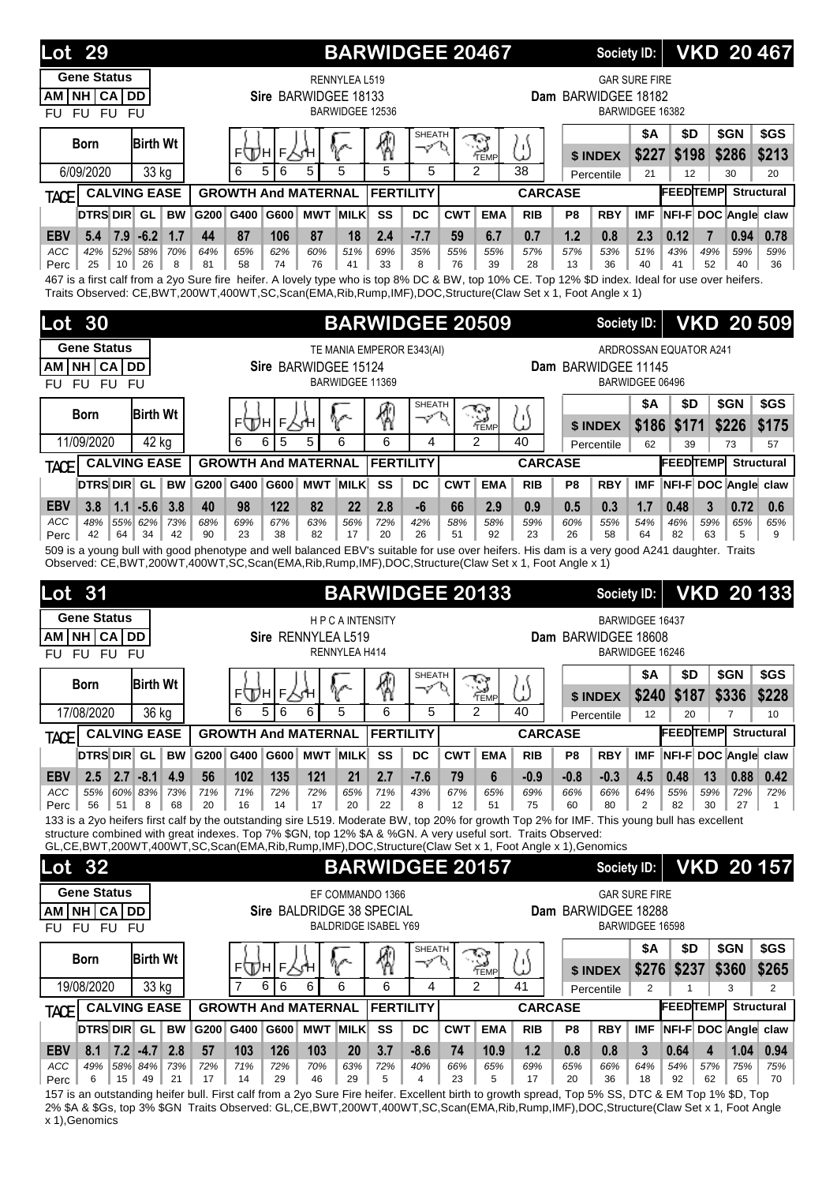| 29<br>Lot                                                                                                                                                                                                                                                     |           |                                 |                           | <b>BARWIDGEE 20467</b>      |                     |                        |                |                     | <b>Society ID:</b>     |                      |                              | <b>VKD 20467</b>               |                        |
|---------------------------------------------------------------------------------------------------------------------------------------------------------------------------------------------------------------------------------------------------------------|-----------|---------------------------------|---------------------------|-----------------------------|---------------------|------------------------|----------------|---------------------|------------------------|----------------------|------------------------------|--------------------------------|------------------------|
| <b>Gene Status</b>                                                                                                                                                                                                                                            |           |                                 | RENNYLEA L519             |                             |                     |                        |                |                     |                        | <b>GAR SURE FIRE</b> |                              |                                |                        |
| NH CA DD<br>AM                                                                                                                                                                                                                                                |           |                                 | Sire BARWIDGEE 18133      |                             |                     |                        |                | Dam BARWIDGEE 18182 |                        |                      |                              |                                |                        |
| FU FU FU<br><b>FU</b>                                                                                                                                                                                                                                         |           |                                 | BARWIDGEE 12536           |                             |                     |                        |                |                     |                        | BARWIDGEE 16382      |                              |                                |                        |
| <b>Birth Wt</b><br><b>Born</b>                                                                                                                                                                                                                                |           | F<br>⊧∖Дн                       | V                         | ℛ                           | <b>SHEATH</b><br>マヤ | S<br>TEMP              | Ľ)             |                     | \$ INDEX               | <b>\$A</b><br>\$227  | \$D<br>\$198                 | \$GN<br>\$286                  | \$GS<br>\$213          |
| 6/09/2020<br>33 kg                                                                                                                                                                                                                                            |           | 6<br>5<br>6                     | 5<br>5                    | 5                           | 5                   | $\mathfrak{p}$         | 38             |                     | Percentile             | 21                   | 12                           | 30                             | 20                     |
| <b>CALVING EASE</b><br><b>TACE</b>                                                                                                                                                                                                                            |           | <b>GROWTH And MATERNAL</b>      |                           | <b>FERTILITY</b>            |                     |                        | <b>CARCASE</b> |                     |                        |                      | <b>FEEDTEMP</b>              |                                | <b>Structural</b>      |
| DTRS DIR GL<br><b>BW</b>                                                                                                                                                                                                                                      | G200 G400 | G600                            | <b>MWT MILK</b>           | SS<br>DC                    | <b>CWT</b>          | <b>EMA</b>             | <b>RIB</b>     | P8                  | <b>RBY</b>             | <b>IMF</b>           | NFI-F DOC Angle claw         |                                |                        |
| <b>EBV</b><br>$7.9 - 6.2$<br>1.7<br>5.4<br>ACC<br>42%<br>52%<br>70%                                                                                                                                                                                           | 44<br>64% | 87<br>106<br>65%<br>62%         | 87<br>18<br>60%<br>51%    | 2.4<br>$-7.7$<br>69%<br>35% | 59<br>55%           | 6.7<br>55%             | 0.7            | 1.2<br>57%          | 0.8<br>53%             | 2.3                  | 0.12<br>43%                  | 7<br>0.94<br>49%<br>59%        | 0.78<br>59%            |
| 58%<br>25<br>10<br>26<br>8<br>Perc                                                                                                                                                                                                                            | 81        | 58<br>74                        | 76<br>41                  | 33<br>8                     | 76                  | 39                     | 57%<br>28      | 13                  | 36                     | 51%<br>40            | 41                           | 52<br>40                       | 36                     |
| 467 is a first calf from a 2yo Sure fire heifer. A lovely type who is top 8% DC & BW, top 10% CE. Top 12% \$D index. Ideal for use over heifers.<br>Traits Observed: CE,BWT,200WT,400WT,SC,Scan(EMA,Rib,Rump,IMF),DOC,Structure(Claw Set x 1, Foot Angle x 1) |           |                                 |                           |                             |                     |                        |                |                     |                        |                      |                              |                                |                        |
|                                                                                                                                                                                                                                                               |           |                                 |                           |                             |                     |                        |                |                     |                        |                      |                              |                                |                        |
| 30<br>Lot                                                                                                                                                                                                                                                     |           |                                 |                           | <b>BARWIDGEE 20509</b>      |                     |                        |                |                     | <b>Society ID:</b>     |                      |                              | <b>VKD 20 509</b>              |                        |
| <b>Gene Status</b>                                                                                                                                                                                                                                            |           |                                 |                           | TE MANIA EMPEROR E343(AI)   |                     |                        |                |                     |                        |                      | ARDROSSAN EQUATOR A241       |                                |                        |
| <b>NH CA DD</b><br>AM                                                                                                                                                                                                                                         |           |                                 | Sire BARWIDGEE 15124      |                             |                     |                        |                | Dam BARWIDGEE 11145 |                        |                      |                              |                                |                        |
| FU FU FU<br><b>FU</b>                                                                                                                                                                                                                                         |           |                                 | BARWIDGEE 11369           |                             |                     |                        |                |                     |                        | BARWIDGEE 06496      |                              |                                |                        |
| <b>Birth Wt</b><br><b>Born</b>                                                                                                                                                                                                                                |           | F<br>⊧∖Дн                       |                           | ∕?                          | <b>SHEATH</b><br>ーン | W<br>`⇔<br>TEMP        | IJ             |                     |                        | <b>\$A</b>           | \$D                          | \$GN                           | \$GS                   |
| 11/09/2020<br>42 kg                                                                                                                                                                                                                                           |           | 6<br>5<br>6                     | 6<br>5                    | 6                           | 4                   | $\overline{c}$         | 40             |                     | \$ INDEX<br>Percentile | \$186<br>62          | \$171<br>39                  | \$226<br>73                    | \$175<br>57            |
| <b>CALVING EASE</b><br>TACE                                                                                                                                                                                                                                   |           | <b>GROWTH And MATERNAL</b>      |                           | <b>FERTILITY</b>            |                     |                        | <b>CARCASE</b> |                     |                        |                      | <b>FEEDTEMP</b>              |                                | Structural             |
| DTRS DIR GL<br><b>BW</b>                                                                                                                                                                                                                                      | G200 G400 |                                 | G600 MWT MILK             | SS<br>DC                    | <b>CWT</b>          | <b>EMA</b>             | <b>RIB</b>     | P8                  | <b>RBY</b>             | <b>IMF</b>           | NFI-F DOC Angle claw         |                                |                        |
| $1.1 - 5.6$<br><b>EBV</b><br>3.8<br>3.8                                                                                                                                                                                                                       | 40        | 98<br>122                       | 82<br>22                  | -6<br>2.8                   | 66                  | 2.9                    | 0.9            | 0.5                 | 0.3                    | 1.7                  | 0.48                         | 3<br>0.72                      | 0.6                    |
| ACC<br>48%<br>55% 62%<br>73%                                                                                                                                                                                                                                  | 68%       | 69%<br>67%                      | 63%<br>56%                | 72%<br>42%                  | 58%                 | 58%                    | 59%            | 60%                 | 55%                    | 54%                  | 46%                          | 59%<br>65%                     | 65%                    |
| 42<br>64<br>34<br>42<br>Perc<br>509 is a young bull with good phenotype and well balanced EBV's suitable for use over heifers. His dam is a very good A241 daughter. Traits                                                                                   | 90        | 23<br>38                        | 82<br>17                  | 20<br>26                    | 51                  | 92                     | 23             | 26                  | 58                     | 64                   | 82                           | 63<br>5                        | 9                      |
| Observed: CE,BWT,200WT,400WT,SC,Scan(EMA,Rib,Rump,IMF),DOC,Structure(Claw Set x 1, Foot Angle x 1)                                                                                                                                                            |           |                                 |                           |                             |                     |                        |                |                     |                        |                      |                              |                                |                        |
| 31<br>Lot                                                                                                                                                                                                                                                     |           |                                 |                           | <b>BARWIDGEE 20133</b>      |                     |                        |                |                     | <b>Society ID:</b>     |                      |                              | <b>VKD 20133</b>               |                        |
| <b>Gene Status</b>                                                                                                                                                                                                                                            |           |                                 | <b>HPCAINTENSITY</b>      |                             |                     |                        |                |                     |                        | BARWIDGEE 16437      |                              |                                |                        |
| <b>NHICA</b><br><b>DD</b><br>AM I                                                                                                                                                                                                                             |           |                                 | Sire RENNYLEA L519        |                             |                     |                        |                | Dam BARWIDGEE 18608 |                        |                      |                              |                                |                        |
| <b>FU</b><br><b>FU</b><br><b>FU</b><br><b>FU</b>                                                                                                                                                                                                              |           |                                 | RENNYLEA H414             |                             |                     |                        |                |                     |                        | BARWIDGEE 16246      |                              |                                |                        |
| <b>Birth Wt</b><br><b>Born</b>                                                                                                                                                                                                                                |           |                                 |                           | 圈                           | SHEATH<br>ーンひ       | مود مي                 |                |                     |                        | \$Α                  | \$D                          | \$GN                           | \$GS                   |
|                                                                                                                                                                                                                                                               |           | ⊧ДА∣⊧∖⊹н                        | V                         | 6                           |                     | TEMP                   | 5)             |                     | \$ INDEX               |                      |                              |                                |                        |
| 17/08/2020<br>36 kg                                                                                                                                                                                                                                           |           | 6<br>5<br>6                     | 5<br>6                    |                             |                     |                        |                |                     |                        |                      | \$240 \$187                  | \$336                          | \$228                  |
| <b>CALVING EASE</b><br><b>TACE</b><br>DTRS DIR GL                                                                                                                                                                                                             |           |                                 |                           |                             | 5                   | 2                      | 40             |                     | Percentile             | 12                   | 20                           | 7                              | 10                     |
| <b>BW</b>                                                                                                                                                                                                                                                     |           | <b>GROWTH And MATERNAL</b>      |                           | <b>FERTILITY</b>            |                     |                        | <b>CARCASE</b> |                     |                        |                      | <b>FEEDTEMP</b>              |                                | <b>Structural</b>      |
|                                                                                                                                                                                                                                                               | G200 G400 |                                 | G600 MWT MILK             | SS<br>DC                    | <b>CWT</b>          | <b>EMA</b>             | <b>RIB</b>     | P8                  | <b>RBY</b>             | <b>IMF</b>           | NFI-F DOC Angle claw         |                                |                        |
| $2.7 - 8.1$<br>4.9<br><b>EBV</b><br>2.5                                                                                                                                                                                                                       | 56        | 102<br>135                      | 121<br>21                 | 2.7<br>$-7.6$               | 79                  | 6<br>65%               | $-0.9$         | $-0.8$              | $-0.3$                 | 4.5                  | 0.48                         | 0.88<br>13                     | 0.42                   |
| ACC<br>60% 83%<br>73%<br>55%<br>56<br>51<br>8<br>68<br>Perc                                                                                                                                                                                                   | 71%<br>20 | 71%<br>72%<br>16<br>14          | 72%<br>65%<br>17<br>20    | 71%<br>43%<br>22<br>8       | 67%<br>12           | 51                     | 69%<br>75      | 66%<br>60           | 66%<br>80              | 64%<br>2             | 55%<br>82                    | 59%<br>72%<br>30<br>27         | 72%<br>$\mathbf{1}$    |
| 133 is a 2yo heifers first calf by the outstanding sire L519. Moderate BW, top 20% for growth Top 2% for IMF. This young bull has excellent<br>structure combined with great indexes. Top 7% \$GN, top 12% \$A & %GN. A very useful sort. Traits Observed:    |           |                                 |                           |                             |                     |                        |                |                     |                        |                      |                              |                                |                        |
| GL,CE,BWT,200WT,400WT,SC,Scan(EMA,Rib,Rump,IMF),DOC,Structure(Claw Set x 1, Foot Angle x 1),Genomics                                                                                                                                                          |           |                                 |                           |                             |                     |                        |                |                     |                        |                      |                              |                                |                        |
| Lot 32                                                                                                                                                                                                                                                        |           |                                 |                           | <b>BARWIDGEE 20157</b>      |                     |                        |                |                     | Society ID:            |                      |                              | <b>VKD 20157</b>               |                        |
| <b>Gene Status</b>                                                                                                                                                                                                                                            |           |                                 | EF COMMANDO 1366          |                             |                     |                        |                |                     |                        | <b>GAR SURE FIRE</b> |                              |                                |                        |
| <b>NH CA</b><br>DD<br>AM                                                                                                                                                                                                                                      |           |                                 | Sire BALDRIDGE 38 SPECIAL |                             |                     |                        |                | Dam BARWIDGEE 18288 |                        |                      |                              |                                |                        |
| FU FU FU<br><b>FU</b>                                                                                                                                                                                                                                         |           |                                 |                           | <b>BALDRIDGE ISABEL Y69</b> |                     |                        |                |                     |                        | BARWIDGEE 16598      |                              |                                |                        |
| <b>Birth Wt</b><br><b>Born</b>                                                                                                                                                                                                                                |           |                                 |                           |                             | SHEATH<br>ーン        | ্র                     |                |                     |                        | <b>\$A</b>           | \$D                          | \$GN                           | \$GS                   |
|                                                                                                                                                                                                                                                               |           | Г∠ун<br>FI<br>Ππ<br>6<br>7<br>6 | 6<br>6                    | ⊛<br>6                      | 4                   | TEMP<br>$\mathfrak{p}$ | ω<br>41        |                     | \$ INDEX               | \$276                | \$237                        | \$360                          | \$265                  |
| 19/08/2020<br>33 kg                                                                                                                                                                                                                                           |           |                                 |                           | <b>FERTILITY</b>            |                     |                        | <b>CARCASE</b> |                     | Percentile             | $\overline{2}$       | 1<br><b>FEEDTEMP</b>         | 3                              | 2<br><b>Structural</b> |
| <b>CALVING EASE</b><br>TACE<br>DTRS DIR GL<br><b>BW</b>                                                                                                                                                                                                       | G200 G400 | <b>GROWTH And MATERNAL</b>      | G600 MWT MILK             | SS<br><b>DC</b>             | <b>CWT</b>          | <b>EMA</b>             | <b>RIB</b>     | P <sub>8</sub>      | <b>RBY</b>             | <b>IMF</b>           |                              |                                |                        |
| 2.8<br>8.1                                                                                                                                                                                                                                                    | 57        | 126                             | 103<br><b>20</b>          | $-8.6$                      | 74                  | 10.9                   | 1.2            | 0.8                 | 0.8                    | 3                    | NFI-F DOC Angle claw<br>0.64 | $\overline{\mathbf{4}}$        |                        |
| <b>EBV</b><br>$7.2$ -4.7<br>58% 84%<br>73%<br>ACC<br>49%<br>15<br>49<br>21<br>6<br>Perc                                                                                                                                                                       | 72%<br>17 | 103<br>71%<br>72%<br>14<br>29   | 70%<br>63%<br>46<br>29    | 3.7<br>72%<br>40%<br>5<br>4 | 66%<br>23           | 65%<br>5               | 69%<br>17      | 65%<br>20           | 66%<br>36              | 64%<br>18            | 54%<br>92                    | 1.04<br>57%<br>75%<br>62<br>65 | 0.94<br>75%<br>70      |

157 is an outstanding heifer bull. First calf from a 2yo Sure Fire heifer. Excellent birth to growth spread, Top 5% SS, DTC & EM Top 1% \$D, Top 2% \$A & \$Gs, top 3% \$GN Traits Observed: GL,CE,BWT,200WT,400WT,SC,Scan(EMA,Rib,Rump,IMF),DOC,Structure(Claw Set x 1, Foot Angle x 1),Genomics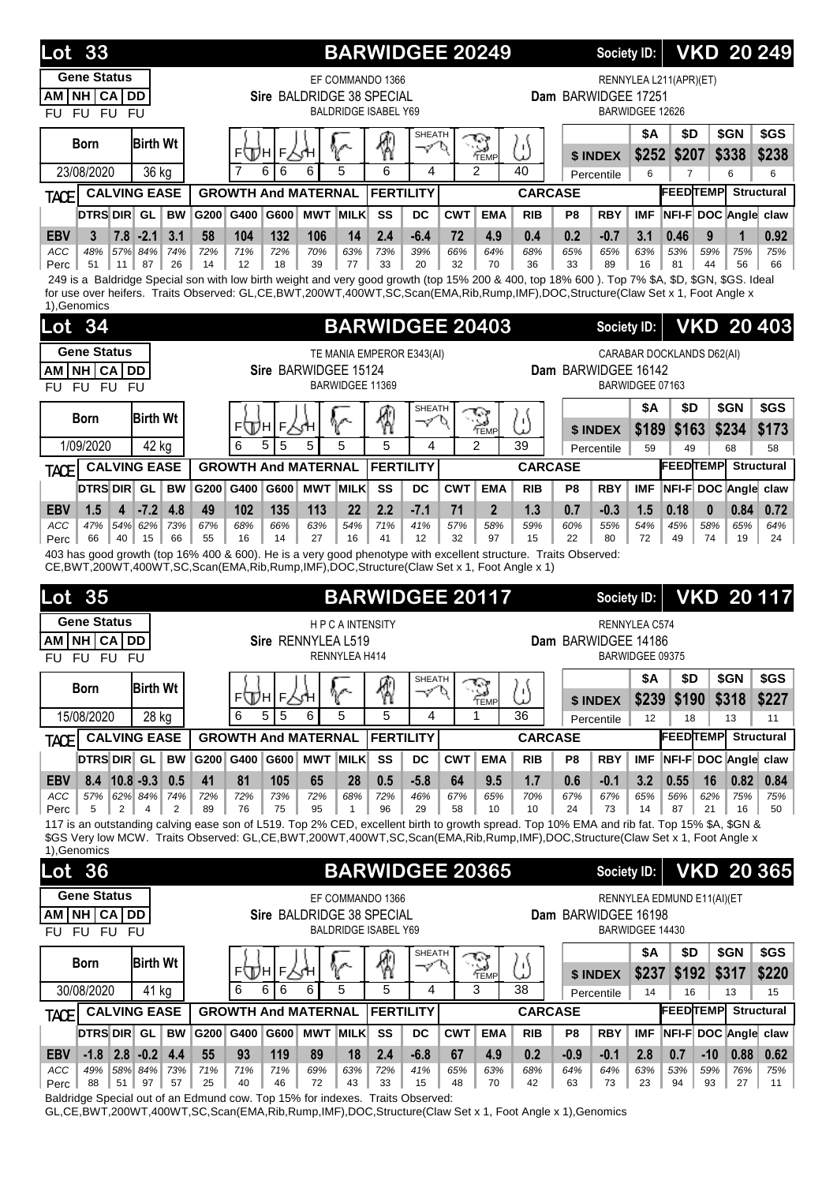| <b>Lot 33</b>                                                                                                                                                                                                                                                                     |           |            |              |                            |                      | <b>BARWIDGEE 20249</b>                                                       |                         |                  |                        |                              |                | Society ID:            |                                           |                         |           |             | <b>VKD 20 249</b>            |
|-----------------------------------------------------------------------------------------------------------------------------------------------------------------------------------------------------------------------------------------------------------------------------------|-----------|------------|--------------|----------------------------|----------------------|------------------------------------------------------------------------------|-------------------------|------------------|------------------------|------------------------------|----------------|------------------------|-------------------------------------------|-------------------------|-----------|-------------|------------------------------|
| <b>Gene Status</b><br>NH CA DD<br>ΑM<br>FU FU<br><b>FU</b><br><b>FU</b>                                                                                                                                                                                                           |           |            |              |                            |                      | EF COMMANDO 1366<br>Sire BALDRIDGE 38 SPECIAL<br><b>BALDRIDGE ISABEL Y69</b> |                         |                  |                        |                              |                | Dam BARWIDGEE 17251    | RENNYLEA L211(APR)(ET)<br>BARWIDGEE 12626 |                         |           |             |                              |
| <b>Birth Wt</b><br><b>Born</b>                                                                                                                                                                                                                                                    |           | F<br>Щн    | $\mathsf{F}$ |                            |                      | 獨                                                                            | SHEATH<br>$\mathcal{I}$ |                  | Y                      | ۱۱)                          |                |                        | \$Α<br>\$252                              | \$D                     |           | \$GN        | \$GS                         |
| 23/08/2020<br>36 kg                                                                                                                                                                                                                                                               |           |            | 6<br>6       | 6                          | 5                    | 6                                                                            | 4                       |                  | TEMP<br>$\overline{2}$ | ىد<br>40                     |                | \$ INDEX<br>Percentile | 6                                         | \$207<br>$\overline{7}$ |           | \$338<br>6  | \$238<br>6                   |
| <b>CALVING EASE</b><br><b>TACE</b>                                                                                                                                                                                                                                                |           |            |              | <b>GROWTH And MATERNAL</b> |                      | <b>FERTILITY</b>                                                             |                         |                  |                        | <b>CARCASE</b>               |                |                        |                                           | <b>FEEDTEMP</b>         |           |             | <b>Structural</b>            |
| DTRS DIR GL<br><b>BW</b>                                                                                                                                                                                                                                                          | G200      | G400       | G600         | <b>MWT MILK</b>            |                      | SS                                                                           | DC                      | <b>CWT</b>       | <b>EMA</b>             | <b>RIB</b>                   | P <sub>8</sub> | <b>RBY</b>             | <b>IMF</b>                                |                         |           |             | NFI-F DOC Angle claw         |
| <b>EBV</b><br>$7.8$ -2.1<br>3.1<br>3                                                                                                                                                                                                                                              | 58        | 104        | 132          | 106                        | 14                   | 2.4                                                                          | $-6.4$                  | 72               | 4.9                    | 0.4                          | 0.2            | $-0.7$                 | 3.1                                       | 0.46                    | 9         | 1           | 0.92                         |
| 57%<br>84%<br><b>ACC</b><br>48%<br>74%<br>87<br>26<br>Perc<br>51<br>11                                                                                                                                                                                                            | 72%<br>14 | 71%<br>12  | 72%<br>18    | 70%<br>39                  | 63%<br>77            | 73%<br>33                                                                    | 39%<br>20               | 66%<br>32        | 64%<br>70              | 68%<br>36                    | 65%<br>33      | 65%<br>89              | 63%<br>16                                 | 53%<br>81               | 59%<br>44 | 75%<br>56   | 75%<br>66                    |
| 249 is a Baldridge Special son with low birth weight and very good growth (top 15% 200 & 400, top 18% 600). Top 7% \$A, \$D, \$GN, \$GS. Ideal<br>for use over heifers. Traits Observed: GL,CE,BWT,200WT,400WT,SC,Scan(EMA,Rib,Rump,IMF),DOC,Structure(Claw Set x 1, Foot Angle x |           |            |              |                            |                      |                                                                              |                         |                  |                        |                              |                |                        |                                           |                         |           |             |                              |
| 1), Genomics                                                                                                                                                                                                                                                                      |           |            |              |                            |                      |                                                                              |                         |                  |                        |                              |                |                        |                                           |                         |           |             |                              |
| <b>Lot 34</b>                                                                                                                                                                                                                                                                     |           |            |              |                            |                      | <b>BARWIDGEE 20403</b>                                                       |                         |                  |                        |                              |                | <b>Society ID:</b>     |                                           |                         |           |             | <b>VKD 20 403</b>            |
| <b>Gene Status</b>                                                                                                                                                                                                                                                                |           |            |              |                            |                      | TE MANIA EMPEROR E343(AI)                                                    |                         |                  |                        |                              |                |                        | CARABAR DOCKLANDS D62(AI)                 |                         |           |             |                              |
| NH CA DD<br>ΑM                                                                                                                                                                                                                                                                    |           |            |              | Sire BARWIDGEE 15124       |                      |                                                                              |                         |                  |                        |                              |                | Dam BARWIDGEE 16142    | BARWIDGEE 07163                           |                         |           |             |                              |
| FU FU FU<br><b>FU</b>                                                                                                                                                                                                                                                             |           |            |              |                            |                      | BARWIDGEE 11369                                                              |                         |                  |                        |                              |                |                        | \$Α                                       | \$D                     |           | \$GN        | \$GS                         |
| <b>Birth Wt</b><br>Born                                                                                                                                                                                                                                                           |           | ⊧⊕∖н       | г人҉н         |                            | V                    | 係                                                                            | <b>SHEATH</b><br>マ      |                  | Y<br>TEMP              | Ľ)                           |                | \$ INDEX               | \$189                                     | \$163                   |           | \$234       | \$173                        |
| 1/09/2020<br>42 kg                                                                                                                                                                                                                                                                |           | 6          | 5<br>5       | 5                          | 5                    | 5                                                                            | 4                       |                  | 2                      | 39                           |                | Percentile             | 59                                        | 49                      |           | 68          | 58                           |
| <b>CALVING EASE</b><br>TACE                                                                                                                                                                                                                                                       |           |            |              | <b>GROWTH And MATERNAL</b> |                      | <b>FERTILITY</b>                                                             |                         |                  |                        | <b>CARCASE</b>               |                |                        |                                           | <b>FEEDTEMPL</b>        |           |             | <b>Structural</b>            |
| <b>DTRS DIR</b> GL<br><b>BW</b>                                                                                                                                                                                                                                                   | G200      | G400       | G600         | <b>MWT MILK</b>            |                      | SS                                                                           | DC                      | <b>CWT</b>       | <b>EMA</b>             | <b>RIB</b>                   | P8             | <b>RBY</b>             | <b>IMF</b>                                |                         |           |             | NFI-F DOC Angle claw         |
| <b>EBV</b><br>1.5<br>4<br>$-7.2$<br>4.8                                                                                                                                                                                                                                           | 49        | 102        | 135          | 113                        | 22                   | 2.2                                                                          | $-7.1$                  | 71               | $\overline{2}$         | 1.3                          | 0.7            | $-0.3$                 | 1.5                                       | 0.18                    | $\bf{0}$  | 0.84        | 0.72                         |
| <b>ACC</b><br>47%<br>54%<br>62%<br>73%<br>66<br>40<br>66<br>Perc<br>15                                                                                                                                                                                                            | 67%<br>55 | 68%<br>16  | 66%<br>14    | 63%<br>27                  | 54%<br>16            | 71%<br>41                                                                    | 41%<br>12               | 57%<br>32        | 58%<br>97              | 59%<br>15                    | 60%<br>22      | 55%<br>80              | 54%<br>72                                 | 45%<br>49               | 58%<br>74 | 65%<br>19   | 64%<br>24                    |
| 403 has good growth (top 16% 400 & 600). He is a very good phenotype with excellent structure. Traits Observed:<br>CE, BWT, 200WT, 400WT, SC, Scan(EMA, Rib, Rump, IMF), DOC, Structure (Claw Set x 1, Foot Angle x 1)                                                            |           |            |              |                            |                      |                                                                              |                         |                  |                        |                              |                |                        |                                           |                         |           |             |                              |
|                                                                                                                                                                                                                                                                                   |           |            |              |                            |                      |                                                                              |                         |                  |                        |                              |                |                        |                                           |                         |           |             |                              |
|                                                                                                                                                                                                                                                                                   |           |            |              |                            |                      |                                                                              |                         |                  |                        |                              |                |                        |                                           |                         |           |             |                              |
| <b>Lot 35</b>                                                                                                                                                                                                                                                                     |           |            |              |                            |                      | <b>BARWIDGEE 20117</b>                                                       |                         |                  |                        |                              |                | <b>Society ID:</b>     |                                           |                         |           |             | <b>VKD 20117</b>             |
| <b>Gene Status</b><br>NH CA DD<br>ΑM                                                                                                                                                                                                                                              |           |            |              |                            | <b>HPCAINTENSITY</b> |                                                                              |                         |                  |                        |                              |                | Dam BARWIDGEE 14186    | RENNYLEA C574                             |                         |           |             |                              |
| FU FU FU FU                                                                                                                                                                                                                                                                       |           |            |              | Sire RENNYLEA L519         | RENNYLEA H414        |                                                                              |                         |                  |                        |                              |                |                        | BARWIDGEE 09375                           |                         |           |             |                              |
|                                                                                                                                                                                                                                                                                   |           |            |              |                            |                      |                                                                              | <b>SHEATH</b>           |                  |                        |                              |                |                        | \$Α                                       | \$D                     |           | \$GN        | \$GS                         |
| <b>Birth Wt</b><br><b>Born</b>                                                                                                                                                                                                                                                    |           |            | ⊧∰н∣⊧∆∕н     |                            | V                    | 圈                                                                            | マク                      |                  | Y<br>TEMP              | U)                           |                | \$ INDEX               | \$239                                     | \$190                   |           | \$318       | \$227                        |
| 15/08/2020<br>$\overline{28}$ kg                                                                                                                                                                                                                                                  |           | 6          | 5<br>5       | 6                          | 5                    | 5                                                                            | 4                       |                  | 1                      | 36                           |                | Percentile             | 12                                        | 18                      |           | 13          | 11                           |
| <b>CALVING EASE</b><br><b>TACE</b>                                                                                                                                                                                                                                                |           |            |              | <b>GROWTH And MATERNAL</b> |                      | <b>FERTILITY</b>                                                             |                         |                  |                        | <b>CARCASE</b>               |                |                        |                                           | <b>FEEDTEMP</b>         |           |             | <b>Structural</b>            |
| <b>DTRS DIR</b> GL<br>BW                                                                                                                                                                                                                                                          | G200 G400 |            | G600         | <b>MWT MILK</b><br>65      |                      | SS                                                                           | DC                      | <b>CWT</b><br>64 | <b>EMA</b>             | <b>RIB</b>                   | P <sub>8</sub> | <b>RBY</b>             | <b>IMF</b>                                |                         |           |             | NFI-F DOC Angle claw         |
| <b>EBV</b><br>$8.4$ 10.8 -9.3<br>0.5<br>57%<br>62% 84%<br>ACC<br>74%                                                                                                                                                                                                              | 41<br>72% | 81<br>72%  | 105<br>73%   | 72%                        | 28<br>68%            | 0.5<br>72%                                                                   | $-5.8$<br>46%           | 67%              | 9.5<br>65%             | 1.7<br>70%                   | 0.6<br>67%     | $-0.1$<br>67%          | 3.2<br>65%                                | 0.55<br>56%             | 16<br>62% | 0.82<br>75% | 0.84<br>75%                  |
| 5<br>$\overline{2}$<br>2<br>4<br>Perc<br>117 is an outstanding calving ease son of L519. Top 2% CED, excellent birth to growth spread. Top 10% EMA and rib fat. Top 15% \$A, \$GN &                                                                                               | 89        | 76         | 75           | 95                         | $\mathbf{1}$         | 96                                                                           | 29                      | 58               | 10                     | 10                           | 24             | 73                     | 14                                        | 87                      | 21        | 16          | 50                           |
| \$GS Very low MCW. Traits Observed: GL,CE,BWT,200WT,400WT,SC,Scan(EMA,Rib,Rump,IMF),DOC,Structure(Claw Set x 1, Foot Angle x                                                                                                                                                      |           |            |              |                            |                      |                                                                              |                         |                  |                        |                              |                |                        |                                           |                         |           |             |                              |
| 1), Genomics                                                                                                                                                                                                                                                                      |           |            |              |                            |                      |                                                                              |                         |                  |                        |                              |                |                        |                                           |                         |           |             |                              |
| Lot<br>36                                                                                                                                                                                                                                                                         |           |            |              |                            |                      | <b>BARWIDGEE 20365</b>                                                       |                         |                  |                        |                              |                | <b>Society ID:</b>     |                                           |                         |           |             | <b>VKD 20 365</b>            |
| <b>Gene Status</b><br>AM NH CA DD                                                                                                                                                                                                                                                 |           |            |              |                            |                      | EF COMMANDO 1366<br>Sire BALDRIDGE 38 SPECIAL                                |                         |                  |                        |                              |                | Dam BARWIDGEE 16198    | RENNYLEA EDMUND E11(AI)(ET                |                         |           |             |                              |
| FU FU<br><b>FU</b><br><b>FU</b>                                                                                                                                                                                                                                                   |           |            |              |                            |                      | <b>BALDRIDGE ISABEL Y69</b>                                                  |                         |                  |                        |                              |                |                        | BARWIDGEE 14430                           |                         |           |             |                              |
| <b>Birth Wt</b><br><b>Born</b>                                                                                                                                                                                                                                                    |           |            |              |                            |                      |                                                                              | SHEATH                  |                  |                        |                              |                |                        | \$Α                                       | \$D                     |           | \$GN        | \$GS                         |
|                                                                                                                                                                                                                                                                                   |           |            | ⊧⊕н∣⊧√н      |                            |                      | ℛ                                                                            | マク                      |                  | $\sum_{\text{Temp}}$   | ω                            |                | \$ INDEX               | \$237                                     | \$192                   |           | \$317       | \$220                        |
| 30/08/2020<br>41 kg                                                                                                                                                                                                                                                               |           | 6          | 6<br>6       | 6                          | 5                    | 5                                                                            | 4                       |                  | 3                      | 38                           |                | Percentile             | 14                                        | 16                      |           | 13          | 15                           |
| <b>CALVING EASE</b><br><b>TACE</b><br><b>BW</b>                                                                                                                                                                                                                                   | G200      |            |              | <b>GROWTH And MATERNAL</b> |                      | <b>FERTILITY</b>                                                             | <b>DC</b>               |                  | <b>EMA</b>             | <b>CARCASE</b><br><b>RIB</b> |                | <b>RBY</b>             | <b>IMF</b>                                |                         |           |             | <b>FEEDTEMP</b> Structural   |
| DTRS DIR GL<br><b>EBV</b><br>$-1.8$ 2.8 $-0.2$ 4.4                                                                                                                                                                                                                                | 55        | G400<br>93 | G600<br>119  | <b>MWT MILK</b><br>89      | 18                   | SS<br>2.4                                                                    | $-6.8$                  | <b>CWT</b><br>67 | 4.9                    | 0.2                          | P8<br>$-0.9$   | $-0.1$                 | 2.8                                       | 0.7                     | $-10$     | 0.88        | NFI-F DOC Angle claw<br>0.62 |

Baldridge Special out of an Edmund cow. Top 15% for indexes. Traits Observed: GL,CE,BWT,200WT,400WT,SC,Scan(EMA,Rib,Rump,IMF),DOC,Structure(Claw Set x 1, Foot Angle x 1),Genomics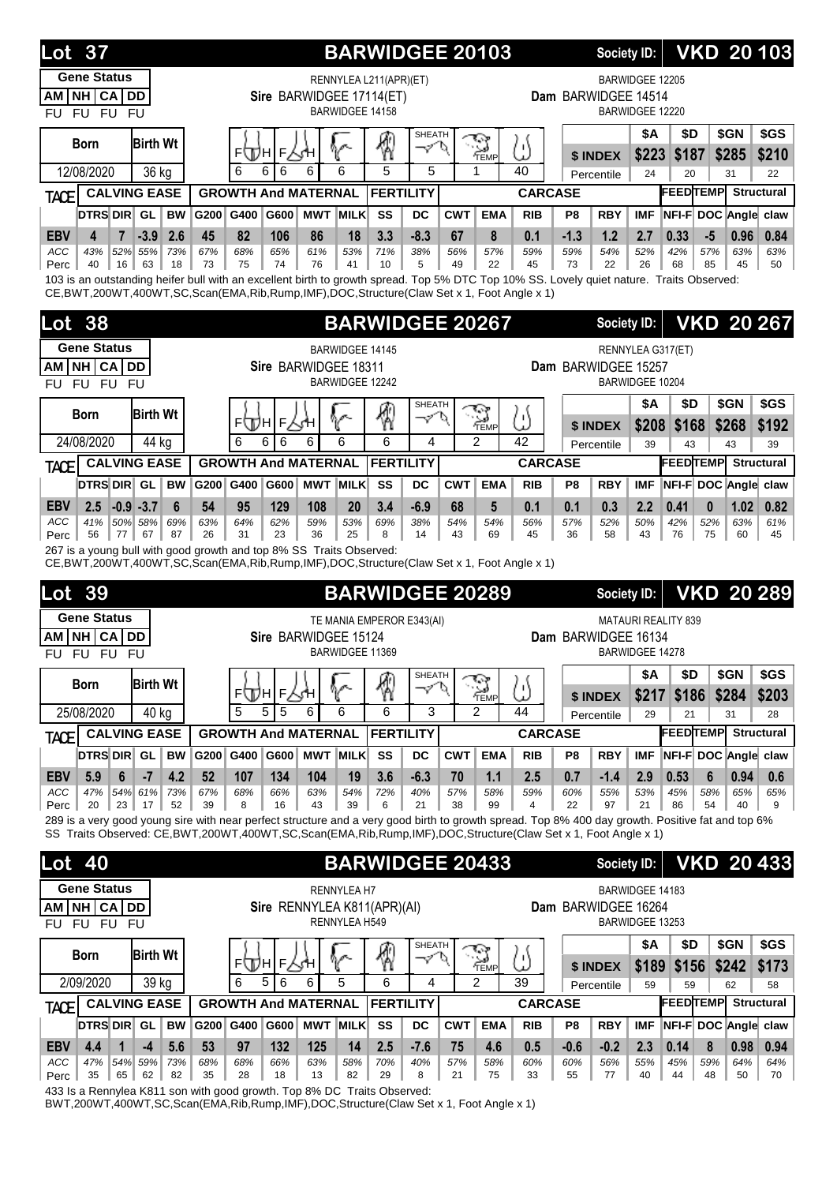| Lot 37                                                                                                                                                                                                                                         |                                 |           |           |                                      |                        | <b>BARWIDGEE 20103</b>    |                    |                                        |              |                              |                        | Society ID:        |                       |             |             | <b>VKD 20103</b>        |
|------------------------------------------------------------------------------------------------------------------------------------------------------------------------------------------------------------------------------------------------|---------------------------------|-----------|-----------|--------------------------------------|------------------------|---------------------------|--------------------|----------------------------------------|--------------|------------------------------|------------------------|--------------------|-----------------------|-------------|-------------|-------------------------|
| <b>Gene Status</b>                                                                                                                                                                                                                             |                                 |           |           |                                      |                        | RENNYLEA L211(APR)(ET)    |                    |                                        |              |                              |                        | BARWIDGEE 12205    |                       |             |             |                         |
| NH CA DD<br>AM<br>FU FU<br><b>FU</b>                                                                                                                                                                                                           |                                 |           |           | Sire BARWIDGEE 17114(ET)             | <b>BARWIDGEE 14158</b> |                           |                    |                                        |              | Dam BARWIDGEE 14514          |                        | BARWIDGEE 12220    |                       |             |             |                         |
| <b>FU</b>                                                                                                                                                                                                                                      |                                 |           |           |                                      |                        |                           | <b>SHEATH</b>      |                                        |              |                              |                        | <b>\$A</b>         | \$D                   |             | \$GN        | \$GS                    |
| <b>Born</b>                                                                                                                                                                                                                                    | <b>Birth Wt</b>                 |           | ⊧∖Дн      | F                                    | V                      | 4                         | ーン                 | <b>S</b><br>Temp                       | $\mathbb{T}$ |                              | \$ INDEX               | \$223              | \$187                 |             | \$285       | \$210                   |
| 12/08/2020                                                                                                                                                                                                                                     | 36 kg                           |           | 6<br>6    | 6<br>6                               | 6                      | 5                         | 5                  | 1                                      | 40           |                              | Percentile             | 24                 | 20                    |             | 31          | 22                      |
| <b>TACE</b>                                                                                                                                                                                                                                    | <b>CALVING EASE</b>             |           |           | <b>GROWTH And MATERNAL</b>           |                        | <b>FERTILITY</b>          |                    |                                        |              | <b>CARCASE</b>               |                        |                    | <b>FEEDTEMP</b>       |             |             | <b>Structural</b>       |
| DTRSDIR GL                                                                                                                                                                                                                                     | <b>BW</b>                       | G200      | G400      | <b>MWT</b><br>G600                   | <b>MILK</b>            | SS                        | <b>DC</b>          | <b>CWT</b>                             | <b>EMA</b>   | <b>RIB</b><br>P8             | <b>RBY</b>             | <b>IMF</b>         | NFI-F DOC Angle claw  |             |             |                         |
| <b>EBV</b><br>$\overline{7}$<br>4<br>43%<br>ACC                                                                                                                                                                                                | $-3.9$<br>2.6<br>52% 55%<br>73% | 45<br>67% | 82<br>68% | 86<br>106<br>65%<br>61%              | 18<br>53%              | 3.3<br>71%                | $-8.3$<br>38%      | 67<br>56%                              | 8<br>57%     | 0.1<br>$-1.3$<br>59%<br>59%  | 1.2<br>54%             | 2.7<br>52%         | 0.33<br>42%           | $-5$<br>57% | 0.96<br>63% | 0.84<br>63%             |
| 40<br>Perc                                                                                                                                                                                                                                     | 16 <sup>1</sup><br>63<br>18     | 73        | 75        | 74<br>76                             | 41                     | 10                        | 5                  | 49                                     | 22           | 45<br>73                     | 22                     | 26                 | 68                    | 85          | 45          | 50                      |
| 103 is an outstanding heifer bull with an excellent birth to growth spread. Top 5% DTC Top 10% SS. Lovely quiet nature. Traits Observed:<br>CE, BWT, 200WT, 400WT, SC, Scan(EMA, Rib, Rump, IMF), DOC, Structure(Claw Set x 1, Foot Angle x 1) |                                 |           |           |                                      |                        |                           |                    |                                        |              |                              |                        |                    |                       |             |             |                         |
| <b>Lot 38</b>                                                                                                                                                                                                                                  |                                 |           |           |                                      |                        | <b>BARWIDGEE 20267</b>    |                    |                                        |              |                              |                        | Society ID:        |                       |             |             | <b>VKD 20 267</b>       |
| <b>Gene Status</b>                                                                                                                                                                                                                             |                                 |           |           |                                      |                        |                           |                    |                                        |              |                              |                        |                    |                       |             |             |                         |
| NH CA DD<br>AM                                                                                                                                                                                                                                 |                                 |           |           | Sire BARWIDGEE 18311                 | <b>BARWIDGEE 14145</b> |                           |                    |                                        |              | Dam BARWIDGEE 15257          |                        |                    | RENNYLEA G317(ET)     |             |             |                         |
| FU FU FU<br><b>FU</b>                                                                                                                                                                                                                          |                                 |           |           |                                      | BARWIDGEE 12242        |                           |                    |                                        |              |                              |                        | BARWIDGEE 10204    |                       |             |             |                         |
| <b>Born</b>                                                                                                                                                                                                                                    | <b>Birth Wt</b>                 |           |           |                                      |                        |                           | <b>SHEATH</b><br>マ |                                        |              |                              |                        | <b>\$A</b>         | \$D                   |             | \$GN        | \$GS                    |
|                                                                                                                                                                                                                                                |                                 |           | F(Д)Н     | F                                    |                        | 4                         |                    | $\mathbb{S}_{\mathbb{H}^{\mathbb{N}}}$ | Ľ            |                              | \$ INDEX               | \$208              | \$168                 |             | \$268       | \$192                   |
| 24/08/2020                                                                                                                                                                                                                                     | 44 kg<br><b>CALVING EASE</b>    |           | 6<br>6    | 6<br>6<br><b>GROWTH And MATERNAL</b> | 6                      | 6<br><b>FERTILITY</b>     | 4                  | $\overline{2}$                         | 42           | <b>CARCASE</b>               | Percentile             | 39                 | 43<br><b>FEEDTEMP</b> |             | 43          | 39<br><b>Structural</b> |
| <b>TACE</b><br><b>DTRS DIR GL</b>                                                                                                                                                                                                              | <b>BW</b>                       | G200      | G400      | G600                                 | <b>MWT MILK</b>        | SS                        | DC                 | <b>CWT</b>                             | <b>EMA</b>   | <b>RIB</b><br>P <sub>8</sub> | <b>RBY</b>             | <b>IMF</b>         | NFI-F DOC Angle claw  |             |             |                         |
| <b>EBV</b><br>2.5                                                                                                                                                                                                                              | $-0.9 - 3.7$<br>6               | 54        | 95        | 129<br>108                           | 20                     | 3.4                       | $-6.9$             | 68                                     | 5            | 0.1<br>0.1                   | 0.3                    | 2.2                | 0.41                  | $\bf{0}$    | 1.02        | 0.82                    |
| ACC<br>41%                                                                                                                                                                                                                                     | 50% 58%<br>69%                  | 63%       | 64%       | 59%<br>62%                           | 53%                    | 69%                       | 38%                | 54%                                    | 54%          | 56%<br>57%                   | 52%                    | 50%                | 42%                   | 52%         | 63%         | 61%                     |
| 56<br>Perc<br>77<br>267 is a young bull with good growth and top 8% SS Traits Observed:                                                                                                                                                        | 87<br>67                        | 26        | 31        | 23<br>36                             | 25                     | 8                         | 14                 | 43                                     | 69           | 45<br>36                     | 58                     | 43                 | 76                    | 75          | 60          | 45                      |
| CE, BWT, 200WT, 400WT, SC, Scan(EMA, Rib, Rump, IMF), DOC, Structure (Claw Set x 1, Foot Angle x 1)                                                                                                                                            |                                 |           |           |                                      |                        |                           |                    |                                        |              |                              |                        |                    |                       |             |             |                         |
| 39<br>Lot                                                                                                                                                                                                                                      |                                 |           |           |                                      |                        | <b>BARWIDGEE 20289</b>    |                    |                                        |              |                              |                        | <b>Society ID:</b> |                       |             |             | <b>VKD 20 289</b>       |
|                                                                                                                                                                                                                                                |                                 |           |           |                                      |                        |                           |                    |                                        |              |                              |                        |                    |                       |             |             |                         |
| <b>Gene Status</b>                                                                                                                                                                                                                             |                                 |           |           |                                      |                        | TE MANIA EMPEROR E343(AI) |                    |                                        |              |                              |                        |                    | MATAURI REALITY 839   |             |             |                         |
| CA<br>NH.<br>АM                                                                                                                                                                                                                                | <b>DD</b>                       |           |           | Sire BARWIDGEE 15124                 |                        |                           |                    |                                        |              | Dam BARWIDGEE 16134          |                        |                    |                       |             |             |                         |
| <b>FU</b><br><b>FU</b><br><b>FU</b>                                                                                                                                                                                                            | <b>FU</b>                       |           |           |                                      | BARWIDGEE 11369        |                           |                    |                                        |              |                              |                        | BARWIDGEE 14278    |                       |             |             |                         |
| <b>Born</b>                                                                                                                                                                                                                                    | <b>Birth Wt</b>                 |           |           |                                      |                        |                           | SHEATH<br>へ        | ক                                      |              |                              |                        | \$Α                | \$D                   |             | \$GN        | \$GS                    |
| 25/08/2020                                                                                                                                                                                                                                     | 40 kg                           |           | 5<br>5    | ⊧ДА∣⊧∖Ч<br>5<br>6                    | ዮ<br>6                 | ⊛<br>6                    | 3                  | <b>REMP</b><br>2                       | 5)<br>44     |                              | \$ INDEX<br>Percentile | \$217<br>29        | \$186<br>21           |             | \$284<br>31 | \$203<br>28             |
| <b>TACE</b>                                                                                                                                                                                                                                    | <b>CALVING EASE</b>             |           |           | <b>GROWTH And MATERNAL</b>           |                        | <b>FERTILITY</b>          |                    |                                        |              | <b>CARCASE</b>               |                        |                    | <b>FEEDTEMP</b>       |             |             | <b>Structural</b>       |
| DTRS DIR GL                                                                                                                                                                                                                                    | <b>BW</b>                       | G200 G400 |           | G600                                 | <b>MWT MILK</b>        | SS                        | <b>DC</b>          | <b>CWT</b>                             | <b>EMA</b>   | <b>RIB</b><br>P8             | <b>RBY</b>             | <b>IMF</b>         | NFI-F DOC Angle claw  |             |             |                         |
| 6<br><b>EBV</b><br>5.9                                                                                                                                                                                                                         | $-7$<br>4.2                     | 52        | 107       | 134<br>104                           | 19                     | 3.6                       | $-6.3$             | 70                                     | 1.1          | 2.5<br>0.7                   | $-1.4$                 | 2.9                | 0.53                  | 6           | 0.94        | 0.6                     |
| ACC<br>47%<br>20<br>23<br>Perc                                                                                                                                                                                                                 | 54% 61%<br>73%<br>52<br>17      | 67%<br>39 | 68%<br>8  | 63%<br>66%<br>16<br>43               | 54%<br>39              | 72%<br>6                  | 40%<br>21          | 57%<br>38                              | 58%<br>99    | 59%<br>60%<br>22<br>4        | 55%<br>97              | 53%<br>21          | 45%<br>86             | 58%<br>54   | 65%<br>40   | 65%<br>9                |
| 289 is a very good young sire with near perfect structure and a very good birth to growth spread. Top 8% 400 day growth. Positive fat and top 6%                                                                                               |                                 |           |           |                                      |                        |                           |                    |                                        |              |                              |                        |                    |                       |             |             |                         |
| SS Traits Observed: CE, BWT, 200WT, 400WT, SC, Scan(EMA, Rib, Rump, IMF), DOC, Structure (Claw Set x 1, Foot Angle x 1)                                                                                                                        |                                 |           |           |                                      |                        |                           |                    |                                        |              |                              |                        |                    |                       |             |             |                         |
| <b>Lot</b> 40                                                                                                                                                                                                                                  |                                 |           |           |                                      |                        | <b>BARWIDGEE 20433</b>    |                    |                                        |              |                              |                        | Society ID:        |                       |             |             | <b>VKD 20433</b>        |
| <b>Gene Status</b>                                                                                                                                                                                                                             |                                 |           |           |                                      | <b>RENNYLEA H7</b>     |                           |                    |                                        |              |                              |                        | BARWIDGEE 14183    |                       |             |             |                         |
| NH CA DD<br>AM<br>FU FU FU<br><b>FU</b>                                                                                                                                                                                                        |                                 |           |           | Sire RENNYLEA K811(APR)(AI)          | RENNYLEA H549          |                           |                    |                                        |              | Dam BARWIDGEE 16264          |                        | BARWIDGEE 13253    |                       |             |             |                         |
|                                                                                                                                                                                                                                                |                                 |           |           |                                      |                        |                           | <b>SHEATH</b>      |                                        |              |                              |                        | <b>\$A</b>         | \$D                   |             | \$GN        | \$GS                    |
| <b>Born</b>                                                                                                                                                                                                                                    | <b>Birth Wt</b>                 |           | ⊧∖Дн      | $F\sqrt{H}$                          | V                      | ₩                         | マ                  | $\mathbb{Z}_{\mathbb{R}^p}$            | 5            |                              | \$ INDEX               | \$189              | \$156                 |             | \$242       | \$173                   |
| 2/09/2020                                                                                                                                                                                                                                      | 39 kg                           |           | 6<br>5    | 6<br>6                               | 5                      | 6                         | 4                  | 2                                      | 39           |                              | Percentile             | 59                 | 59                    |             | 62          | 58                      |
| <b>TACE</b>                                                                                                                                                                                                                                    | <b>CALVING EASE</b>             |           |           | <b>GROWTH And MATERNAL</b>           |                        | <b>FERTILITY</b>          |                    |                                        |              | <b>CARCASE</b>               |                        |                    | <b>FEEDTEMP</b>       |             |             | <b>Structural</b>       |
| DTRS DIR GL                                                                                                                                                                                                                                    | <b>BW</b>                       | G200 G400 |           | G600                                 | <b>MWT MILK</b>        | SS                        | <b>DC</b>          | <b>CWT</b>                             | <b>EMA</b>   | <b>RIB</b><br>P8             | <b>RBY</b>             | <b>IMF</b>         | NFI-F DOC Angle claw  |             |             |                         |
| 4.4<br>$\mathbf{1}$<br><b>EBV</b><br>ACC<br>47%                                                                                                                                                                                                | $-4$<br>5.6<br>54% 59%<br>73%   | 53<br>68% | 97<br>68% | 132<br>125<br>66%<br>63%             | 14<br>58%              | 2.5<br>70%                | $-7.6$<br>40%      | 75<br>57%                              | 4.6<br>58%   | 0.5<br>$-0.6$<br>60%<br>60%  | $-0.2$<br>56%          | 2.3<br>55%         | 0.14<br>45%           | 8<br>59%    | 0.98<br>64% | 0.94<br>64%             |

433 Is a Rennylea K811 son with good growth. Top 8% DC Traits Observed:

BWT,200WT,400WT,SC,Scan(EMA,Rib,Rump,IMF),DOC,Structure(Claw Set x 1, Foot Angle x 1)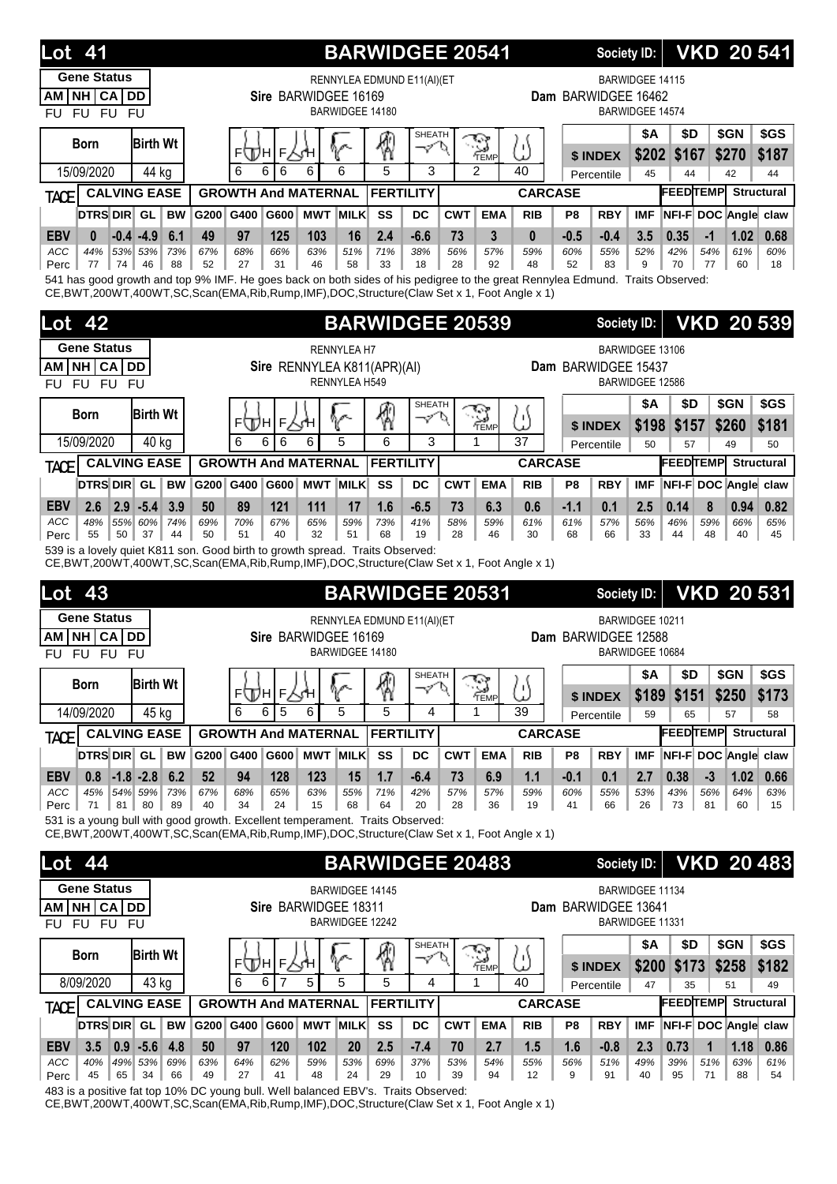|                            | <b>Lot</b> 41        |                                                                                                                                                                                                                                     |           |                            |                      |                 |                        |                             |                     |            | <b>BARWIDGEE 20541</b>         |                |                | Society ID:         |                        |                                  |             |             | <b>VKD 20 541</b>       |
|----------------------------|----------------------|-------------------------------------------------------------------------------------------------------------------------------------------------------------------------------------------------------------------------------------|-----------|----------------------------|----------------------|-----------------|------------------------|-----------------------------|---------------------|------------|--------------------------------|----------------|----------------|---------------------|------------------------|----------------------------------|-------------|-------------|-------------------------|
|                            | <b>Gene Status</b>   |                                                                                                                                                                                                                                     |           |                            |                      |                 |                        | RENNYLEA EDMUND E11(AI)(ET  |                     |            |                                |                |                |                     | BARWIDGEE 14115        |                                  |             |             |                         |
| AM I                       | NH CA DD<br>FU FU FU |                                                                                                                                                                                                                                     |           |                            | Sire BARWIDGEE 16169 |                 | <b>BARWIDGEE 14180</b> |                             |                     |            |                                |                |                | Dam BARWIDGEE 16462 | <b>BARWIDGEE 14574</b> |                                  |             |             |                         |
| <b>FU</b>                  |                      |                                                                                                                                                                                                                                     |           |                            |                      |                 |                        |                             | <b>SHEATH</b>       |            |                                |                |                |                     | <b>\$A</b>             | \$D                              |             | \$GN        | \$GS                    |
|                            | <b>Born</b>          | <b>Birth Wt</b>                                                                                                                                                                                                                     |           | ⊧∖Дн                       | F                    |                 | V                      | ⊗                           | マロ                  |            | S<br>TEMP                      | ω              |                | \$ INDEX            | \$202                  | \$167                            |             | \$270       | \$187                   |
|                            | 15/09/2020           | 44 kg                                                                                                                                                                                                                               |           | 6                          | 6<br>6               | 6               | 6                      | 5                           | 3                   |            | $\mathfrak{p}$                 | 40             |                | Percentile          | 45                     | 44                               |             | 42          | 44                      |
| <b>TACE</b>                |                      | <b>CALVING EASE</b>                                                                                                                                                                                                                 |           | <b>GROWTH And MATERNAL</b> |                      |                 |                        | <b>FERTILITY</b>            |                     |            |                                | <b>CARCASE</b> |                |                     |                        | <b>FEEDTEMP</b>                  |             |             | <b>Structural</b>       |
|                            | DTRS DIR GL          | <b>BW</b>                                                                                                                                                                                                                           | G200 G400 |                            | G600                 | <b>MWT MILK</b> |                        | SS                          | DC                  | <b>CWT</b> | <b>EMA</b>                     | <b>RIB</b>     | P <sub>8</sub> | <b>RBY</b>          | <b>IMF</b>             | NFI-F DOC Angle claw             |             |             |                         |
| <b>EBV</b><br>ACC          | $\bf{0}$<br>44%      | $-0.4 - 4.9$<br>6.1<br>53% 53%<br>73%                                                                                                                                                                                               | 49<br>67% | 97<br>68%                  | 125<br>66%           | 103<br>63%      | 16<br>51%              | 2.4<br>71%                  | $-6.6$<br>38%       | 73<br>56%  | 3<br>57%                       | 0<br>59%       | $-0.5$<br>60%  | $-0.4$<br>55%       | 3.5<br>52%             | 0.35<br>42%                      | $-1$<br>54% | 1.02<br>61% | 0.68<br>60%             |
| Perc                       | 74<br>77             | 88<br>46                                                                                                                                                                                                                            | 52        | 27                         | 31                   | 46              | 58                     | 33                          | 18                  | 28         | 92                             | 48             | 52             | 83                  | 9                      | 70                               | 77          | 60          | 18                      |
|                            |                      | 541 has good growth and top 9% IMF. He goes back on both sides of his pedigree to the great Rennylea Edmund. Traits Observed:<br>CE, BWT, 200WT, 400WT, SC, Scan(EMA, Rib, Rump, IMF), DOC, Structure(Claw Set x 1, Foot Angle x 1) |           |                            |                      |                 |                        |                             |                     |            |                                |                |                |                     |                        |                                  |             |             |                         |
| Lot                        | 42                   |                                                                                                                                                                                                                                     |           |                            |                      |                 |                        | <b>BARWIDGEE 20539</b>      |                     |            |                                |                |                | <b>Society ID:</b>  |                        |                                  |             |             | <b>VKD 20 539</b>       |
|                            | <b>Gene Status</b>   |                                                                                                                                                                                                                                     |           |                            |                      |                 | <b>RENNYLEA H7</b>     |                             |                     |            |                                |                |                |                     | BARWIDGEE 13106        |                                  |             |             |                         |
| AM                         | NH CA DD             |                                                                                                                                                                                                                                     |           |                            |                      |                 |                        | Sire RENNYLEA K811(APR)(AI) |                     |            |                                |                |                | Dam BARWIDGEE 15437 |                        |                                  |             |             |                         |
| <b>FU</b>                  | FU FU FU             |                                                                                                                                                                                                                                     |           |                            |                      |                 | RENNYLEA H549          |                             |                     |            |                                |                |                |                     | BARWIDGEE 12586        |                                  |             |             |                         |
|                            | <b>Born</b>          | <b>Birth Wt</b>                                                                                                                                                                                                                     |           |                            |                      |                 |                        |                             | <b>SHEATH</b>       |            | S                              |                |                |                     | <b>\$A</b>             | \$D                              |             | \$GN        | \$GS                    |
|                            |                      |                                                                                                                                                                                                                                     |           | ⊧∖Дн                       | F                    | ⋌⋌н             |                        | ⊛                           | マク                  |            | TEMP                           | ω              |                | \$ INDEX            | \$198                  | \$157                            |             | \$260       | \$181                   |
|                            | 15/09/2020           | 40 kg                                                                                                                                                                                                                               |           | 6                          | 6<br>6               | 6               | 5                      | 6                           | 3                   |            | 1                              | 37             |                | Percentile          | 50                     | 57                               |             | 49          | 50                      |
| <b>TACE</b>                |                      | <b>CALVING EASE</b>                                                                                                                                                                                                                 |           | <b>GROWTH And MATERNAL</b> |                      |                 |                        | <b>FERTILITY</b>            |                     |            |                                | <b>CARCASE</b> |                |                     |                        | <b>FEEDTEMP</b>                  |             |             | <b>Structural</b>       |
|                            | DTRS DIR GL          | <b>BW</b>                                                                                                                                                                                                                           | G200 G400 |                            | G600                 | <b>MWT MILK</b> |                        | SS                          | <b>DC</b>           | <b>CWT</b> | <b>EMA</b>                     | <b>RIB</b>     | P8             | <b>RBY</b>          | <b>IMF</b>             | NFI-F DOC Angle claw             |             |             |                         |
| <b>EBV</b><br>ACC          | 2.6<br>48%           | $2.9 - 5.4$<br>3.9<br>55% 60%<br>74%                                                                                                                                                                                                | 50<br>69% | 89<br>70%                  | 121<br>67%           | 111<br>65%      | 17<br>59%              | 1.6<br>73%                  | $-6.5$<br>41%       | 73<br>58%  | 6.3<br>59%                     | 0.6<br>61%     | $-1.1$<br>61%  | 0.1<br>57%          | 2.5<br>56%             | 0.14<br>46%                      | 8<br>59%    | 0.94<br>66% | 0.82<br>65%             |
|                            | 55<br>50             | 37<br>44                                                                                                                                                                                                                            | 50        | 51                         | 40                   | 32              | 51                     | 68                          | 19                  | 28         | 46                             | 30             | 68             | 66                  | 33                     | 44                               | 48          | 40          | 45                      |
| Perc                       |                      |                                                                                                                                                                                                                                     |           |                            |                      |                 |                        |                             |                     |            |                                |                |                |                     |                        |                                  |             |             |                         |
|                            |                      | 539 is a lovely quiet K811 son. Good birth to growth spread. Traits Observed:                                                                                                                                                       |           |                            |                      |                 |                        |                             |                     |            |                                |                |                |                     |                        |                                  |             |             |                         |
|                            |                      | CE, BWT, 200WT, 400WT, SC, Scan(EMA, Rib, Rump, IMF), DOC, Structure (Claw Set x 1, Foot Angle x 1)                                                                                                                                 |           |                            |                      |                 |                        |                             |                     |            |                                |                |                |                     |                        |                                  |             |             |                         |
| Lot                        | 43                   |                                                                                                                                                                                                                                     |           |                            |                      |                 |                        | <b>BARWIDGEE 20531</b>      |                     |            |                                |                |                | Society ID:         |                        |                                  |             |             | <b>VKD 20 531</b>       |
|                            | <b>Gene Status</b>   |                                                                                                                                                                                                                                     |           |                            |                      |                 |                        | RENNYLEA EDMUND E11(AI)(ET  |                     |            |                                |                |                |                     | BARWIDGEE 10211        |                                  |             |             |                         |
| AM I<br><b>FU</b>          | NH CA DD<br>FU FU FU |                                                                                                                                                                                                                                     |           |                            | Sire BARWIDGEE 16169 |                 | BARWIDGEE 14180        |                             |                     |            |                                |                |                | Dam BARWIDGEE 12588 | BARWIDGEE 10684        |                                  |             |             |                         |
|                            |                      |                                                                                                                                                                                                                                     |           |                            |                      |                 |                        |                             | SHEATH              |            |                                |                |                |                     | \$A                    | \$D                              |             | \$GN        | \$GS                    |
|                            | <b>Born</b>          | <b>Birth Wt</b>                                                                                                                                                                                                                     |           |                            | ⊧ДА∣⊧∖ң              |                 | V                      | 圈                           | マヤ                  |            | <b>Represent</b><br>Temp       | ω              |                | \$ INDEX            | \$189                  | \$151                            |             | \$250       | \$173                   |
|                            | 14/09/2020           | 45 kg                                                                                                                                                                                                                               |           | 6                          | 5<br>6               | 6               | 5                      | 5                           | 4                   |            | 1                              | 39             |                | Percentile          | 59                     | 65                               |             | 57          | 58                      |
| <b>TACE</b>                |                      | <b>CALVING EASE</b>                                                                                                                                                                                                                 |           | <b>GROWTH And MATERNAL</b> |                      |                 |                        | <b>FERTILITY</b>            |                     |            |                                | <b>CARCASE</b> |                |                     |                        | <b>FEEDTEMP</b>                  |             |             | <b>Structural</b>       |
|                            | DTRS DIR GL          | <b>BW</b>                                                                                                                                                                                                                           | G200 G400 |                            | G600                 | <b>MWT MILK</b> |                        | SS                          | DC                  | <b>CWT</b> | <b>EMA</b>                     | <b>RIB</b>     | P8             | <b>RBY</b>          | <b>IMF</b>             | NFI-F DOC Angle claw             |             |             |                         |
| <b>EBV</b>                 | 0.8                  | $-1.8 - 2.8$<br>6.2                                                                                                                                                                                                                 | 52        | 94                         | 128                  | 123             | 15                     | 1.7                         | $-6.4$              | 73         | 6.9                            | 1.1            | $-0.1$         | 0.1                 | 2.7                    | 0.38                             | $-3$        | 1.02        | 0.66                    |
| ACC<br>Perc                | 45%<br>81<br>71      | 54% 59%<br>73%<br>80<br>89                                                                                                                                                                                                          | 67%<br>40 | 68%<br>34                  | 65%<br>24            | 63%<br>15       | 55%<br>68              | 71%<br>64                   | 42%<br>20           | 57%<br>28  | 57%<br>36                      | 59%<br>19      | 60%<br>41      | 55%<br>66           | 53%<br>26              | 43%<br>73                        | 56%<br>81   | 64%<br>60   | 63%<br>15 <sup>15</sup> |
|                            |                      | 531 is a young bull with good growth. Excellent temperament. Traits Observed:                                                                                                                                                       |           |                            |                      |                 |                        |                             |                     |            |                                |                |                |                     |                        |                                  |             |             |                         |
|                            |                      | CE, BWT, 200WT, 400WT, SC, Scan(EMA, Rib, Rump, IMF), DOC, Structure (Claw Set x 1, Foot Angle x 1)                                                                                                                                 |           |                            |                      |                 |                        |                             |                     |            |                                |                |                |                     |                        |                                  |             |             |                         |
| $\overline{\text{Lot}}$ 44 |                      |                                                                                                                                                                                                                                     |           |                            |                      |                 |                        | <b>BARWIDGEE 20483</b>      |                     |            |                                |                |                | <b>Society ID:</b>  |                        |                                  |             |             | <b>VKD 20483</b>        |
|                            | <b>Gene Status</b>   |                                                                                                                                                                                                                                     |           |                            |                      |                 | BARWIDGEE 14145        |                             |                     |            |                                |                |                |                     | <b>BARWIDGEE 11134</b> |                                  |             |             |                         |
|                            | AM NH CA DD          |                                                                                                                                                                                                                                     |           |                            | Sire BARWIDGEE 18311 |                 |                        |                             |                     |            |                                |                |                | Dam BARWIDGEE 13641 |                        |                                  |             |             |                         |
| <b>FU</b>                  | FU FU FU             |                                                                                                                                                                                                                                     |           |                            |                      |                 | BARWIDGEE 12242        |                             |                     |            |                                |                |                |                     | BARWIDGEE 11331        |                                  |             |             |                         |
|                            | <b>Born</b>          | <b>Birth Wt</b>                                                                                                                                                                                                                     |           |                            |                      |                 |                        |                             | <b>SHEATH</b><br>マム |            |                                |                |                |                     | \$Α                    | \$D                              |             | \$GN        | \$GS                    |
|                            |                      |                                                                                                                                                                                                                                     |           | 6                          | ⊧Д∖н∣⊧∖үн<br>7<br>6  | 5               | V<br>5                 | ₩<br>5                      | 4                   |            | $\mathbb{Z}_{\frac{1}{2}$<br>1 | ω<br>40        |                | \$ INDEX            | \$200                  | \$173                            |             | \$258       | \$182                   |
|                            | 8/09/2020            | 43 kg<br><b>CALVING EASE</b>                                                                                                                                                                                                        |           |                            |                      |                 |                        | <b>FERTILITY</b>            |                     |            |                                | <b>CARCASE</b> |                | Percentile          | 47                     | 35<br><b>FEEDTEMP</b> Structural |             | 51          | 49                      |
| <b>TACE</b>                | <b>DTRS DIR</b> GL   | <b>BW</b>                                                                                                                                                                                                                           | G200 G400 | <b>GROWTH And MATERNAL</b> |                      | G600 MWT MILK   |                        | SS                          | DC                  | <b>CWT</b> | <b>EMA</b>                     | <b>RIB</b>     | P8             | <b>RBY</b>          | <b>IMF</b>             |                                  |             |             | NFI-F DOC Angle claw    |
| <b>EBV</b>                 | 3.5                  | $0.9 - 5.6$<br>4.8                                                                                                                                                                                                                  | 50        | 97                         | 120                  | 102             | 20                     | 2.5                         | $-7.4$              | 70         | 2.7                            | 1.5            | 1.6            | $-0.8$              | 2.3                    | 0.73                             | 1           | 1.18        | 0.86                    |

483 is a positive fat top 10% DC young bull. Well balanced EBV's. Traits Observed:

CE,BWT,200WT,400WT,SC,Scan(EMA,Rib,Rump,IMF),DOC,Structure(Claw Set x 1, Foot Angle x 1)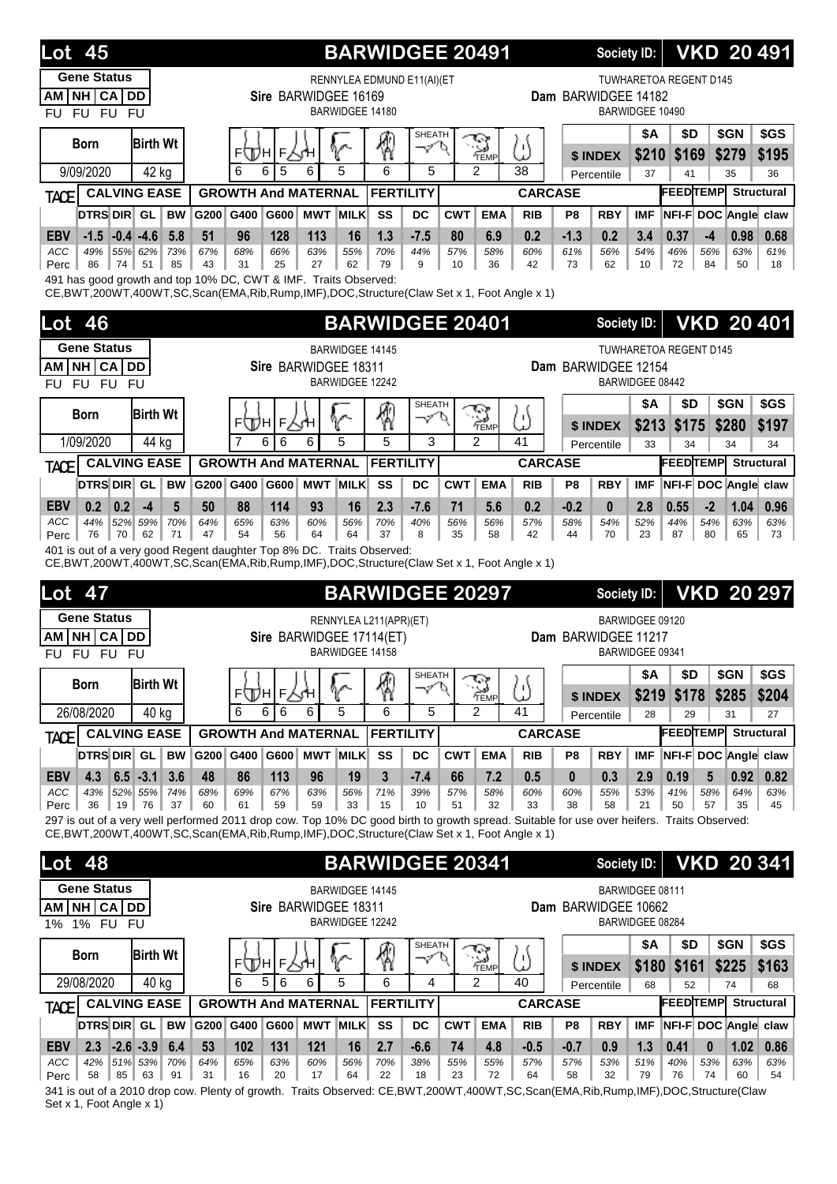| <b>Lot 45</b>                                                                                                                                                                                                                                      |                                      |           |                            |            |                      |                        | <b>BARWIDGEE 20491</b>                             |                             |            |                      |                |                 | <b>Society ID:</b>  |                                    |                        |                                       | <b>VKD 20 491</b> |
|----------------------------------------------------------------------------------------------------------------------------------------------------------------------------------------------------------------------------------------------------|--------------------------------------|-----------|----------------------------|------------|----------------------|------------------------|----------------------------------------------------|-----------------------------|------------|----------------------|----------------|-----------------|---------------------|------------------------------------|------------------------|---------------------------------------|-------------------|
| <b>Gene Status</b><br>NH CA DD<br>AM<br>FU FU FU<br><b>FU</b>                                                                                                                                                                                      |                                      |           |                            |            | Sire BARWIDGEE 16169 | BARWIDGEE 14180        | RENNYLEA EDMUND E11(AI)(ET                         |                             |            |                      |                |                 | Dam BARWIDGEE 14182 | BARWIDGEE 10490                    | TUWHARETOA REGENT D145 |                                       |                   |
| <b>Born</b>                                                                                                                                                                                                                                        | <b>Birth Wt</b>                      |           | ⊧ДА∣⊧∖Ч                    |            |                      |                        | q                                                  | <b>SHEATH</b><br>$\varphi'$ | P          | TEMP                 | ω              |                 | \$ INDEX            | \$Α<br>\$210                       | \$D<br>\$169           | \$GN<br>\$279                         | \$GS<br>\$195     |
| 9/09/2020                                                                                                                                                                                                                                          | 42 kg                                |           | 6<br>6                     | 5          | 6                    | 5                      | 6                                                  | 5                           |            | $\overline{2}$       | 38             |                 | Percentile          | 37                                 | 41                     | 35                                    | 36                |
| <b>TACE</b>                                                                                                                                                                                                                                        | <b>CALVING EASE</b>                  |           | <b>GROWTH And MATERNAL</b> |            |                      |                        | <b>FERTILITY</b>                                   |                             |            |                      | <b>CARCASE</b> |                 |                     |                                    | <b>FEEDTEMP</b>        |                                       | <b>Structural</b> |
| DTRS DIR GL                                                                                                                                                                                                                                        | <b>BW</b>                            | G200      | G400                       | G600       | <b>MWT</b>           | <b>MILK</b>            | SS                                                 | DC                          | <b>CWT</b> | <b>EMA</b>           | <b>RIB</b>     | P <sub>8</sub>  | <b>RBY</b>          | <b>IMF</b>                         |                        | NFI-F DOC Angle claw                  |                   |
| <b>EBV</b><br>$-1.5$                                                                                                                                                                                                                               | 5.8<br>$-0.4 - 4.6$                  | 51        | 96                         | 128        | 113                  | 16                     | 1.3                                                | $-7.5$                      | 80         | 6.9                  | 0.2            | $-1.3$          | 0.2                 | 3.4                                | 0.37                   | $-4$<br>0.98                          | 0.68              |
| ACC<br>49%<br>74<br>Perc<br>86                                                                                                                                                                                                                     | 55% 62%<br>73%<br>51<br>85           | 67%<br>43 | 68%<br>31                  | 66%<br>25  | 63%<br>27            | 55%<br>62              | 70%<br>79                                          | 44%<br>9                    | 57%<br>10  | 58%<br>36            | 60%<br>42      | 61%<br>73       | 56%<br>62           | 54%<br>10                          | 46%<br>72              | 56%<br>63%<br>84<br>50                | 61%<br>18         |
| 491 has good growth and top 10% DC, CWT & IMF. Traits Observed:<br>CE, BWT, 200WT, 400WT, SC, Scan(EMA, Rib, Rump, IMF), DOC, Structure (Claw Set x 1, Foot Angle x 1)                                                                             |                                      |           |                            |            |                      |                        |                                                    |                             |            |                      |                |                 |                     |                                    |                        |                                       |                   |
| Lot<br>46                                                                                                                                                                                                                                          |                                      |           |                            |            |                      |                        | <b>BARWIDGEE 20401</b>                             |                             |            |                      |                |                 | Society ID:         |                                    |                        |                                       | <b>VKD 20 401</b> |
| <b>Gene Status</b>                                                                                                                                                                                                                                 |                                      |           |                            |            |                      | BARWIDGEE 14145        |                                                    |                             |            |                      |                |                 |                     |                                    | TUWHARETOA REGENT D145 |                                       |                   |
| NH CA<br>AM<br>FU FU FU<br><b>FU</b>                                                                                                                                                                                                               | DD                                   |           |                            |            | Sire BARWIDGEE 18311 | BARWIDGEE 12242        |                                                    |                             |            |                      |                |                 | Dam BARWIDGEE 12154 | BARWIDGEE 08442                    |                        |                                       |                   |
|                                                                                                                                                                                                                                                    |                                      |           |                            |            |                      |                        |                                                    | <b>SHEATH</b>               |            |                      |                |                 |                     | \$Α                                | \$D                    | \$GN                                  | \$GS              |
| <b>Born</b>                                                                                                                                                                                                                                        | <b>Birth Wt</b>                      |           | ⊧ДА∣⊧∖५                    |            |                      |                        | q                                                  | マ                           | Ø.         | TEMP                 | ω              |                 | \$ INDEX            | \$213                              | \$175                  | \$280                                 | \$197             |
| 1/09/2020                                                                                                                                                                                                                                          | 44 kg                                |           | $\overline{7}$<br>6        | 6          | 6                    | 5                      | 5                                                  | 3                           |            | $\mathcal{P}$        | 41             |                 | Percentile          | 33                                 | 34                     | 34                                    | 34                |
| TACE                                                                                                                                                                                                                                               | <b>CALVING EASE</b>                  |           | <b>GROWTH And MATERNAL</b> |            |                      |                        | <b>FERTILITY</b>                                   |                             |            |                      | <b>CARCASE</b> |                 |                     |                                    | <b>FEEDTEMP</b>        |                                       | <b>Structural</b> |
| DTRS DIR GL                                                                                                                                                                                                                                        | <b>BW</b>                            | G200 G400 |                            | G600       |                      | <b>MWT MILK</b>        | SS                                                 | DC                          | <b>CWT</b> | <b>EMA</b>           | <b>RIB</b>     | P8              | <b>RBY</b>          | IMF                                |                        | NFI-F DOC Angle claw                  |                   |
| <b>EBV</b><br>0.2<br>0.2                                                                                                                                                                                                                           | $-4$<br>5                            | 50        | 88                         | 114        | 93                   | 16                     | 2.3                                                | $-7.6$                      | 71         | 5.6                  | 0.2            | $-0.2$          | 0                   | 2.8                                | 0.55                   | $-2$<br>1.04                          | 0.96              |
| ACC<br>44%<br>76<br>70<br>Perc                                                                                                                                                                                                                     | 70%<br>52% 59%<br>62<br>71           | 64%<br>47 | 65%<br>54                  | 63%<br>56  | 60%<br>64            | 56%<br>64              | 70%<br>37                                          | 40%<br>8                    | 56%<br>35  | 56%<br>58            | 57%<br>42      | 58%<br>44       | 54%<br>70           | 52%<br>23                          | 44%<br>87              | 54%<br>63%<br>80<br>65                | 63%<br>73         |
| 401 is out of a very good Regent daughter Top 8% DC. Traits Observed:<br>CE, BWT, 200WT, 400WT, SC, Scan(EMA, Rib, Rump, IMF), DOC, Structure (Claw Set x 1, Foot Angle x 1)                                                                       |                                      |           |                            |            |                      |                        |                                                    |                             |            |                      |                |                 |                     |                                    |                        |                                       |                   |
| Lot<br>47                                                                                                                                                                                                                                          |                                      |           |                            |            |                      |                        | <b>BARWIDGEE 20297</b>                             |                             |            |                      |                |                 | Society ID:         |                                    |                        |                                       | <b>VKD 20 297</b> |
| <b>Gene Status</b><br><b>NH</b><br><b>CA</b><br>AM<br>FU FU FU<br><b>FU</b>                                                                                                                                                                        | DD                                   |           |                            |            |                      | BARWIDGEE 14158        | RENNYLEA L211(APR)(ET)<br>Sire BARWIDGEE 17114(ET) |                             |            |                      |                |                 | Dam BARWIDGEE 11217 | BARWIDGEE 09120<br>BARWIDGEE 09341 |                        |                                       |                   |
| <b>Born</b>                                                                                                                                                                                                                                        | <b>Birth Wt</b>                      |           |                            |            |                      |                        |                                                    | SHEATH                      |            |                      |                |                 |                     | │ \$A                              | $\parallel$ \$D        | $\frac{1}{2}$ \$GN $\frac{1}{2}$ \$GS |                   |
|                                                                                                                                                                                                                                                    |                                      |           | ⊧Дн∣⊧∑үн                   |            |                      | r                      | 4                                                  | マヘ                          |            | $\sum_{\text{Temp}}$ | ₩              |                 | \$ INDEX            | \$219                              | \$178                  | \$285                                 | \$204             |
| 26/08/2020                                                                                                                                                                                                                                         | 40 kg                                |           | 6<br>6                     | 6          | 6                    | 5                      | 6                                                  | 5                           |            | $\mathcal{P}$        | 41             |                 | Percentile          | 28                                 | 29                     | 31                                    | 27                |
| <b>TACE</b>                                                                                                                                                                                                                                        | <b>CALVING EASE</b>                  |           | <b>GROWTH And MATERNAL</b> |            |                      |                        | <b>FERTILITY</b>                                   |                             |            |                      | <b>CARCASE</b> |                 |                     |                                    | <b>FEEDTEMP</b>        |                                       | <b>Structural</b> |
| DTRS DIR GL                                                                                                                                                                                                                                        | <b>BW</b>                            | G200 G400 |                            | G600       |                      | <b>MWT MILK</b>        | SS                                                 | DC                          | <b>CWT</b> | <b>EMA</b>           | <b>RIB</b>     | P8              | <b>RBY</b>          | <b>IMF</b>                         |                        | NFI-F DOC Angle claw                  |                   |
| <b>EBV</b><br>4.3<br>ACC<br>43%                                                                                                                                                                                                                    | $6.5 - 3.1$<br>3.6<br>52% 55%<br>74% | 48<br>68% | 86<br>69%                  | 113<br>67% | 96<br>63%            | 19<br>56%              | 3<br>71%                                           | $-7.4$<br>39%               | 66<br>57%  | 7.2<br>58%           | 0.5<br>60%     | $\bf{0}$<br>60% | 0.3<br>55%          | 2.9<br>53%                         | 0.19<br>41%            | 0.92<br>5<br>58%<br>64%               | 0.82<br>63%       |
| 36<br>19<br>Perc                                                                                                                                                                                                                                   | 76<br>37                             | 60        | 61                         | 59         | 59                   | 33                     | 15                                                 | 10                          | 51         | 32                   | 33             | 38              | 58                  | 21                                 | 50                     | 57<br>35                              | 45                |
| 297 is out of a very well performed 2011 drop cow. Top 10% DC good birth to growth spread. Suitable for use over heifers. Traits Observed:<br>CE, BWT, 200WT, 400WT, SC, Scan (EMA, Rib, Rump, IMF), DOC, Structure (Claw Set x 1, Foot Angle x 1) |                                      |           |                            |            |                      |                        |                                                    |                             |            |                      |                |                 |                     |                                    |                        |                                       |                   |
| <b>Lot 48</b>                                                                                                                                                                                                                                      |                                      |           |                            |            |                      |                        | <b>BARWIDGEE 20341</b>                             |                             |            |                      |                |                 | Society ID:         |                                    |                        |                                       | <b>VKD 20 341</b> |
| <b>Gene Status</b>                                                                                                                                                                                                                                 |                                      |           |                            |            |                      | <b>BARWIDGEE 14145</b> |                                                    |                             |            |                      |                |                 |                     | BARWIDGEE 08111                    |                        |                                       |                   |
| AM NH CA DD<br>1% FU FU<br>$1\%$                                                                                                                                                                                                                   |                                      |           |                            |            | Sire BARWIDGEE 18311 | BARWIDGEE 12242        |                                                    |                             |            |                      |                |                 | Dam BARWIDGEE 10662 | BARWIDGEE 08284                    |                        |                                       |                   |
| <b>Born</b>                                                                                                                                                                                                                                        | <b>Birth Wt</b>                      |           |                            |            |                      |                        |                                                    | <b>SHEATH</b>               |            |                      |                |                 |                     | \$Α                                | \$D                    | \$GN                                  | \$GS              |
|                                                                                                                                                                                                                                                    |                                      |           | ⊧⊕н∣⊧Р                     |            |                      | V                      | 1                                                  | -10                         |            | $\sum_{\text{Temp}}$ | ω              |                 | \$ INDEX            | \$180                              | \$161                  | \$225                                 | \$163             |
| 29/08/2020                                                                                                                                                                                                                                         | $\overline{40}$ kg                   |           | 6<br>5                     | 6          | 6                    | 5                      | 6                                                  | 4                           |            | 2                    | 40             |                 | Percentile          | 68                                 | 52                     | 74                                    | 68                |
| <b>TACE</b>                                                                                                                                                                                                                                        | <b>CALVING EASE</b>                  |           | <b>GROWTH And MATERNAL</b> |            |                      |                        | <b>FERTILITY</b>                                   |                             |            |                      | <b>CARCASE</b> |                 |                     |                                    | <b>FEEDTEMP</b>        |                                       | <b>Structural</b> |
| DTRS DIR GL                                                                                                                                                                                                                                        |                                      |           |                            |            |                      |                        |                                                    |                             |            |                      |                |                 |                     |                                    |                        |                                       |                   |
|                                                                                                                                                                                                                                                    | <b>BW</b>                            |           | G200 G400                  | G600       | <b>MWT MILK</b>      |                        | SS                                                 | DC                          | <b>CWT</b> | <b>EMA</b>           | <b>RIB</b>     | P8              | <b>RBY</b>          | <b>IMF</b>                         |                        | NFI-F DOC Angle claw                  |                   |
| <b>EBV</b><br>2.3<br>ACC<br>42%                                                                                                                                                                                                                    | $-2.6 - 3.9$<br>6.4<br>51% 53% 70%   | 53<br>64% | 102<br>65%                 | 131<br>63% | 121<br>60%           | 16<br>56%              | 2.7<br>70%                                         | $-6.6$<br>38%               | 74<br>55%  | 4.8<br>55%           | $-0.5$<br>57%  | $-0.7$<br>57%   | 0.9<br>53%          | 1.3<br>51%                         | 0.41<br>40%            | 1.02<br>$\bf{0}$<br>53%<br>63%        | 0.86<br>63%       |

341 is out of a 2010 drop cow. Plenty of growth. Traits Observed: CE,BWT,200WT,400WT,SC,Scan(EMA,Rib,Rump,IMF),DOC,Structure(Claw Set x 1, Foot Angle x 1)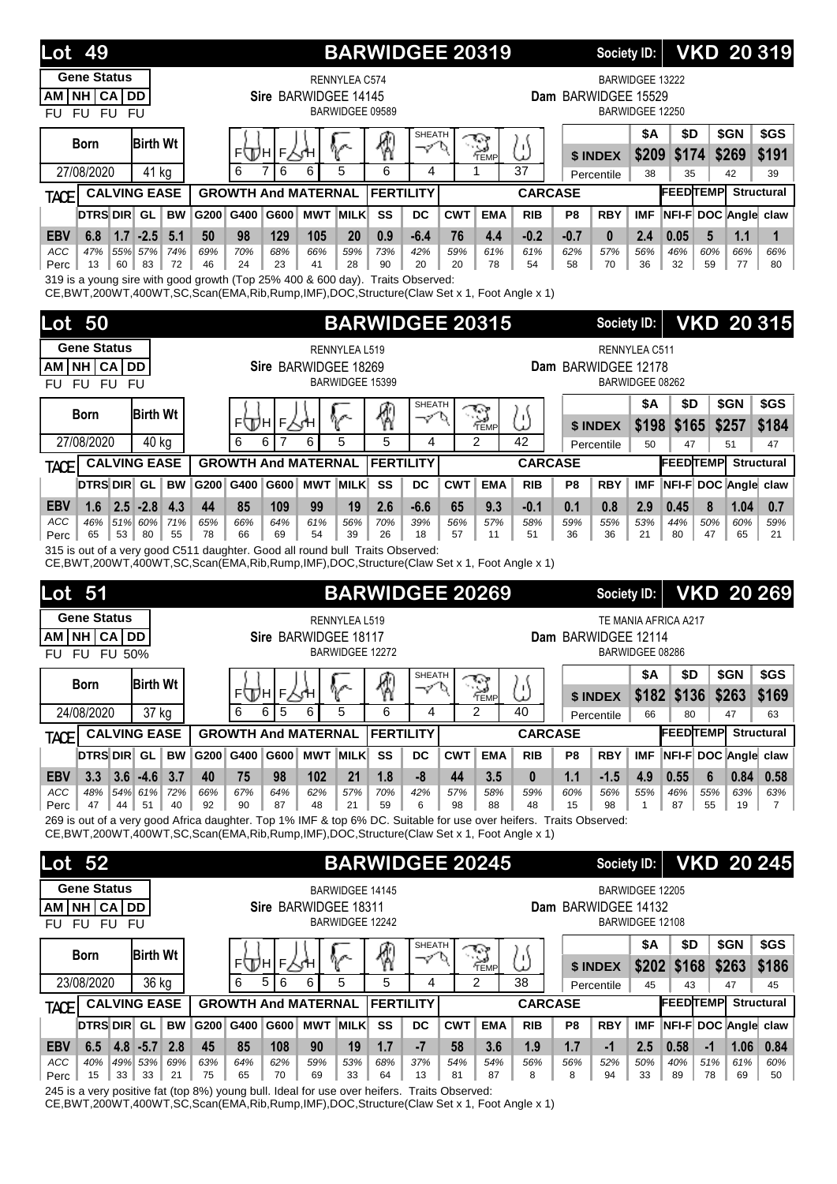| <b>Lot 49</b>                                                                                                                                                                                                             |                         |                            | <b>BARWIDGEE 20319</b> | <b>VKD 20319</b><br><b>Society ID:</b>  |                        |                         |            |                      |                |                |                     |                                    |                                                              |               |            |                         |
|---------------------------------------------------------------------------------------------------------------------------------------------------------------------------------------------------------------------------|-------------------------|----------------------------|------------------------|-----------------------------------------|------------------------|-------------------------|------------|----------------------|----------------|----------------|---------------------|------------------------------------|--------------------------------------------------------------|---------------|------------|-------------------------|
| <b>Gene Status</b><br>NH CA DD<br>AM<br><b>FU</b><br><b>FU</b><br><b>FU</b><br><b>FU</b>                                                                                                                                  |                         |                            | Sire BARWIDGEE 14145   | <b>RENNYLEA C574</b><br>BARWIDGEE 09589 |                        |                         |            |                      |                |                | Dam BARWIDGEE 15529 | BARWIDGEE 13222<br>BARWIDGEE 12250 |                                                              |               |            |                         |
| <b>Birth Wt</b><br><b>Born</b>                                                                                                                                                                                            |                         | F(T)H F.                   |                        |                                         |                        | SHEATH<br>$\mathcal{I}$ |            | 9<br>TEMP            | ω              |                | \$ INDEX            | <b>\$A</b><br>\$209                | \$D<br>\$174                                                 | \$GN<br>\$269 |            | \$GS<br>\$191           |
| 27/08/2020<br>41 kg                                                                                                                                                                                                       |                         | 6<br>7<br>6                | 6                      | 5                                       | 6                      | 4                       |            | 1                    | 37             |                | Percentile          | 38                                 | 35                                                           | 42            |            | 39                      |
| <b>CALVING EASE</b><br>TACE                                                                                                                                                                                               |                         | <b>GROWTH And MATERNAL</b> |                        |                                         | <b>FERTILITY</b>       |                         |            |                      | <b>CARCASE</b> |                |                     |                                    | <b>FEEDTEMP</b><br><b>Structural</b><br>NFI-F DOC Angle claw |               |            |                         |
| <b>DTRS DIR GL</b>                                                                                                                                                                                                        | <b>BW</b><br>G200       | G600<br>G400               | <b>MWT</b>             | <b>MILK</b>                             | SS                     | <b>DC</b>               | <b>CWT</b> | <b>EMA</b>           | <b>RIB</b>     | P <sub>8</sub> | <b>RBY</b>          | <b>IMF</b>                         |                                                              |               |            |                         |
| $-2.5$<br><b>EBV</b><br>6.8<br>1.7<br>ACC<br>47%<br>55% 57%                                                                                                                                                               | 5.1<br>50<br>74%<br>69% | 98<br>129<br>70%<br>68%    | 105<br>66%             | 20<br>59%                               | 0.9<br>73%             | $-6.4$<br>42%           | 76<br>59%  | 4.4<br>61%           | $-0.2$<br>61%  | $-0.7$<br>62%  | $\bf{0}$<br>57%     | 2.4<br>56%                         | 0.05<br>46%                                                  | 5<br>60%      | 1.1<br>66% | $\mathbf 1$<br>66%      |
| 60<br>83<br>13<br>Perc<br>319 is a young sire with good growth (Top 25% 400 & 600 day). Traits Observed:                                                                                                                  | 72<br>46                | 24<br>23                   | 41                     | 28                                      | 90                     | 20                      | 20         | 78                   | 54             | 58             | 70                  | 36                                 | 32                                                           | 59            | 77         | 80                      |
| CE, BWT, 200WT, 400WT, SC, Scan (EMA, Rib, Rump, IMF), DOC, Structure (Claw Set x 1, Foot Angle x 1)                                                                                                                      |                         |                            |                        |                                         |                        |                         |            |                      |                |                |                     |                                    |                                                              |               |            |                         |
| 50<br>Lot                                                                                                                                                                                                                 |                         |                            |                        |                                         | <b>BARWIDGEE 20315</b> |                         |            |                      |                |                |                     | <b>Society ID:</b>                 |                                                              |               |            | <b>VKD 20315</b>        |
| <b>Gene Status</b>                                                                                                                                                                                                        |                         |                            |                        | RENNYLEA L519                           |                        |                         |            |                      |                |                |                     | RENNYLEA C511                      |                                                              |               |            |                         |
| NH CA<br><b>DD</b><br>AM                                                                                                                                                                                                  |                         |                            | Sire BARWIDGEE 18269   | BARWIDGEE 15399                         |                        |                         |            |                      |                |                | Dam BARWIDGEE 12178 | BARWIDGEE 08262                    |                                                              |               |            |                         |
| <b>FU</b><br><b>FU</b><br><b>FU</b><br><b>FU</b>                                                                                                                                                                          |                         |                            |                        |                                         |                        |                         |            |                      |                |                |                     | <b>\$A</b>                         | \$D                                                          | \$GN          |            | \$GS                    |
| <b>Birth Wt</b><br>Born                                                                                                                                                                                                   |                         | F<br>ЩΗ<br>F١              |                        |                                         |                        | SHEATH                  |            | G.<br>TEMP           | ω              |                | \$ INDEX            | \$198                              | \$165                                                        | \$257         |            | \$184                   |
| 27/08/2020<br>40 kg                                                                                                                                                                                                       |                         | 6<br>6<br>7                | 6                      | 5                                       | 5                      | 4                       |            | $\overline{2}$       | 42             |                | Percentile          | 50                                 | 47                                                           | 51            |            | 47                      |
| <b>CALVING EASE</b><br>TACE                                                                                                                                                                                               |                         | <b>GROWTH And MATERNAL</b> |                        |                                         | <b>FERTILITY</b>       |                         |            |                      | <b>CARCASE</b> |                |                     |                                    | <b>FEEDTEMP</b>                                              |               |            | <b>Structural</b>       |
| DTRS DIR GL                                                                                                                                                                                                               | <b>BW</b><br>G200       | G400<br>G600               | <b>MWT MILK</b>        |                                         | SS                     | DC                      | <b>CWT</b> | <b>EMA</b>           | <b>RIB</b>     | P <sub>8</sub> | <b>RBY</b>          | <b>IMF</b>                         | NFI-F DOC Angle                                              |               |            | claw                    |
| <b>EBV</b><br>2.5<br>$-2.8$<br>1.6                                                                                                                                                                                        | 4.3<br>44               | 85<br>109                  | 99                     | 19                                      | 2.6                    | $-6.6$                  | 65         | 9.3                  | $-0.1$         | 0.1            | 0.8                 | 2.9                                | 0.45                                                         | 8             | 1.04       | 0.7                     |
| ACC<br>46%<br>51% 60%<br>53<br>80<br>65<br>Perc                                                                                                                                                                           | 71%<br>65%<br>55<br>78  | 66%<br>64%<br>66<br>69     | 61%<br>54              | 56%<br>39                               | 70%<br>26              | 39%<br>18               | 56%<br>57  | 57%<br>11            | 58%<br>51      | 59%<br>36      | 55%<br>36           | 53%<br>21                          | 44%<br>80                                                    | 50%<br>47     | 60%<br>65  | 59%<br>21               |
| 315 is out of a very good C511 daughter. Good all round bull Traits Observed:<br>CE, BWT, 200WT, 400WT, SC, Scan(EMA, Rib, Rump, IMF), DOC, Structure (Claw Set x 1, Foot Angle x 1)                                      |                         |                            |                        |                                         |                        |                         |            |                      |                |                |                     |                                    |                                                              |               |            |                         |
| Lot<br>51                                                                                                                                                                                                                 |                         |                            |                        |                                         | <b>BARWIDGEE 20269</b> |                         |            |                      |                |                | <b>Society ID:</b>  |                                    |                                                              |               |            | <b>VKD 20 269</b>       |
| <b>Gene Status</b>                                                                                                                                                                                                        |                         |                            |                        | RENNYLEA L519                           |                        |                         |            |                      |                |                |                     |                                    | TE MANIA AFRICA A217                                         |               |            |                         |
| <b>NH</b><br>CA<br>DD<br>AМ<br>FU 50%<br><b>FU</b><br><b>FU</b>                                                                                                                                                           |                         |                            | Sire BARWIDGEE 18117   | BARWIDGEE 12272                         |                        |                         |            |                      |                |                | Dam BARWIDGEE 12114 | BARWIDGEE 08286                    |                                                              |               |            |                         |
|                                                                                                                                                                                                                           |                         |                            | $\sim$                 |                                         |                        | SHEATH                  |            |                      |                |                |                     | \$A                                | \$D                                                          |               |            | $ $ \$GN $ $ \$GS       |
| <b>Birth Wt</b><br><b>Born</b>                                                                                                                                                                                            |                         | ⊧Д⊔∣⊧∑н∣                   |                        | r                                       | 4                      | へん                      |            | ্র<br>TEMP           | ω              |                | \$ INDEX            | \$182                              | \$136                                                        | \$263         |            | \$169                   |
| 24/08/2020                                                                                                                                                                                                                | 37 kg                   | 6<br>6<br>5                | 6                      | 5                                       | 6                      | 4                       |            | $\mathcal{P}$        | 40             |                | Percentile          | 66                                 | 80                                                           | 47            |            | 63                      |
| <b>CALVING EASE</b><br><b>TACE</b>                                                                                                                                                                                        |                         | <b>GROWTH And MATERNAL</b> |                        |                                         | <b>FERTILITY</b>       |                         |            |                      | <b>CARCASE</b> |                |                     |                                    | <b>FEEDTEMP</b>                                              |               |            | <b>Structural</b>       |
| <b>DTRS DIR GL</b>                                                                                                                                                                                                        | <b>BW</b><br>G200       | G400<br>G600               | <b>MWT MILK</b>        |                                         | SS                     | DC                      | <b>CWT</b> | <b>EMA</b>           | <b>RIB</b>     | P8             | <b>RBY</b>          | <b>IMF</b>                         | NFI-F DOC Angle claw                                         |               |            |                         |
| $3.6 - 4.6$<br><b>EBV</b><br>3.3<br>48% 54% 61%                                                                                                                                                                           | 3.7<br>40               | 75<br>98                   | 102                    | 21                                      | 1.8                    | -8                      | 44         | 3.5                  | 0              | 1.1            | $-1.5$              | 4.9                                | 0.55                                                         | 6             | 0.84       | 0.58                    |
| ACC<br>51<br>Perc<br>47<br>44                                                                                                                                                                                             | 72%<br>66%<br>40<br>92  | 67%<br>64%<br>87<br>90     | 62%<br>48              | 57%<br>21                               | 70%<br>59              | 42%<br>6                | 57%<br>98  | 58%<br>88            | 59%<br>48      | 60%<br>15      | 56%<br>98           | 55%<br>1                           | 46%<br>87                                                    | 55%<br>55     | 63%<br>19  | 63%<br>7                |
| 269 is out of a very good Africa daughter. Top 1% IMF & top 6% DC. Suitable for use over heifers. Traits Observed:<br>CE, BWT, 200WT, 400WT, SC, Scan(EMA, Rib, Rump, IMF), DOC, Structure (Claw Set x 1, Foot Angle x 1) |                         |                            |                        |                                         |                        |                         |            |                      |                |                |                     |                                    |                                                              |               |            |                         |
| <b>Lot 52</b>                                                                                                                                                                                                             |                         |                            |                        |                                         | <b>BARWIDGEE 20245</b> |                         |            |                      |                |                |                     | Society ID:                        |                                                              |               |            | <b>VKD 20 245</b>       |
| <b>Gene Status</b>                                                                                                                                                                                                        |                         |                            |                        | <b>BARWIDGEE 14145</b>                  |                        |                         |            |                      |                |                |                     | BARWIDGEE 12205                    |                                                              |               |            |                         |
| NH CA DD<br>AM                                                                                                                                                                                                            |                         |                            | Sire BARWIDGEE 18311   |                                         |                        |                         |            |                      |                |                | Dam BARWIDGEE 14132 |                                    |                                                              |               |            |                         |
| FU FU FU<br><b>FU</b>                                                                                                                                                                                                     |                         |                            |                        | BARWIDGEE 12242                         |                        |                         |            |                      |                |                |                     | BARWIDGEE 12108                    |                                                              |               |            |                         |
| <b>Birth Wt</b><br><b>Born</b>                                                                                                                                                                                            |                         |                            |                        |                                         | 9                      | <b>SHEATH</b><br>へ      |            | $\sum_{\text{Temp}}$ | ω              |                |                     | \$Α                                | \$D                                                          | \$GN          |            | \$GS                    |
| 23/08/2020<br>36 kg                                                                                                                                                                                                       |                         | ⊧⊕н∣⊧⊽н∣<br>5<br>6<br>6    | 6                      | 5                                       | 5                      | 4                       |            | $\overline{2}$       | 38             |                | \$ INDEX            | \$202<br>45                        | \$168<br>43                                                  | \$263<br>47   |            | \$186                   |
| <b>CALVING EASE</b>                                                                                                                                                                                                       |                         | <b>GROWTH And MATERNAL</b> |                        |                                         | <b>FERTILITY</b>       |                         |            |                      | <b>CARCASE</b> |                | Percentile          |                                    | <b>FEEDTEMP</b>                                              |               |            | 45<br><b>Structural</b> |
| <b>TACE</b><br>DTRS DIR GL                                                                                                                                                                                                | <b>BW</b><br>G200       | G400<br>G600               | <b>MWT MILK</b>        |                                         | SS                     | DC                      | <b>CWT</b> | <b>EMA</b>           | <b>RIB</b>     | P <sub>8</sub> | <b>RBY</b>          | <b>IMF</b>                         | NFI-F DOC Angle claw                                         |               |            |                         |
| $4.8 - 5.7$<br><b>EBV</b><br>6.5                                                                                                                                                                                          | 2.8<br>45               | 85<br>108                  | 90                     | 19                                      | 1.7                    | $-7$                    | 58         | 3.6                  | 1.9            | 1.7            | $-1$                | 2.5                                | 0.58                                                         | $-1$          | 1.06       | 0.84                    |
| ACC<br>40%<br>49% 53%<br>33<br>15<br>33<br>Perc                                                                                                                                                                           | 69%<br>63%              | 64%<br>62%<br>65<br>70     | 59%<br>69              | 53%<br>33                               | 68%<br>64              | 37%<br>13               | 54%<br>81  | 54%<br>87            | 56%<br>8       | 56%<br>8       | 52%<br>94           | 50%<br>33                          | 40%<br>89                                                    | 51%<br>78     | 61%<br>69  | 60%<br>50               |
|                                                                                                                                                                                                                           | 21<br>75                |                            |                        |                                         |                        |                         |            |                      |                |                |                     |                                    |                                                              |               |            |                         |

245 is a very positive fat (top 8%) young bull. Ideal for use over heifers. Traits Observed:

CE,BWT,200WT,400WT,SC,Scan(EMA,Rib,Rump,IMF),DOC,Structure(Claw Set x 1, Foot Angle x 1)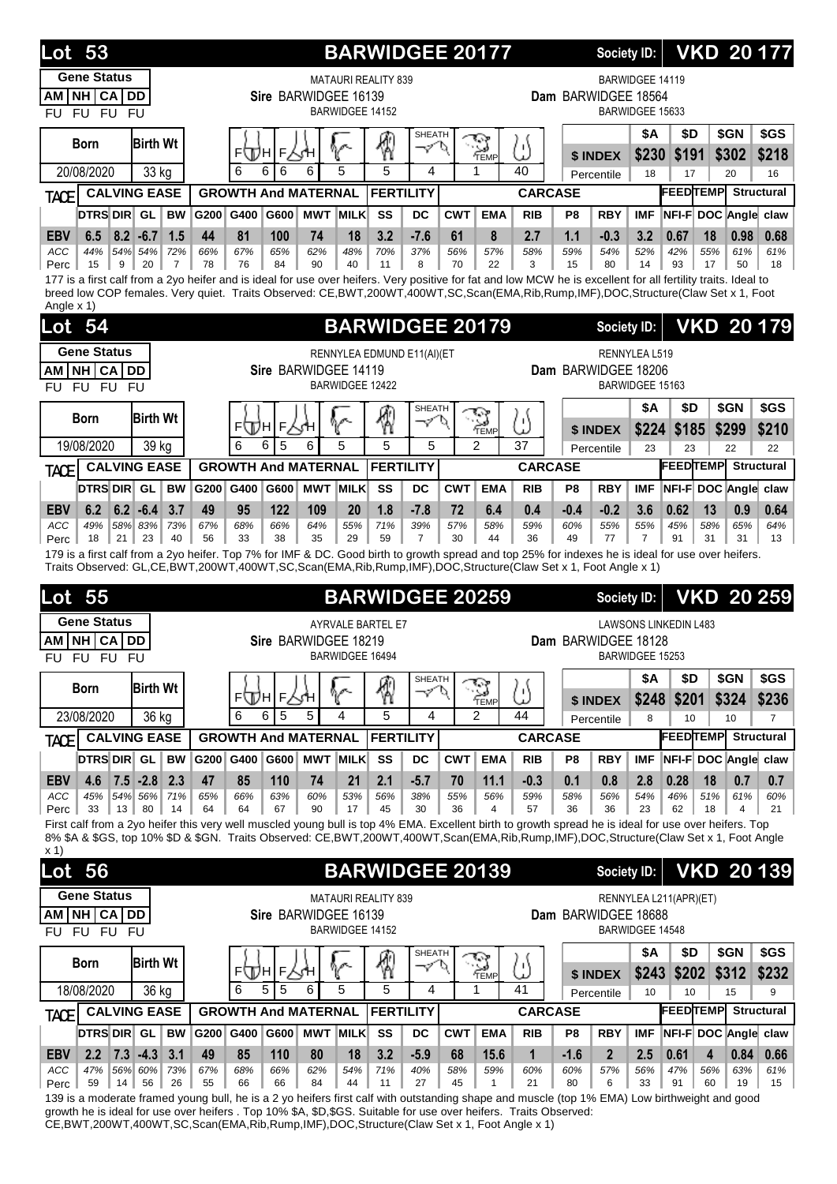| <b>Gene Status</b><br><b>MATAURI REALITY 839</b><br>NH CA DD<br>Sire BARWIDGEE 16139<br>AM.<br>BARWIDGEE 14152<br>FU FU FU<br>FU                                                                                                                                                                                                                             | <b>BARWIDGEE 20177</b>                                                                                                                                                                                                                                            | <b>Society ID:</b>                   | <b>VKD 20177</b>                                |                                    |                         |  |  |  |  |  |  |  |  |  |
|--------------------------------------------------------------------------------------------------------------------------------------------------------------------------------------------------------------------------------------------------------------------------------------------------------------------------------------------------------------|-------------------------------------------------------------------------------------------------------------------------------------------------------------------------------------------------------------------------------------------------------------------|--------------------------------------|-------------------------------------------------|------------------------------------|-------------------------|--|--|--|--|--|--|--|--|--|
|                                                                                                                                                                                                                                                                                                                                                              |                                                                                                                                                                                                                                                                   | Dam BARWIDGEE 18564                  | <b>BARWIDGEE 14119</b><br>BARWIDGEE 15633       |                                    |                         |  |  |  |  |  |  |  |  |  |
| <b>SHEATH</b><br>嘀<br>چي کا<br><b>Birth Wt</b><br>Born<br>V<br>ー<br>;<br>"ТЕМР<br>F<br><b>FULH</b>                                                                                                                                                                                                                                                           | ' ۱ (<br>$\overline{1}$                                                                                                                                                                                                                                           | \$ INDEX                             | <b>\$A</b><br>\$D<br>\$230<br>\$191             | \$GN<br>\$302                      | \$GS<br>\$218           |  |  |  |  |  |  |  |  |  |
| 5<br>5<br>6<br>6<br>6<br>6<br>20/08/2020<br>33 kg<br>4<br>1                                                                                                                                                                                                                                                                                                  | 40                                                                                                                                                                                                                                                                | Percentile                           | 17<br>18                                        | 20                                 | 16                      |  |  |  |  |  |  |  |  |  |
| <b>CALVING EASE</b><br><b>FERTILITY</b><br><b>GROWTH And MATERNAL</b><br>TACE                                                                                                                                                                                                                                                                                | <b>CARCASE</b>                                                                                                                                                                                                                                                    |                                      |                                                 | <b>FEEDTEMP</b>                    | <b>Structural</b>       |  |  |  |  |  |  |  |  |  |
| DTRS DIR GL<br>SS<br><b>BW</b><br>G200<br>G400<br>G600<br><b>MWT MILK</b><br>DC<br><b>CWT</b><br><b>EMA</b><br>6.5<br>$8.2 - 6.7$<br>81<br>74<br>3.2<br>$-7.6$<br>8<br><b>EBV</b><br>1.5<br>44<br>100<br>18<br>61                                                                                                                                            | <b>RIB</b><br>2.7                                                                                                                                                                                                                                                 | <b>RBY</b><br>P8<br>1.1<br>$-0.3$    | <b>IMF</b><br>3.2<br>0.67                       | NFI-F DOC Angle claw<br>18<br>0.98 | 0.68                    |  |  |  |  |  |  |  |  |  |
| ACC<br>44%<br>54% 54%<br>72%<br>66%<br>67%<br>65%<br>62%<br>48%<br>70%<br>37%<br>56%<br>57%<br>8<br>9<br>20<br>84<br>90<br>40<br>70<br>22<br>Perc<br>15<br>$\overline{7}$<br>78<br>76<br>11<br>177 is a first calf from a 2yo heifer and is ideal for use over heifers. Very positive for fat and low MCW he is excellent for all fertility traits. Ideal to | 58%<br>3                                                                                                                                                                                                                                                          | 59%<br>54%<br>15<br>80               | 52%<br>42%<br>14<br>93                          | 61%<br>55%<br>50<br>17             | 61%<br>18               |  |  |  |  |  |  |  |  |  |
| breed low COP females. Very quiet. Traits Observed: CE,BWT,200WT,400WT,SC,Scan(EMA,Rib,Rump,IMF),DOC,Structure(Claw Set x 1, Foot<br>Angle x 1)                                                                                                                                                                                                              |                                                                                                                                                                                                                                                                   |                                      |                                                 |                                    |                         |  |  |  |  |  |  |  |  |  |
| <b>BARWIDGEE 20179</b><br>54<br><b>Lot</b>                                                                                                                                                                                                                                                                                                                   |                                                                                                                                                                                                                                                                   | <b>Society ID:</b>                   |                                                 | <b>VKD 20 179</b>                  |                         |  |  |  |  |  |  |  |  |  |
| <b>Gene Status</b><br>RENNYLEA EDMUND E11(AI)(ET                                                                                                                                                                                                                                                                                                             |                                                                                                                                                                                                                                                                   |                                      |                                                 |                                    |                         |  |  |  |  |  |  |  |  |  |
| NH CA DD<br><b>AM</b><br>Sire BARWIDGEE 14119                                                                                                                                                                                                                                                                                                                | <b>RENNYLEA L519</b><br>Dam BARWIDGEE 18206                                                                                                                                                                                                                       |                                      |                                                 |                                    |                         |  |  |  |  |  |  |  |  |  |
| <b>BARWIDGEE 12422</b><br>FU FU<br>FU.<br>FU                                                                                                                                                                                                                                                                                                                 |                                                                                                                                                                                                                                                                   |                                      | BARWIDGEE 15163                                 |                                    |                         |  |  |  |  |  |  |  |  |  |
| <b>SHEATH</b><br>$\sum_{\text{TEMP}}$<br><b>Birth Wt</b><br>Born<br>ℐ<br>F∕γΉ<br>⊧∖Дн                                                                                                                                                                                                                                                                        | υ۱.                                                                                                                                                                                                                                                               |                                      | <b>\$A</b><br>\$D<br>\$224<br>\$185             | \$GN<br>\$299                      | \$GS<br>\$210           |  |  |  |  |  |  |  |  |  |
| 5<br>6<br>5<br>5<br>5<br>$\mathfrak{p}$<br>6<br>6<br>19/08/2020<br>39 kg                                                                                                                                                                                                                                                                                     | ىد<br>37                                                                                                                                                                                                                                                          | \$ INDEX<br>Percentile               | 23<br>23                                        | 22                                 | 22                      |  |  |  |  |  |  |  |  |  |
| <b>CALVING EASE</b><br><b>GROWTH And MATERNAL</b><br><b>FERTILITY</b><br>TACE                                                                                                                                                                                                                                                                                | <b>CARCASE</b>                                                                                                                                                                                                                                                    |                                      |                                                 | <b>FEEDTEMP</b>                    | <b>Structural</b>       |  |  |  |  |  |  |  |  |  |
| DTRS DIR GL<br>G200<br>G400<br>G600<br><b>MWT MILK</b><br>SS<br>DC<br><b>CWT</b><br><b>EMA</b><br><b>BW</b>                                                                                                                                                                                                                                                  | <b>RIB</b>                                                                                                                                                                                                                                                        | P8<br><b>RBY</b>                     | <b>IMF</b>                                      | NFI-F DOC Angle claw               |                         |  |  |  |  |  |  |  |  |  |
| 6.2<br>$6.2 - 6.4$<br>3.7<br><b>EBV</b><br>49<br>95<br>122<br>109<br>20<br>1.8<br>$-7.8$<br>72<br>6.4                                                                                                                                                                                                                                                        | 0.4                                                                                                                                                                                                                                                               | $-0.4$<br>$-0.2$                     | 3.6<br>0.62                                     | 13<br>0.9                          | 0.64                    |  |  |  |  |  |  |  |  |  |
| <b>ACC</b><br>49%<br>58% 83%<br>55%<br>73%<br>67%<br>68%<br>66%<br>64%<br>71%<br>39%<br>57%<br>58%<br>21<br>23<br>40<br>38<br>35<br>29<br>59<br>$\overline{7}$<br>30<br>44<br>18<br>56<br>33<br>Perc                                                                                                                                                         | 59%<br>36                                                                                                                                                                                                                                                         | 55%<br>60%<br>49<br>77               | 55%<br>45%<br>$\overline{7}$<br>91              | 65%<br>58%<br>31<br>31             | 64%<br>13               |  |  |  |  |  |  |  |  |  |
|                                                                                                                                                                                                                                                                                                                                                              |                                                                                                                                                                                                                                                                   |                                      |                                                 |                                    |                         |  |  |  |  |  |  |  |  |  |
|                                                                                                                                                                                                                                                                                                                                                              | 179 is a first calf from a 2yo heifer. Top 7% for IMF & DC. Good birth to growth spread and top 25% for indexes he is ideal for use over heifers.<br>Traits Observed: GL,CE,BWT,200WT,400WT,SC,Scan(EMA,Rib,Rump,IMF),DOC,Structure(Claw Set x 1, Foot Angle x 1) |                                      |                                                 |                                    |                         |  |  |  |  |  |  |  |  |  |
|                                                                                                                                                                                                                                                                                                                                                              |                                                                                                                                                                                                                                                                   |                                      |                                                 |                                    |                         |  |  |  |  |  |  |  |  |  |
| <b>BARWIDGEE 20259</b><br>55<br>Lot                                                                                                                                                                                                                                                                                                                          |                                                                                                                                                                                                                                                                   | <b>Society ID:</b>                   |                                                 | <b>VKD 20 259</b>                  |                         |  |  |  |  |  |  |  |  |  |
| <b>Gene Status</b><br>AYRVALE BARTEL E7<br><b>NH CA</b><br>Sire BARWIDGEE 18219<br>AΜ<br>DD<br>BARWIDGEE 16494<br>FU FU<br><b>FU</b><br>FU                                                                                                                                                                                                                   |                                                                                                                                                                                                                                                                   | Dam BARWIDGEE 18128                  | <b>LAWSONS LINKEDIN L483</b><br>BARWIDGEE 15253 |                                    |                         |  |  |  |  |  |  |  |  |  |
| <b>SHEATH</b><br>⊗<br>خزاج<br><b>Birth Wt</b><br><b>Born</b><br>V<br>$\mathcal{S}$<br>P.<br>⊧⊕н<br>F∕s⁄H                                                                                                                                                                                                                                                     | ۱۱<br>ىد                                                                                                                                                                                                                                                          |                                      | \$A<br>\$D                                      | \$GN                               | \$GS                    |  |  |  |  |  |  |  |  |  |
| TEMP<br>23/08/2020<br>6<br>5<br>5<br>4<br>5<br>$\mathcal{P}$<br>36 kg<br>6<br>4                                                                                                                                                                                                                                                                              | 44                                                                                                                                                                                                                                                                | \$ INDEX<br>Percentile               | \$248<br>\$201<br>10<br>8                       | \$324<br>10                        | \$236<br>$\overline{7}$ |  |  |  |  |  |  |  |  |  |
| <b>CALVING EASE</b><br><b>GROWTH And MATERNAL</b><br><b>FERTILITY</b><br>TACE                                                                                                                                                                                                                                                                                | <b>CARCASE</b>                                                                                                                                                                                                                                                    |                                      |                                                 | <b>FEEDTEMP</b> Structural         |                         |  |  |  |  |  |  |  |  |  |
| <b>DTRS DIR GL</b><br>G200 G400<br>G600 MWT MILK<br>SS<br><b>EMA</b><br><b>BW</b><br>DC<br><b>CWT</b>                                                                                                                                                                                                                                                        | <b>RIB</b>                                                                                                                                                                                                                                                        | P <sub>8</sub><br><b>RBY</b>         | <b>IMF</b>                                      | NFI-F DOC Angle claw               |                         |  |  |  |  |  |  |  |  |  |
| 47<br>2.1<br>11.1<br><b>EBV</b><br>$7.5 - 2.8$<br>2.3<br>85<br>110<br>74<br>21<br>$-5.7$<br>4.6<br>70<br>66%<br>60%<br>53%<br>56%<br>55%<br>ACC<br>45%<br>54% 56%<br>71%<br>65%<br>63%<br>38%<br>56%<br>80<br>90<br>45<br>30<br>36<br>33<br>$13 \parallel$<br>14<br>64<br>64<br>67<br>17<br>4<br>Perc                                                        | $-0.3$<br>59%<br>57                                                                                                                                                                                                                                               | 0.1<br>0.8<br>56%<br>58%<br>36<br>36 | 2.8<br>0.28<br>54%<br>46%<br>23<br>62           | 18<br>0.7<br>51%<br>61%<br>18<br>4 | 0.7<br>60%<br>21        |  |  |  |  |  |  |  |  |  |
| First calf from a 2yo heifer this very well muscled young bull is top 4% EMA. Excellent birth to growth spread he is ideal for use over heifers. Top<br>8% \$A & \$GS, top 10% \$D & \$GN. Traits Observed: CE,BWT,200WT,400WT,Scan(EMA,Rib,Rump,IMF),DOC,Structure(Claw Set x 1, Foot Angle<br>x 1                                                          |                                                                                                                                                                                                                                                                   |                                      |                                                 |                                    |                         |  |  |  |  |  |  |  |  |  |
| <b>BARWIDGEE 20139</b><br>56<br>Lot                                                                                                                                                                                                                                                                                                                          |                                                                                                                                                                                                                                                                   | Society ID:                          |                                                 | <b>VKD 20 139</b>                  |                         |  |  |  |  |  |  |  |  |  |
| <b>Gene Status</b><br><b>MATAURI REALITY 839</b><br>AM NH CA DD<br>Sire BARWIDGEE 16139                                                                                                                                                                                                                                                                      |                                                                                                                                                                                                                                                                   | Dam BARWIDGEE 18688                  | RENNYLEA L211(APR)(ET)                          |                                    |                         |  |  |  |  |  |  |  |  |  |
| BARWIDGEE 14152<br>FU FU FU<br>FU.                                                                                                                                                                                                                                                                                                                           |                                                                                                                                                                                                                                                                   |                                      | BARWIDGEE 14548                                 |                                    |                         |  |  |  |  |  |  |  |  |  |
| SHEATH<br><b>Birth Wt</b><br><b>Born</b><br>V<br>✓<br>ο<br><b>FWH</b><br>٢Н                                                                                                                                                                                                                                                                                  |                                                                                                                                                                                                                                                                   |                                      | <b>\$A</b><br>\$D                               | \$GN                               | \$GS                    |  |  |  |  |  |  |  |  |  |
| 獨<br><b>S</b><br>FÁ<br>5<br>18/08/2020<br>5<br>6<br>5<br>5<br>36 kg<br>6<br>4<br>1                                                                                                                                                                                                                                                                           | ω<br>41                                                                                                                                                                                                                                                           | \$ INDEX<br>Percentile               | \$202<br>\$243<br>10<br>10                      | \$312<br>15                        | \$232<br>9              |  |  |  |  |  |  |  |  |  |
| <b>CALVING EASE</b><br><b>FERTILITY</b><br><b>GROWTH And MATERNAL</b><br><b>TACE</b>                                                                                                                                                                                                                                                                         | <b>CARCASE</b>                                                                                                                                                                                                                                                    |                                      |                                                 | <b>FEEDTEMP</b>                    | <b>Structural</b>       |  |  |  |  |  |  |  |  |  |
| DTRS DIR GL<br><b>MWT MILK</b><br>SS<br><b>BW</b><br>G200 G400<br>G600<br>DC<br><b>CWT</b><br><b>EMA</b>                                                                                                                                                                                                                                                     | <b>RIB</b>                                                                                                                                                                                                                                                        | <b>RBY</b><br>P8                     | <b>IMF</b>                                      | NFI-F DOC Angle claw               |                         |  |  |  |  |  |  |  |  |  |

139 is a moderate framed young bull, he is a 2 yo heifers first calf with outstanding shape and muscle (top 1% EMA) Low birthweight and good growth he is ideal for use over heifers . Top 10% \$A, \$D,\$GS. Suitable for use over heifers. Traits Observed: CE,BWT,200WT,400WT,SC,Scan(EMA,Rib,Rump,IMF),DOC,Structure(Claw Set x 1, Foot Angle x 1)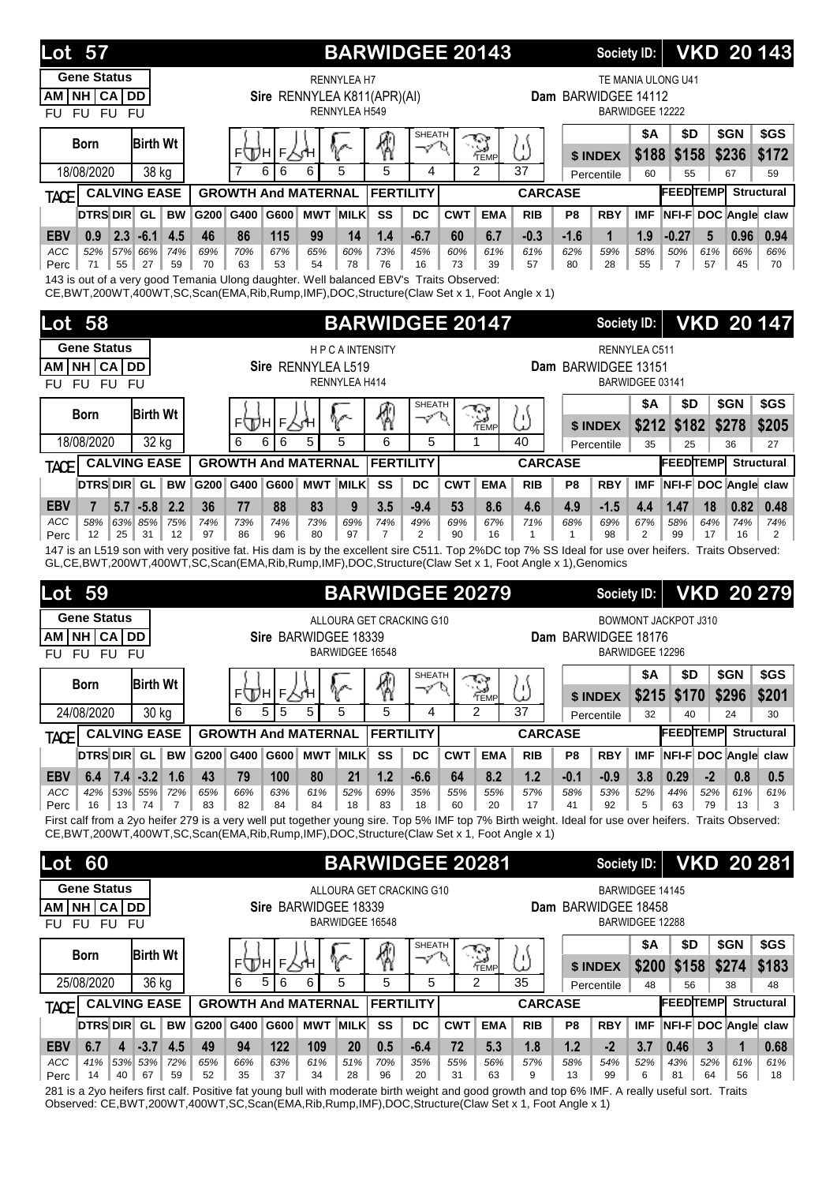| <b>Lot 57</b>                                                                                                                                                                                                                                                                                            |                                    |                  |                                                                     | <b>BARWIDGEE 20143</b>       |                     |                              |                          |                     | <b>VKD 20143</b><br>Society ID: |                        |                                           |                                  |                 |                   |                               |
|----------------------------------------------------------------------------------------------------------------------------------------------------------------------------------------------------------------------------------------------------------------------------------------------------------|------------------------------------|------------------|---------------------------------------------------------------------|------------------------------|---------------------|------------------------------|--------------------------|---------------------|---------------------------------|------------------------|-------------------------------------------|----------------------------------|-----------------|-------------------|-------------------------------|
| <b>Gene Status</b>                                                                                                                                                                                                                                                                                       |                                    |                  | <b>RENNYLEA H7</b>                                                  |                              |                     |                              |                          |                     |                                 |                        |                                           | TE MANIA ULONG U41               |                 |                   |                               |
| NH CA DD<br>AM  <br>FU FU FU<br><b>FU</b>                                                                                                                                                                                                                                                                |                                    |                  | Sire RENNYLEA K811(APR)(AI)<br>RENNYLEA H549                        |                              |                     |                              |                          |                     |                                 | Dam BARWIDGEE 14112    | <b>BARWIDGEE 12222</b>                    |                                  |                 |                   |                               |
| <b>Birth Wt</b><br><b>Born</b>                                                                                                                                                                                                                                                                           |                                    | F<br>⊧∖Дн        | V                                                                   | ₩                            | <b>SHEATH</b><br>ーン |                              | S                        | U)                  |                                 |                        | <b>\$A</b>                                | \$D                              |                 | \$GN              | \$GS                          |
| 18/08/2020<br>38 kg                                                                                                                                                                                                                                                                                      |                                    | 6<br>6           | ⋌⋌н<br>5<br>6                                                       |                              | 4                   | TEMP<br>$\mathfrak{p}$<br>37 |                          |                     |                                 | \$ INDEX<br>Percentile | \$188<br>60                               | \$158<br>55                      |                 | \$236<br>67       | \$172<br>59                   |
| <b>CALVING EASE</b><br><b>TACE</b>                                                                                                                                                                                                                                                                       |                                    |                  | <b>GROWTH And MATERNAL</b>                                          | <b>FERTILITY</b>             |                     |                              |                          | <b>CARCASE</b>      |                                 |                        |                                           | <b>FEEDTEMP</b>                  |                 |                   | <b>Structural</b>             |
| <b>DTRS DIR</b><br><b>BW</b><br>GL                                                                                                                                                                                                                                                                       | G200<br>G400                       | G600             | <b>MWT MILK</b>                                                     | SS                           | DC                  | <b>CWT</b>                   | <b>EMA</b>               | <b>RIB</b>          | P <sub>8</sub>                  | <b>RBY</b>             | <b>IMF</b>                                | NFI-F DOC Angle claw             |                 |                   |                               |
| $2.3 - 6.1$<br><b>EBV</b><br>4.5<br>0.9<br>ACC<br>52%<br>57% 66%<br>74%<br>71<br>55<br>27<br>59<br>Perc<br>143 is out of a very good Temania Ulong daughter. Well balanced EBV's Traits Observed:<br>CE, BWT, 200WT, 400WT, SC, Scan(EMA, Rib, Rump, IMF), DOC, Structure (Claw Set x 1, Foot Angle x 1) | 46<br>86<br>69%<br>70%<br>70<br>63 | 115<br>67%<br>53 | 99<br>14<br>65%<br>60%<br>54<br>78                                  | 1.4<br>73%<br>76             | $-6.7$<br>45%<br>16 | 60<br>60%<br>73              | 6.7<br>61%<br>39         | $-0.3$<br>61%<br>57 | $-1.6$<br>62%<br>80             | 1<br>59%<br>28         | 1.9<br>58%<br>55                          | $-0.27$<br>50%<br>$\overline{7}$ | 5<br>61%<br>57  | 0.96<br>66%<br>45 | 0.94<br>66%<br>70             |
| 58<br>Lot                                                                                                                                                                                                                                                                                                |                                    |                  |                                                                     | <b>BARWIDGEE 20147</b>       |                     |                              |                          |                     |                                 | Society ID:            |                                           |                                  |                 |                   | <b>VKD 20147</b>              |
| <b>Gene Status</b>                                                                                                                                                                                                                                                                                       |                                    |                  | <b>HPCAINTENSITY</b>                                                |                              |                     |                              |                          |                     |                                 |                        | RENNYLEA C511                             |                                  |                 |                   |                               |
| NH CA DD<br>AM                                                                                                                                                                                                                                                                                           |                                    |                  | Sire RENNYLEA L519                                                  |                              |                     |                              |                          |                     |                                 | Dam BARWIDGEE 13151    |                                           |                                  |                 |                   |                               |
| FU FU FU<br><b>FU</b>                                                                                                                                                                                                                                                                                    |                                    |                  | RENNYLEA H414                                                       |                              |                     |                              |                          |                     |                                 |                        | BARWIDGEE 03141                           |                                  |                 |                   |                               |
| <b>Birth Wt</b><br><b>Born</b>                                                                                                                                                                                                                                                                           |                                    | F<br>⊧∖Дн        | V                                                                   | ⊗                            | <b>SHEATH</b><br>マル |                              | ۰,                       | Ľ                   |                                 |                        | <b>\$A</b>                                | \$D                              |                 | \$GN              | \$GS                          |
| 18/08/2020<br>32 kg                                                                                                                                                                                                                                                                                      | 6                                  | 6<br>6           | 5<br>5                                                              | 6                            | 5                   |                              | `⇔<br>TEMP               | 40                  |                                 | \$ INDEX<br>Percentile | \$212<br>35                               | \$182<br>25                      |                 | \$278<br>36       | \$205<br>27                   |
| <b>CALVING EASE</b><br>TACE                                                                                                                                                                                                                                                                              |                                    |                  | <b>GROWTH And MATERNAL</b>                                          | <b>FERTILITY</b>             |                     |                              |                          | <b>CARCASE</b>      |                                 |                        |                                           | <b>FEEDTEMP</b>                  |                 |                   | Structural                    |
| DTRS DIR GL<br><b>BW</b>                                                                                                                                                                                                                                                                                 | G200 G400                          |                  | G600 MWT MILK                                                       | SS                           | DC                  | <b>CWT</b>                   | <b>EMA</b>               | <b>RIB</b>          | P <sub>8</sub>                  | <b>RBY</b>             | <b>IMF</b>                                | NFI-F DOC Angle claw             |                 |                   |                               |
| <b>EBV</b><br>5.7<br>$-5.8$<br>2.2<br>7<br>ACC<br>58%<br>63% 85%<br>75%<br>12<br>25<br>31<br>12<br>Perc                                                                                                                                                                                                  | 36<br>77<br>74%<br>73%<br>97<br>86 | 88<br>74%<br>96  | 83<br>9<br>73%<br>69%<br>97<br>80                                   | 3.5<br>74%<br>$\overline{7}$ | $-9.4$<br>49%<br>2  | 53<br>69%<br>90              | 8.6<br>67%<br>16         | 4.6<br>71%<br>1     | 4.9<br>68%<br>$\mathbf{1}$      | $-1.5$<br>69%<br>98    | 4.4<br>67%<br>2                           | 1.47<br>58%<br>99                | 18<br>64%<br>17 | 0.82<br>74%<br>16 | 0.48<br>74%<br>$\overline{2}$ |
|                                                                                                                                                                                                                                                                                                          |                                    |                  |                                                                     |                              |                     |                              |                          |                     |                                 |                        |                                           |                                  |                 |                   |                               |
| 147 is an L519 son with very positive fat. His dam is by the excellent sire C511. Top 2%DC top 7% SS Ideal for use over heifers. Traits Observed:<br>GL,CE,BWT,200WT,400WT,SC,Scan(EMA,Rib,Rump,IMF),DOC,Structure(Claw Set x 1, Foot Angle x 1),Genomics                                                |                                    |                  |                                                                     |                              |                     |                              |                          |                     |                                 |                        |                                           |                                  |                 |                   |                               |
| 59<br>Lot                                                                                                                                                                                                                                                                                                |                                    |                  |                                                                     | <b>BARWIDGEE 20279</b>       |                     |                              |                          |                     |                                 | <b>Society ID:</b>     |                                           |                                  |                 |                   | <b>VKD 20 279</b>             |
| <b>Gene Status</b>                                                                                                                                                                                                                                                                                       |                                    |                  | ALLOURA GET CRACKING G10                                            |                              |                     |                              |                          |                     |                                 |                        |                                           | <b>BOWMONT JACKPOT J310</b>      |                 |                   |                               |
| <b>NH CA</b><br><b>DD</b><br>AM I<br><b>FU</b><br><b>FU</b><br><b>FU</b><br><b>FU</b>                                                                                                                                                                                                                    |                                    |                  | Sire BARWIDGEE 18339<br>BARWIDGEE 16548                             |                              |                     |                              |                          |                     |                                 | Dam BARWIDGEE 18176    | BARWIDGEE 12296                           |                                  |                 |                   |                               |
|                                                                                                                                                                                                                                                                                                          |                                    |                  |                                                                     |                              | SHEATH              |                              | ক্ষ                      |                     |                                 |                        | <b>\$A</b>                                | \$D                              |                 | \$GN              | \$GS                          |
| <b>Born</b><br><b>Birth Wt</b>                                                                                                                                                                                                                                                                           |                                    | ⊧ДА∣⊧∖Ч          | V                                                                   | 圈                            | マヤ                  |                              | ` <del>\d</del><br>′TEMP | 5)                  |                                 | \$ INDEX               |                                           | \$215 \$170                      |                 | \$296             | \$201                         |
| 24/08/2020<br>30 kg                                                                                                                                                                                                                                                                                      | 6                                  | 5<br>5           | 5<br>5                                                              | 5                            | 4                   |                              | 2                        | 37                  |                                 | Percentile             | 32                                        | 40                               |                 | 24                | 30                            |
| <b>CALVING EASE</b><br><b>TACE</b>                                                                                                                                                                                                                                                                       |                                    |                  | <b>GROWTH And MATERNAL</b>                                          | <b>FERTILITY</b>             |                     |                              |                          | <b>CARCASE</b>      |                                 |                        |                                           | <b>FEEDTEMP</b>                  |                 |                   | <b>Structural</b>             |
| DTRS DIR GL<br><b>BW</b>                                                                                                                                                                                                                                                                                 | G200 G400                          |                  | G600 MWT MILK                                                       | SS                           | DC                  | <b>CWT</b>                   | <b>EMA</b>               | <b>RIB</b>          | P8                              | <b>RBY</b>             | <b>IMF</b>                                | NFI-F DOC Angle claw             |                 |                   |                               |
| $7.4 - 3.2$<br> 1.6<br><b>EBV</b><br>6.4<br>42%<br>53% 55%<br>ACC<br>72%                                                                                                                                                                                                                                 | 43<br>79<br>66%<br>65%             | 100<br>63%       | 80<br>21<br>61%<br>52%                                              | 1.2<br>69%                   | $-6.6$<br>35%       | 64<br>55%                    | 8.2<br>55%               | 1.2<br>57%          | $-0.1$<br>58%                   | $-0.9$<br>53%          | 3.8<br>52%                                | 0.29<br>44%                      | $-2$<br>52%     | 0.8<br>61%        | 0.5<br>61%                    |
| 16<br>13<br>$\overline{7}$<br>74<br>Perc                                                                                                                                                                                                                                                                 | 83<br>82                           | 84               | 84<br>18                                                            | 83                           | 18                  | 60                           | 20                       | 17                  | 41                              | 92                     | 5                                         | 63                               | 79              | 13                | 3                             |
| First calf from a 2yo heifer 279 is a very well put together young sire. Top 5% IMF top 7% Birth weight. Ideal for use over heifers. Traits Observed:<br>CE, BWT, 200WT, 400WT, SC, Scan(EMA, Rib, Rump, IMF), DOC, Structure (Claw Set x 1, Foot Angle x 1)                                             |                                    |                  |                                                                     |                              |                     |                              |                          |                     |                                 |                        |                                           |                                  |                 |                   |                               |
| <b>Lot</b>                                                                                                                                                                                                                                                                                               |                                    |                  |                                                                     |                              |                     |                              |                          |                     |                                 | Society ID:            |                                           |                                  |                 |                   |                               |
| 60<br><b>Gene Status</b>                                                                                                                                                                                                                                                                                 |                                    |                  |                                                                     | <b>BARWIDGEE 20281</b>       |                     |                              |                          |                     |                                 |                        |                                           |                                  |                 |                   | <b>VKD 20 281</b>             |
| AM NH CA DD<br>FU FU FU<br>FU.                                                                                                                                                                                                                                                                           |                                    |                  | ALLOURA GET CRACKING G10<br>Sire BARWIDGEE 18339<br>BARWIDGEE 16548 |                              |                     |                              |                          |                     |                                 | Dam BARWIDGEE 18458    | <b>BARWIDGEE 14145</b><br>BARWIDGEE 12288 |                                  |                 |                   |                               |
|                                                                                                                                                                                                                                                                                                          |                                    |                  |                                                                     |                              | <b>SHEATH</b>       |                              |                          |                     |                                 |                        | \$Α                                       | \$D                              |                 | \$GN              | \$GS                          |
| <b>Birth Wt</b><br><b>Born</b>                                                                                                                                                                                                                                                                           |                                    | ⊧ДА∣⊧Р₹н         | V                                                                   | ⊗                            | マル                  |                              | <b>RAN</b><br>TEMP       | IJ                  |                                 | \$ INDEX               | \$200                                     | \$158                            |                 | \$274             | \$183                         |
| 25/08/2020<br>36 kg                                                                                                                                                                                                                                                                                      | 6                                  | 6<br>5           | 5<br>6                                                              | 5                            | 5                   |                              | 2                        | 35                  |                                 | Percentile             | 48                                        | 56                               |                 | 38                | 48                            |
| <b>CALVING EASE</b><br><b>TACE</b>                                                                                                                                                                                                                                                                       |                                    |                  | <b>GROWTH And MATERNAL</b>                                          | <b>FERTILITY</b>             |                     |                              |                          | <b>CARCASE</b>      |                                 |                        |                                           | <b>FEEDTEMP</b> Structural       |                 |                   |                               |
| <b>DTRS DIR GL</b><br><b>BW</b><br>$-3.7$<br>4.5<br><b>EBV</b><br>6.7<br>4                                                                                                                                                                                                                               | G200 G400<br>49<br>94              | 122              | G600 MWT MILK<br>109<br>20                                          | SS<br>0.5                    | DC<br>$-6.4$        | <b>CWT</b><br>72             | <b>EMA</b><br>5.3        | <b>RIB</b><br>1.8   | P8<br>1.2                       | <b>RBY</b><br>$-2$     | <b>IMF</b><br>3.7                         | NFI-F DOC Angle claw<br>0.46     | 3               | $\mathbf{1}$      | 0.68                          |

281 is a 2yo heifers first calf. Positive fat young bull with moderate birth weight and good growth and top 6% IMF. A really useful sort. Traits Observed: CE,BWT,200WT,400WT,SC,Scan(EMA,Rib,Rump,IMF),DOC,Structure(Claw Set x 1, Foot Angle x 1)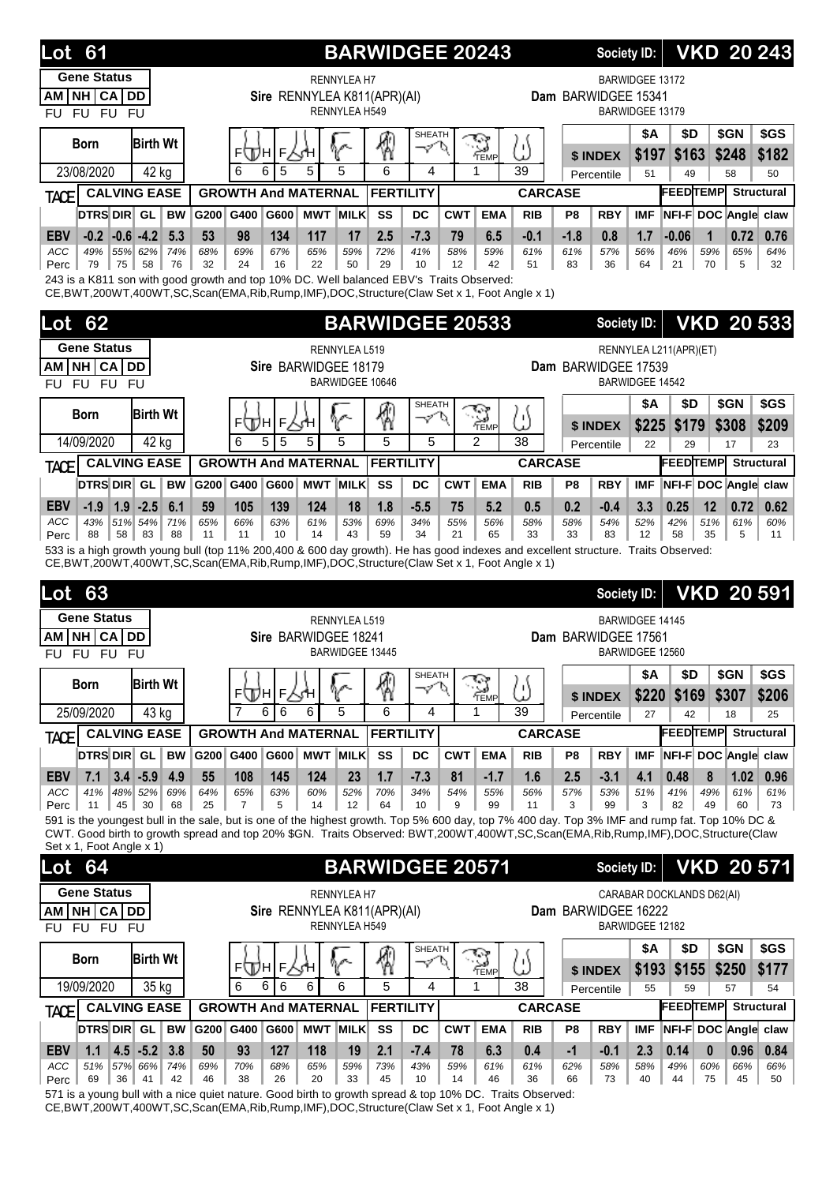| 61<br>Lot                                                                                                                                                                                                                      |            |                                                |                                                       |                                     | <b>BARWIDGEE 20243</b>              |                             |                     |                                    |                                                                   |                          | <b>Society ID:</b>   |                        |                        |                           | <b>VKD 20 243</b>                    |
|--------------------------------------------------------------------------------------------------------------------------------------------------------------------------------------------------------------------------------|------------|------------------------------------------------|-------------------------------------------------------|-------------------------------------|-------------------------------------|-----------------------------|---------------------|------------------------------------|-------------------------------------------------------------------|--------------------------|----------------------|------------------------|------------------------|---------------------------|--------------------------------------|
| <b>Gene Status</b><br>NH CA DD<br>AM<br>FU FU FU<br><b>FU</b>                                                                                                                                                                  |            |                                                | Sire RENNYLEA K811(APR)(AI)                           | <b>RENNYLEA H7</b><br>RENNYLEA H549 |                                     |                             | Dam BARWIDGEE 15341 | BARWIDGEE 13172<br>BARWIDGEE 13179 |                                                                   |                          |                      |                        |                        |                           |                                      |
| <b>Birth Wt</b><br><b>Born</b>                                                                                                                                                                                                 |            | ⊧∖Дн                                           | F                                                     |                                     |                                     | <b>SHEATH</b><br>マ          |                     | - 7<br>TEMP                        | 'n<br>P                                                           |                          | \$ INDEX             | <b>\$A</b><br>\$197    | \$D<br>\$163           | \$GN<br>\$248             | \$GS<br>\$182                        |
| 23/08/2020<br>42 kg                                                                                                                                                                                                            |            | 6<br>6                                         | 5                                                     | 5<br>5                              |                                     | 6<br>4                      |                     | 1                                  | 39                                                                |                          | Percentile           | 51                     | 49                     | 58                        | 50                                   |
| <b>CALVING EASE</b><br><b>TACE</b>                                                                                                                                                                                             |            |                                                | <b>GROWTH And MATERNAL</b><br><b>MWT MILK</b><br>G600 |                                     | <b>FERTILITY</b><br>SS<br><b>DC</b> |                             |                     | <b>CARCASE</b>                     |                                                                   |                          |                      |                        | <b>FEEDTEMP</b>        |                           | <b>Structural</b>                    |
| <b>DTRS DIR GL</b><br><b>BW</b><br>$-0.6 - 4.2$<br>5.3<br><b>EBV</b><br>$-0.2$                                                                                                                                                 | G200<br>53 | G400<br>98                                     | 134<br>117                                            | 17                                  | 2.5                                 | $-7.3$                      | <b>CWT</b><br>79    | <b>EMA</b><br>6.5                  | <b>RIB</b><br>$-0.1$                                              | P <sub>8</sub><br>$-1.8$ | <b>RBY</b><br>0.8    | <b>IMF</b><br>1.7      | $-0.06$                | 1                         | NFI-F DOC Angle claw<br>0.72<br>0.76 |
| 55% 62%<br>ACC<br>49%<br>74%                                                                                                                                                                                                   | 68%        | 69%                                            | 67%<br>65%                                            | 59%                                 | 72%                                 | 41%                         | 58%                 | 59%                                | 61%                                                               | 61%                      | 57%                  | 56%                    | 46%                    | 59%                       | 65%<br>64%                           |
| 79<br>75<br>58<br>76<br>Perc<br>243 is a K811 son with good growth and top 10% DC. Well balanced EBV's Traits Observed:<br>CE, BWT, 200WT, 400WT, SC, Scan(EMA, Rib, Rump, IMF), DOC, Structure (Claw Set x 1, Foot Angle x 1) | 32         | 24                                             | 16<br>22                                              | 50                                  | 29                                  | 10                          | 12                  | 42                                 | 51                                                                | 83                       | 36                   | 64                     | 21                     | 70                        | 5<br>32                              |
| 62<br>Lot                                                                                                                                                                                                                      |            |                                                |                                                       |                                     | <b>BARWIDGEE 20533</b>              |                             |                     |                                    |                                                                   |                          | <b>Society ID:</b>   |                        |                        |                           | <b>VKD 20 533</b>                    |
| <b>Gene Status</b>                                                                                                                                                                                                             |            |                                                |                                                       |                                     |                                     |                             |                     |                                    |                                                                   |                          |                      |                        |                        |                           |                                      |
| NH CA DD<br>AM                                                                                                                                                                                                                 |            | RENNYLEA L519<br>Sire BARWIDGEE 18179          |                                                       |                                     |                                     |                             |                     |                                    |                                                                   |                          | Dam BARWIDGEE 17539  |                        | RENNYLEA L211(APR)(ET) |                           |                                      |
| FU FU FU<br><b>FU</b>                                                                                                                                                                                                          |            |                                                | BARWIDGEE 10646                                       |                                     |                                     |                             |                     |                                    | BARWIDGEE 14542                                                   |                          |                      |                        |                        |                           |                                      |
| <b>Birth Wt</b><br>Born                                                                                                                                                                                                        |            |                                                |                                                       |                                     | \$                                  | <b>SHEATH</b><br>マ          | o                   | <b>RAY</b><br>TEMP                 |                                                                   |                          |                      | <b>\$A</b>             | \$D                    | \$GN                      | \$GS                                 |
| 14/09/2020<br>42 kg                                                                                                                                                                                                            |            | ⊧\Дн<br>6<br>5                                 | F<br>5<br>5                                           | V<br>5                              | 5                                   | 5                           |                     | $\mathfrak{p}$                     | ω<br>38                                                           |                          | \$ INDEX             | \$225                  | \$179                  | \$308                     | \$209                                |
| <b>CALVING EASE</b>                                                                                                                                                                                                            |            |                                                | <b>GROWTH And MATERNAL</b>                            |                                     | <b>FERTILITY</b>                    |                             |                     |                                    | <b>CARCASE</b>                                                    |                          | Percentile           | 22                     | 29<br><b>FEEDTEMP</b>  | 17                        | 23<br><b>Structural</b>              |
| TACE<br><b>DTRS DIR GL</b><br><b>BW</b>                                                                                                                                                                                        |            | G200 G400                                      | G600                                                  | <b>MWT MILK</b>                     | SS                                  | <b>DC</b>                   | <b>CWT</b>          | <b>EMA</b>                         | <b>RIB</b>                                                        | P <sub>8</sub>           | <b>RBY</b>           | <b>IMF</b>             |                        |                           | NFI-F DOC Angle claw                 |
| <b>EBV</b><br>$-1.9$<br>$1.9 - 2.5$<br>6.1                                                                                                                                                                                     | 59         | 105                                            | 139<br>124                                            | 18                                  | 1.8                                 | $-5.5$                      | 75                  | 5.2                                | 0.5                                                               | 0.2                      | $-0.4$               | 3.3                    | 0.25                   | 12                        | 0.72<br>0.62                         |
| 51% 54%<br>71%<br>ACC<br>43%                                                                                                                                                                                                   | 65%        | 66%                                            | 63%<br>61%                                            | 53%                                 | 69%                                 | 34%                         | 55%                 | 56%                                | 58%                                                               | 58%                      | 54%                  | 52%                    | 42%                    | 51%                       | 61%<br>60%                           |
| 88<br>58<br>83<br>88<br>Perc<br>533 is a high growth young bull (top 11% 200,400 & 600 day growth). He has good indexes and excellent structure. Traits Observed:                                                              | 11         | 11                                             | 10<br>14                                              | 43                                  | 59                                  | 34                          | 21                  | 65                                 | 33                                                                | 33                       | 83                   | 12                     | 58                     | 35                        | 5<br>11                              |
| CE, BWT, 200WT, 400WT, SC, Scan(EMA, Rib, Rump, IMF), DOC, Structure(Claw Set x 1, Foot Angle x 1)<br>63<br>Lot                                                                                                                |            |                                                |                                                       |                                     |                                     |                             |                     |                                    |                                                                   |                          | <b>Society ID:</b>   |                        |                        |                           | <b>VKD 20 591</b>                    |
| <b>Gene Status</b>                                                                                                                                                                                                             |            |                                                |                                                       | RENNYLEA L519                       |                                     |                             |                     |                                    |                                                                   |                          |                      | <b>BARWIDGEE 14145</b> |                        |                           |                                      |
| <b>CA</b><br><b>NH</b><br>DD<br>AM<br>FU FU<br><b>FU</b><br><b>FU</b>                                                                                                                                                          |            |                                                | Sire BARWIDGEE 18241                                  | <b>BARWIDGEE 13445</b>              |                                     |                             |                     |                                    |                                                                   |                          | Dam BARWIDGEE 17561  | BARWIDGEE 12560        |                        |                           |                                      |
|                                                                                                                                                                                                                                |            |                                                |                                                       |                                     |                                     | SHEATH                      |                     | مؤدمج                              |                                                                   |                          |                      | \$Α                    | \$D                    | \$GN                      | \$GS                                 |
| <b>Birth Wt</b><br><b>Born</b>                                                                                                                                                                                                 |            | ⊧Д∖н∣⊧∑үн                                      |                                                       | V                                   | 圈                                   | $\varphi'$                  | p                   | <b>PEMP</b>                        | ω                                                                 |                          | \$ INDEX             | \$220                  | \$169                  | \$307                     | \$206                                |
| 25/09/2020<br>43 kg                                                                                                                                                                                                            |            | $\overline{7}$<br>6                            | 6<br>6                                                | 5                                   | 6                                   | 4                           |                     | 1                                  | 39                                                                |                          | Percentile           | 27                     | 42                     | 18                        | 25                                   |
| <b>CALVING EASE</b><br><b>TACE</b>                                                                                                                                                                                             |            |                                                | <b>GROWTH And MATERNAL</b>                            |                                     | <b>FERTILITY</b>                    |                             |                     |                                    | <b>CARCASE</b>                                                    |                          |                      |                        |                        |                           | <b>FEEDTEMP</b> Structural           |
| <b>DTRS DIR GL</b><br><b>BW</b><br>$3.4 - 5.9$<br>4.9<br><b>EBV</b><br>7.1                                                                                                                                                     | 55         | G200 G400<br>108                               | G600<br>145<br>124                                    | <b>MWT MILK</b><br>23               | SS<br>1.7                           | DC<br>$-7.3$                | <b>CWT</b><br>81    | <b>EMA</b><br>$-1.7$               | <b>RIB</b><br>1.6                                                 | P8<br>2.5                | <b>RBY</b><br>$-3.1$ | <b>IMF</b><br>4.1      | 0.48                   | 8                         | NFI-F DOC Angle claw<br>1.02<br>0.96 |
| 69%<br>ACC<br>41%<br>48% 52%                                                                                                                                                                                                   | 64%        | 65%                                            | 63%<br>60%                                            | 52%                                 | 70%                                 | 34%                         | 54%                 | 55%                                | 56%                                                               | 57%                      | 53%                  | 51%                    | 41%                    | 49%                       | 61%<br>61%                           |
| 45<br>30<br>68<br>11<br>Perc<br>591 is the youngest bull in the sale, but is one of the highest growth. Top 5% 600 day, top 7% 400 day. Top 3% IMF and rump fat. Top 10% DC &                                                  | 25         | 7                                              | 5<br>14                                               | 12                                  | 64                                  | 10                          | 9                   | 99                                 | 11                                                                | 3                        | 99                   | 3                      | 82                     | 49                        | 60<br>73                             |
| CWT. Good birth to growth spread and top 20% \$GN. Traits Observed: BWT,200WT,400WT,SC,Scan(EMA,Rib,Rump,IMF),DOC,Structure(Claw<br>Set x 1, Foot Angle x 1)                                                                   |            |                                                |                                                       |                                     |                                     |                             |                     |                                    |                                                                   |                          |                      |                        |                        |                           |                                      |
| <b>Lot</b> 64                                                                                                                                                                                                                  |            |                                                |                                                       |                                     | <b>BARWIDGEE 20571</b>              |                             |                     |                                    |                                                                   |                          | <b>Society ID:</b>   |                        |                        |                           | <b>VKD 20 571</b>                    |
| <b>Gene Status</b>                                                                                                                                                                                                             |            |                                                |                                                       | <b>RENNYLEA H7</b>                  |                                     |                             |                     |                                    |                                                                   |                          |                      |                        |                        |                           |                                      |
| NH CA DD<br>AM                                                                                                                                                                                                                 |            |                                                | Sire RENNYLEA K811(APR)(AI)                           |                                     |                                     |                             |                     |                                    |                                                                   |                          | Dam BARWIDGEE 16222  |                        |                        | CARABAR DOCKLANDS D62(AI) |                                      |
| FU FU FU<br><b>FU</b>                                                                                                                                                                                                          |            |                                                |                                                       | RENNYLEA H549                       |                                     |                             |                     |                                    |                                                                   |                          |                      | BARWIDGEE 12182        |                        |                           |                                      |
| <b>Birth Wt</b><br><b>Born</b>                                                                                                                                                                                                 |            |                                                |                                                       |                                     |                                     | <b>SHEATH</b><br>$\varphi'$ |                     | <b>RA</b><br>TEMP                  |                                                                   |                          |                      | <b>\$A</b>             | \$D                    | \$GN                      | \$GS                                 |
| 19/09/2020<br>35 kg                                                                                                                                                                                                            |            | FЩHI<br>6<br>6                                 | F<br>6<br>6                                           | 6                                   | 5                                   | 4                           |                     | 1                                  | ω<br>38                                                           |                          | \$ INDEX             | \$193                  | \$155                  | \$250                     | \$177                                |
| <b>CALVING EASE</b>                                                                                                                                                                                                            |            | <b>GROWTH And MATERNAL</b><br><b>FERTILITY</b> |                                                       |                                     |                                     |                             |                     |                                    | 55<br>57<br>Percentile<br>59<br><b>FEEDTEMP</b><br><b>CARCASE</b> |                          |                      |                        |                        |                           | 54<br><b>Structural</b>              |
| TACE<br>DTRS DIR GL<br><b>BW</b>                                                                                                                                                                                               |            | G200 G400                                      | G600                                                  | <b>MWT MILK</b>                     | SS                                  | <b>DC</b>                   | <b>CWT</b>          | <b>EMA</b>                         | <b>RIB</b>                                                        | P8                       | <b>RBY</b>           | <b>IMF</b>             |                        |                           | NFI-F DOC Angle claw                 |
| $4.5 - 5.2$<br>3.8<br><b>EBV</b><br>1.1                                                                                                                                                                                        |            |                                                |                                                       |                                     |                                     |                             |                     |                                    |                                                                   |                          |                      |                        |                        |                           |                                      |
|                                                                                                                                                                                                                                | 50         | 93                                             | 127<br>118                                            | 19                                  | 2.1                                 | $-7.4$                      | 78                  | 6.3                                | 0.4                                                               | $-1$                     | $-0.1$               | 2.3                    | 0.14                   | $\boldsymbol{0}$          | 0.96<br>0.84                         |

571 is a young bull with a nice quiet nature. Good birth to growth spread & top 10% DC. Traits Observed: CE,BWT,200WT,400WT,SC,Scan(EMA,Rib,Rump,IMF),DOC,Structure(Claw Set x 1, Foot Angle x 1)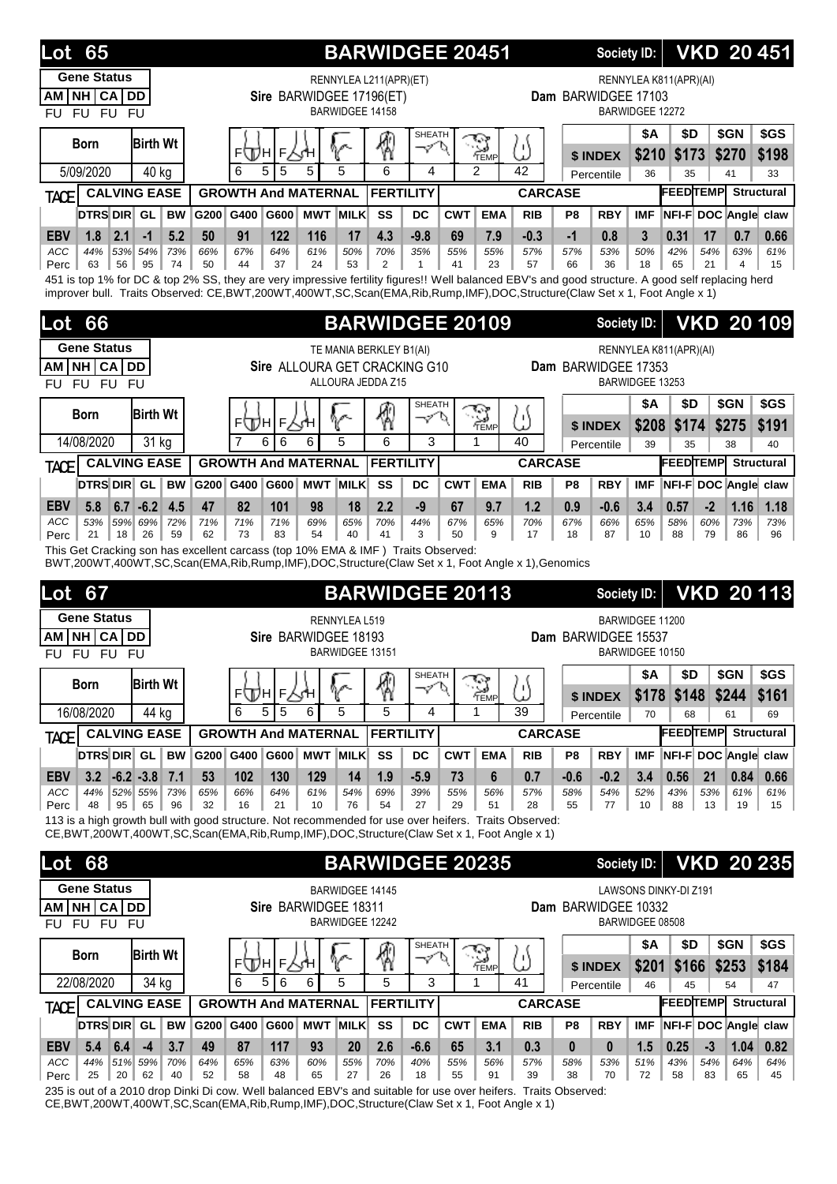| 65<br>Lot                                                                                                                                                                                                                                                                     |           | <b>BARWIDGEE 20451</b>     |                          |                 |                                                    |                              | Society ID:                |                |                     |                        |                    | <b>VKD 20451</b>             |             |                     |                                                            |
|-------------------------------------------------------------------------------------------------------------------------------------------------------------------------------------------------------------------------------------------------------------------------------|-----------|----------------------------|--------------------------|-----------------|----------------------------------------------------|------------------------------|----------------------------|----------------|---------------------|------------------------|--------------------|------------------------------|-------------|---------------------|------------------------------------------------------------|
| <b>Gene Status</b><br>NH CA DD<br>AM<br>FU FU FU<br>FU                                                                                                                                                                                                                        |           |                            | Sire BARWIDGEE 17196(ET) |                 | RENNYLEA L211(APR)(ET)<br><b>BARWIDGEE 14158</b>   |                              |                            |                | Dam BARWIDGEE 17103 |                        | BARWIDGEE 12272    | RENNYLEA K811(APR)(AI)       |             |                     |                                                            |
| <b>Birth Wt</b><br>Born<br>5/09/2020<br>40 kg                                                                                                                                                                                                                                 |           | F<br>⊧∖Дн<br>6<br>5<br>5   | 5                        | 5               | ℛ<br>6                                             | <b>SHEATH</b><br>マ<br>D<br>4 | <b>S</b><br>$\overline{2}$ | ω<br>42        |                     | \$ INDEX<br>Percentile | \$A<br>\$210<br>36 | \$D<br>\$173<br>35           |             | \$GN<br>\$270<br>41 | \$GS<br>\$198<br>33                                        |
| <b>CALVING EASE</b><br><b>TACE</b>                                                                                                                                                                                                                                            |           | <b>GROWTH And MATERNAL</b> |                          |                 | <b>FERTILITY</b>                                   |                              |                            | <b>CARCASE</b> |                     |                        |                    | <b>FEEDTEMP</b>              |             |                     | <b>Structural</b>                                          |
| <b>DTRS DIR</b> GL<br><b>BW</b>                                                                                                                                                                                                                                               | G200      | G400<br>G600               | <b>MWT MILK</b>          |                 | SS<br>DC                                           |                              | <b>CWT</b><br><b>EMA</b>   | <b>RIB</b>     | P8                  | <b>RBY</b>             | <b>IMF</b>         | NFI-F DOC Angle claw         |             |                     |                                                            |
| 1.8<br>5.2<br><b>EBV</b><br>2.1<br>$-1$                                                                                                                                                                                                                                       | 50        | 91<br>122                  | 116                      | 17              | 4.3<br>$-9.8$                                      |                              | 7.9<br>69                  | $-0.3$         | $-1$                | 0.8                    | 3                  | 0.31                         | 17          | 0.7                 | 0.66                                                       |
| ACC<br>44%<br>53% 54%<br>73%<br>56<br>95<br>74<br>Perc<br>63                                                                                                                                                                                                                  | 66%<br>50 | 67%<br>64%<br>44<br>37     | 61%<br>24                | 50%<br>53       | 70%<br>35%<br>2<br>$\mathbf{1}$                    |                              | 55%<br>55%<br>41<br>23     | 57%<br>57      | 57%<br>66           | 53%<br>36              | 50%<br>18          | 42%<br>65                    | 54%<br>21   | 63%<br>4            | 61%<br>15                                                  |
| 451 is top 1% for DC & top 2% SS, they are very impressive fertility figures!! Well balanced EBV's and good structure. A good self replacing herd<br>improver bull. Traits Observed: CE,BWT,200WT,400WT,SC,Scan(EMA,Rib,Rump,IMF),DOC,Structure(Claw Set x 1, Foot Angle x 1) |           |                            |                          |                 |                                                    |                              |                            |                |                     |                        |                    |                              |             |                     |                                                            |
|                                                                                                                                                                                                                                                                               |           |                            |                          |                 |                                                    |                              |                            |                |                     |                        |                    |                              |             |                     |                                                            |
| 66<br>Lot                                                                                                                                                                                                                                                                     |           |                            |                          |                 | <b>BARWIDGEE 20109</b>                             |                              |                            |                |                     | Society ID:            |                    |                              |             |                     | <b>VKD 20109</b>                                           |
| <b>Gene Status</b><br>NH CA DD                                                                                                                                                                                                                                                |           |                            |                          |                 | TE MANIA BERKLEY B1(AI)                            |                              |                            |                | Dam BARWIDGEE 17353 |                        |                    | RENNYLEA K811(APR)(AI)       |             |                     |                                                            |
| AM<br>FU FU FU<br>FU                                                                                                                                                                                                                                                          |           |                            |                          |                 | Sire ALLOURA GET CRACKING G10<br>ALLOURA JEDDA Z15 |                              |                            |                |                     |                        | BARWIDGEE 13253    |                              |             |                     |                                                            |
|                                                                                                                                                                                                                                                                               |           |                            |                          |                 |                                                    | <b>SHEATH</b>                |                            |                |                     |                        | <b>\$A</b>         | \$D                          |             | \$GN                | \$GS                                                       |
| <b>Birth Wt</b><br><b>Born</b>                                                                                                                                                                                                                                                |           | ⊧∖Дн<br>F                  | ďΗ                       |                 | 4                                                  | マ<br>P                       | ୁ<br>କଳ                    | ω              |                     | \$ INDEX               | \$208              | \$174                        |             | \$275               | \$191                                                      |
| 14/08/2020<br>31 kg                                                                                                                                                                                                                                                           |           | 6<br>6                     | 6                        | 5               | 6                                                  | 3                            | 1                          | 40             |                     | Percentile             | 39                 | 35                           |             | 38                  | 40                                                         |
| <b>CALVING EASE</b><br><b>TACE</b>                                                                                                                                                                                                                                            |           | <b>GROWTH And MATERNAL</b> |                          |                 | <b>FERTILITY</b>                                   |                              |                            | <b>CARCASE</b> |                     |                        |                    | <b>FEEDTEMP</b>              |             |                     | <b>Structural</b>                                          |
| DTRS DIR GL<br><b>BW</b>                                                                                                                                                                                                                                                      | G200      | G400<br>G600               | <b>MWT MILK</b>          |                 | SS<br>DC                                           |                              | <b>CWT</b><br><b>EMA</b>   | <b>RIB</b>     | P8                  | <b>RBY</b>             | <b>IMF</b>         | NFI-F DOC Angle claw         |             |                     |                                                            |
| <b>EBV</b><br>5.8<br>$6.7 - 6.2$<br>4.5<br>53%<br>59% 69%<br><b>ACC</b><br>72%                                                                                                                                                                                                | 47<br>71% | 82<br>101<br>71%<br>71%    | 98<br>69%                | 18<br>65%       | 2.2<br>$-9$<br>70%<br>44%                          |                              | 67<br>9.7<br>67%<br>65%    | 1.2<br>70%     | 0.9<br>67%          | $-0.6$<br>66%          | 3.4<br>65%         | 0.57<br>58%                  | $-2$<br>60% | 1.16<br>73%         | 1.18<br>73%                                                |
| 21<br>18<br>26<br>59<br>Perc                                                                                                                                                                                                                                                  | 62        | 83<br>73                   | 54                       | 40              | 41<br>3                                            |                              | 50<br>9                    | 17             | 18                  | 87                     | 10                 | 88                           | 79          | 86                  | 96                                                         |
|                                                                                                                                                                                                                                                                               |           |                            |                          |                 |                                                    |                              |                            |                |                     |                        |                    |                              |             |                     |                                                            |
| This Get Cracking son has excellent carcass (top 10% EMA & IMF) Traits Observed:<br>BWT,200WT,400WT,SC,Scan(EMA,Rib,Rump,IMF),DOC,Structure(Claw Set x 1, Foot Angle x 1),Genomics                                                                                            |           |                            |                          |                 |                                                    |                              |                            |                |                     |                        |                    |                              |             |                     |                                                            |
|                                                                                                                                                                                                                                                                               |           |                            |                          |                 |                                                    |                              |                            |                |                     |                        |                    |                              |             |                     |                                                            |
| 67<br>Lot                                                                                                                                                                                                                                                                     |           |                            |                          |                 | <b>BARWIDGEE 20113</b>                             |                              |                            |                |                     | Society ID:            |                    |                              |             |                     |                                                            |
| <b>Gene Status</b><br><b>CA</b><br><b>DD</b><br>NH I<br>АM                                                                                                                                                                                                                    |           |                            | Sire BARWIDGEE 18193     | RENNYLEA L519   |                                                    |                              |                            |                | Dam BARWIDGEE 15537 |                        | BARWIDGEE 11200    |                              |             |                     |                                                            |
| FU FU<br><b>FU</b><br>FU                                                                                                                                                                                                                                                      |           |                            |                          | BARWIDGEE 13151 |                                                    |                              |                            |                |                     |                        | BARWIDGEE 10150    |                              |             |                     |                                                            |
| <b>Birth Wt</b><br><b>Born</b>                                                                                                                                                                                                                                                |           |                            |                          |                 |                                                    | SHEATH<br>へ                  |                            |                |                     |                        | \$Α                | \$D                          |             | \$GN                | \$GS                                                       |
|                                                                                                                                                                                                                                                                               |           | ⊧∰н∣⊧√;н<br>5<br>5<br>6    | 6                        | V<br>5          | 圈<br>5                                             | 4                            | $\sum_{\text{Temp}}$<br>1  | ω<br>39        |                     | \$ INDEX               |                    | $$178$ \$148                 |             | \$244               | \$161                                                      |
| 16/08/2020<br>44 kg<br><b>CALVING EASE</b>                                                                                                                                                                                                                                    |           | <b>GROWTH And MATERNAL</b> |                          |                 | <b>FERTILITY</b>                                   |                              |                            | <b>CARCASE</b> |                     | Percentile             | 70                 | 68<br><b>FEEDTEMP</b>        |             | 61                  | 69<br><b>Structural</b>                                    |
| <b>TACE</b><br>DTRS DIR GL<br><b>BW</b>                                                                                                                                                                                                                                       | G200 G400 |                            | G600 MWT MILK            |                 | SS<br>DC                                           |                              | <b>CWT</b><br><b>EMA</b>   | <b>RIB</b>     | P8                  | <b>RBY</b>             | <b>IMF</b>         | NFI-F DOC Angle claw         |             |                     |                                                            |
| $3.2$ -6.2 -3.8<br>$\vert 7.1 \vert$<br><b>EBV</b>                                                                                                                                                                                                                            | 53        | 102<br>130                 | 129                      | 14              | 1.9<br>$-5.9$                                      |                              | 6<br>73                    | 0.7            | $-0.6$              | $-0.2$                 | 3.4                | 0.56                         | 21          | 0.84                | 0.66                                                       |
| ACC<br>44%<br>52% 55%<br>73%<br>48<br>95<br>65<br>96                                                                                                                                                                                                                          | 65%<br>32 | 66%<br>64%<br>16<br>21     | 61%<br>10                | 54%<br>76       | 69%<br>39%<br>54<br>27                             |                              | 55%<br>56%<br>29<br>51     | 57%<br>28      | 58%<br>55           | 54%<br>77              | 52%<br>10          | 43%<br>88                    | 53%<br>13   | 61%<br>19           | 61%                                                        |
| Perc<br>113 is a high growth bull with good structure. Not recommended for use over heifers. Traits Observed:                                                                                                                                                                 |           |                            |                          |                 |                                                    |                              |                            |                |                     |                        |                    |                              |             |                     | 15                                                         |
| CE, BWT, 200WT, 400WT, SC, Scan(EMA, Rib, Rump, IMF), DOC, Structure (Claw Set x 1, Foot Angle x 1)                                                                                                                                                                           |           |                            |                          |                 |                                                    |                              |                            |                |                     |                        |                    |                              |             |                     |                                                            |
| 68<br>Lot                                                                                                                                                                                                                                                                     |           |                            |                          |                 | <b>BARWIDGEE 20235</b>                             |                              |                            |                |                     | <b>Society ID:</b>     |                    |                              |             |                     |                                                            |
| <b>Gene Status</b>                                                                                                                                                                                                                                                            |           |                            |                          |                 | BARWIDGEE 14145                                    |                              |                            |                |                     |                        |                    | <b>LAWSONS DINKY-DI Z191</b> |             |                     |                                                            |
| AM NH CA DD                                                                                                                                                                                                                                                                   |           |                            | Sire BARWIDGEE 18311     |                 |                                                    |                              |                            |                | Dam BARWIDGEE 10332 |                        |                    |                              |             |                     |                                                            |
| FU FU FU<br>FU                                                                                                                                                                                                                                                                |           |                            |                          |                 | BARWIDGEE 12242                                    |                              |                            |                |                     |                        | BARWIDGEE 08508    |                              |             |                     |                                                            |
| <b>Birth Wt</b><br><b>Born</b>                                                                                                                                                                                                                                                |           | ⊧∖Дн                       | $F_{2}$<br>ςΉ            |                 | 4                                                  | <b>SHEATH</b><br>-91<br>σ    |                            | ω              |                     |                        | <b>\$A</b>         | \$D                          |             | \$GN                | \$GS                                                       |
| 22/08/2020<br>34 kg                                                                                                                                                                                                                                                           |           | 5<br>6<br>6                | 6                        | V<br>5          | 5                                                  | 3                            | $\sum_{\text{Temp}}$<br>1  | 41             |                     | \$ INDEX<br>Percentile | \$201<br>46        | \$166<br>45                  |             | \$253<br>54         | \$184<br>47                                                |
| <b>CALVING EASE</b><br><b>TACEI</b>                                                                                                                                                                                                                                           |           | <b>GROWTH And MATERNAL</b> |                          |                 | <b>FERTILITY</b>                                   |                              |                            | <b>CARCASE</b> |                     |                        |                    | <b>FEEDTEMP</b>              |             |                     | <b>VKD 20113</b><br><b>VKD 20 235</b><br><b>Structural</b> |
| DTRS DIR GL<br><b>BW</b>                                                                                                                                                                                                                                                      | G200      | G400                       | G600 MWT MILK            |                 | SS<br><b>DC</b>                                    |                              | <b>CWT</b><br><b>EMA</b>   | <b>RIB</b>     | P8                  | <b>RBY</b>             | <b>IMF</b>         | NFI-F DOC Angle claw         |             |                     |                                                            |
| 5.4<br>6.4<br>$-4$<br>3.7<br><b>EBV</b><br>ACC<br>44%<br>51% 59%<br>70%                                                                                                                                                                                                       | 49<br>64% | 87<br>117<br>65%<br>63%    | 93<br>60%                | 20<br>55%       | 2.6<br>$-6.6$<br>70%<br>40%                        |                              | 65<br>3.1<br>55%<br>56%    | 0.3<br>57%     | $\mathbf{0}$<br>58% | $\bf{0}$<br>53%        | 1.5<br>51%         | 0.25<br>43%                  | $-3$<br>54% | 1.04<br>64%         | 0.82<br>64%                                                |

235 is out of a 2010 drop Dinki Di cow. Well balanced EBV's and suitable for use over heifers. Traits Observed: CE,BWT,200WT,400WT,SC,Scan(EMA,Rib,Rump,IMF),DOC,Structure(Claw Set x 1, Foot Angle x 1)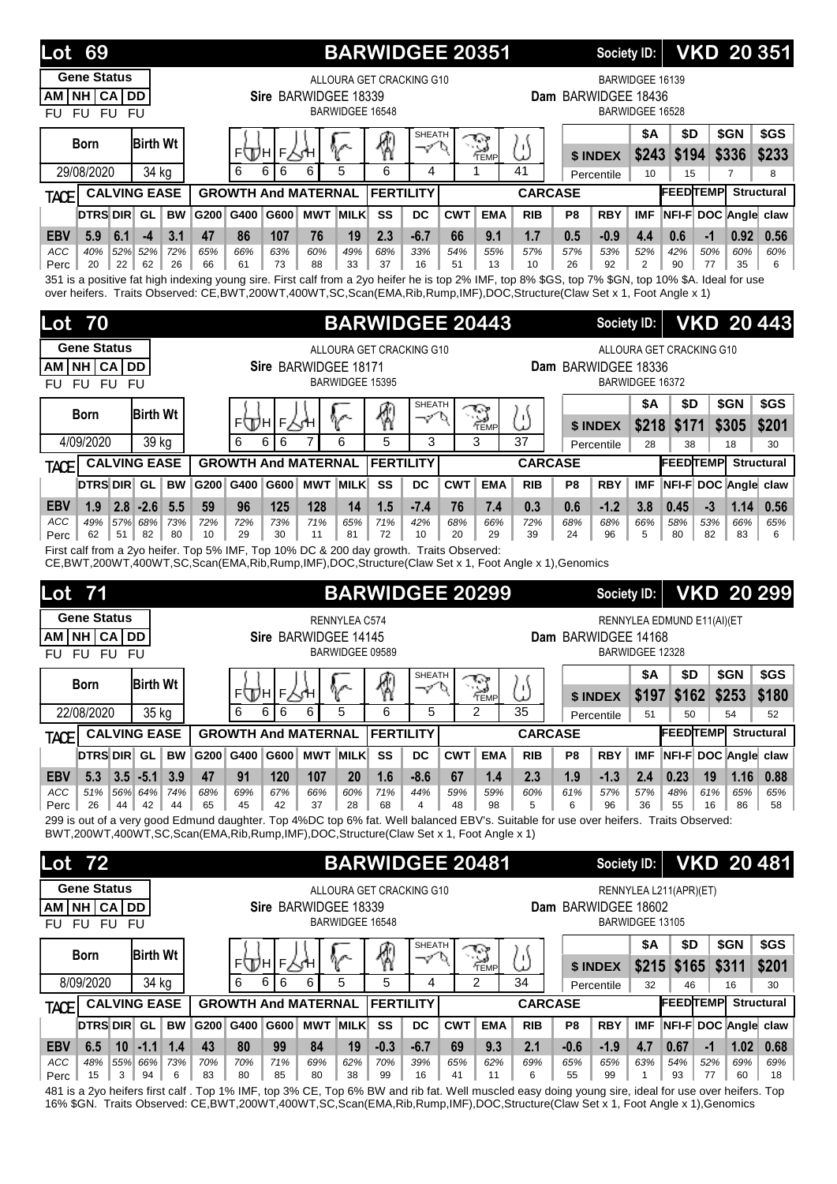| 69<br>Lot                                                                                                                                                                                                                                                                      |                                      |           |                            |                      |                 |             | <b>BARWIDGEE 20351</b>                      |               |            |                       |                      |                | Society ID:         |                                    |                            |                            | <b>VKD 20 351</b> |
|--------------------------------------------------------------------------------------------------------------------------------------------------------------------------------------------------------------------------------------------------------------------------------|--------------------------------------|-----------|----------------------------|----------------------|-----------------|-------------|---------------------------------------------|---------------|------------|-----------------------|----------------------|----------------|---------------------|------------------------------------|----------------------------|----------------------------|-------------------|
| <b>Gene Status</b><br>AM NH CA DD<br>FU FU FU<br>FU                                                                                                                                                                                                                            |                                      |           |                            | Sire BARWIDGEE 18339 |                 |             | ALLOURA GET CRACKING G10<br>BARWIDGEE 16548 |               |            |                       |                      |                | Dam BARWIDGEE 18436 | BARWIDGEE 16139<br>BARWIDGEE 16528 |                            |                            |                   |
| Born                                                                                                                                                                                                                                                                           | <b>Birth Wt</b>                      |           | F١<br>UL H                 | F                    |                 | V           | 賓                                           | SHEATH<br>Í   |            | چي کا<br>ୁ⊿)<br>′TEMP | 'Η<br>$\overline{1}$ |                | \$ INDEX            | <b>\$A</b>                         | \$D<br>\$243 \$194         | \$GN<br>\$336              | \$GS<br>\$233     |
| 29/08/2020                                                                                                                                                                                                                                                                     | 34 kg                                |           | 6<br>6                     | 6                    | 6               | 5           | 6                                           | 4             |            | 1                     | 41                   |                | Percentile          | 10                                 | 15                         | $\overline{7}$             | 8                 |
| <b>TACE</b>                                                                                                                                                                                                                                                                    | <b>CALVING EASE</b>                  |           | <b>GROWTH And MATERNAL</b> |                      |                 |             | <b>FERTILITY</b>                            |               |            |                       | <b>CARCASE</b>       |                |                     |                                    | <b>FEEDTEMP</b>            |                            | <b>Structural</b> |
| DTRS DIR GL                                                                                                                                                                                                                                                                    | <b>BW</b>                            | G200      | G400                       | G600                 | <b>MWT MILK</b> |             | SS                                          | DC            | <b>CWT</b> | <b>EMA</b>            | <b>RIB</b>           | P8             | <b>RBY</b>          | <b>IMF</b>                         | NFI-F DOC Angle claw       |                            |                   |
| 5.9<br><b>EBV</b><br>6.1<br>ACC<br>40%                                                                                                                                                                                                                                         | 3.1<br>$-4$<br>52% 52%<br>72%        | 47<br>65% | 86<br>66%                  | 107<br>63%           | 76<br>60%       | 19<br>49%   | 2.3<br>68%                                  | $-6.7$<br>33% | 66<br>54%  | 9.1<br>55%            | 1.7<br>57%           | 0.5<br>57%     | $-0.9$<br>53%       | 4.4<br>52%                         | 0.6<br>42%                 | $-1$<br>0.92<br>50%<br>60% | 0.56<br>60%       |
| 20<br>22<br>Perc                                                                                                                                                                                                                                                               | 62<br>26                             | 66        | 61                         | 73                   | 88              | 33          | 37                                          | 16            | 51         | 13                    | 10                   | 26             | 92                  | $\overline{2}$                     | 90                         | 77<br>35                   | 6                 |
| 351 is a positive fat high indexing young sire. First calf from a 2yo heifer he is top 2% IMF, top 8% \$GS, top 7% \$GN, top 10% \$A. Ideal for use<br>over heifers. Traits Observed: CE,BWT,200WT,400WT,SC,Scan(EMA,Rib,Rump,IMF),DOC,Structure(Claw Set x 1, Foot Angle x 1) |                                      |           |                            |                      |                 |             |                                             |               |            |                       |                      |                |                     |                                    |                            |                            |                   |
| 70<br>Lot                                                                                                                                                                                                                                                                      |                                      |           |                            |                      |                 |             | <b>BARWIDGEE 20443</b>                      |               |            |                       |                      |                | Society ID:         |                                    |                            |                            | <b>VKD 20443</b>  |
| <b>Gene Status</b>                                                                                                                                                                                                                                                             |                                      |           |                            |                      |                 |             | ALLOURA GET CRACKING G10                    |               |            |                       |                      |                |                     |                                    | ALLOURA GET CRACKING G10   |                            |                   |
| NH CA DD<br>AM                                                                                                                                                                                                                                                                 |                                      |           |                            | Sire BARWIDGEE 18171 |                 |             | <b>BARWIDGEE 15395</b>                      |               |            |                       |                      |                | Dam BARWIDGEE 18336 |                                    |                            |                            |                   |
| FU FU FU<br>FU                                                                                                                                                                                                                                                                 |                                      |           |                            |                      |                 |             |                                             |               |            |                       |                      |                |                     | BARWIDGEE 16372                    | \$D                        |                            | \$GS              |
| <b>Born</b>                                                                                                                                                                                                                                                                    | <b>Birth Wt</b>                      |           | F<br>WН                    | F                    |                 |             | 嘀                                           | SHEATH<br>マ   |            | <b>S</b><br>Temp      | υ١<br>Ł              |                | \$ INDEX            | \$Α                                | \$218 \$171                | \$GN<br>\$305              | \$201             |
| 4/09/2020                                                                                                                                                                                                                                                                      | 39 kg                                |           | 6<br>6                     | 6                    | 7               | 6           | 5                                           | 3             |            | 3                     | 37                   |                | Percentile          | 28                                 | 38                         | 18                         | 30                |
| <b>TACE</b>                                                                                                                                                                                                                                                                    | <b>CALVING EASE</b>                  |           | <b>GROWTH And MATERNAL</b> |                      |                 |             | <b>FERTILITY</b>                            |               |            |                       | <b>CARCASE</b>       |                |                     |                                    | <b>FEEDTEMP</b>            |                            | <b>Structural</b> |
| <b>DTRS DIR GL</b>                                                                                                                                                                                                                                                             | <b>BW</b>                            | G200      | G400                       | G600                 | <b>MWT</b>      | <b>MILK</b> | SS                                          | DC            | <b>CWT</b> | <b>EMA</b>            | <b>RIB</b>           | P8             | <b>RBY</b>          | <b>IMF</b>                         | NFI-F DOC Angle claw       |                            |                   |
| <b>EBV</b><br>1.9                                                                                                                                                                                                                                                              | $2.8 - 2.6$<br>5.5                   | 59        | 96                         | 125                  | 128             | 14          | 1.5                                         | $-7.4$        | 76         | 7.4                   | 0.3                  | 0.6            | $-1.2$              | 3.8                                | 0.45                       | 1.14<br>$-3$               | 0.56              |
| ACC<br>49%<br>51<br>62<br>Perc                                                                                                                                                                                                                                                 | 57% 68%<br>73%<br>82<br>80           | 72%<br>10 | 72%<br>29                  | 73%<br>30            | 71%<br>11       | 65%<br>81   | 71%<br>72                                   | 42%<br>10     | 68%<br>20  | 66%<br>29             | 72%<br>39            | 68%<br>24      | 68%<br>96           | 66%<br>5                           | 58%<br>80                  | 53%<br>66%<br>82<br>83     | 65%<br>6          |
| First calf from a 2yo heifer. Top 5% IMF, Top 10% DC & 200 day growth. Traits Observed:                                                                                                                                                                                        |                                      |           |                            |                      |                 |             |                                             |               |            |                       |                      |                |                     |                                    |                            |                            |                   |
| CE, BWT, 200WT, 400WT, SC, Scan(EMA, Rib, Rump, IMF), DOC, Structure (Claw Set x 1, Foot Angle x 1), Genomics                                                                                                                                                                  |                                      |           |                            |                      |                 |             |                                             |               |            |                       |                      |                |                     |                                    |                            |                            |                   |
| <b>Lot 71</b>                                                                                                                                                                                                                                                                  |                                      |           |                            |                      |                 |             | <b>BARWIDGEE 20299</b>                      |               |            |                       |                      |                | Society ID:         |                                    |                            |                            | <b>VKD 20 299</b> |
| <b>Gene Status</b>                                                                                                                                                                                                                                                             |                                      |           |                            |                      | RENNYLEA C574   |             |                                             |               |            |                       |                      |                |                     |                                    | RENNYLEA EDMUND E11(AI)(ET |                            |                   |
| CA<br><b>NHI</b><br><b>AM</b><br>FU FU FU<br>FU                                                                                                                                                                                                                                | <b>DD</b>                            |           |                            | Sire BARWIDGEE 14145 |                 |             | BARWIDGEE 09589                             |               |            |                       |                      |                | Dam BARWIDGEE 14168 | BARWIDGEE 12328                    |                            |                            |                   |
|                                                                                                                                                                                                                                                                                |                                      |           |                            |                      |                 |             |                                             | <b>SHEATH</b> |            |                       |                      |                |                     | \$Α                                | \$D                        | \$GN                       | \$GS              |
| <b>Born</b>                                                                                                                                                                                                                                                                    | <b>Birth Wt</b>                      |           | ⊧∕Дн                       | F人∕H                 |                 | V           | 圈                                           | $\varphi'$    | O          | $\sum_{\text{Temp}}$  | /۱<br>ىد             |                | \$ INDEX            | \$197                              | \$162                      | \$253                      | \$180             |
| 22/08/2020                                                                                                                                                                                                                                                                     | 35 kg                                |           | 6<br>6                     | 6                    | 6               | 5           | 6                                           | 5             |            | $\overline{2}$        | 35                   |                | Percentile          | 51                                 | 50                         | 54                         | 52                |
| <b>TACE</b>                                                                                                                                                                                                                                                                    | <b>CALVING EASE</b>                  |           | <b>GROWTH And MATERNAL</b> |                      |                 |             | <b>FERTILITY</b>                            |               |            |                       | <b>CARCASE</b>       |                |                     |                                    | <b>FEEDTEMP</b>            |                            | <b>Structural</b> |
| DTRS DIR GL                                                                                                                                                                                                                                                                    | <b>BW</b>                            | G200 G400 |                            | G600                 | <b>MWT MILK</b> |             | SS                                          | <b>DC</b>     | <b>CWT</b> | <b>EMA</b>            | <b>RIB</b>           | P <sub>8</sub> | <b>RBY</b>          | <b>IMF</b>                         | NFI-F DOC Angle claw       |                            |                   |
| 5.3<br><b>EBV</b><br>ACC<br>51%                                                                                                                                                                                                                                                | $3.5 - 5.1$<br>3.9<br>56% 64%<br>74% | 47<br>68% | 91<br>69%                  | 120<br>67%           | 107<br>66%      | 20<br>60%   | 1.6<br>71%                                  | $-8.6$<br>44% | 67<br>59%  | 1.4<br>59%            | 2.3<br>60%           | 1.9<br>61%     | $-1.3$<br>57%       | 2.4<br>57%                         | 0.23<br>48%                | 19<br>1.16<br>61%<br>65%   | 0.88<br>65%       |
| 26<br>44<br>Perc                                                                                                                                                                                                                                                               | 42<br>44                             | 65        | 45                         | 42                   | 37              | 28          | 68                                          | 4             | 48         | 98                    | 5                    | 6              | 96                  | 36                                 | 55                         | 16<br>86                   | 58                |
| 299 is out of a very good Edmund daughter. Top 4%DC top 6% fat. Well balanced EBV's. Suitable for use over heifers. Traits Observed:<br>BWT,200WT,400WT,SC,Scan(EMA,Rib,Rump,IMF),DOC,Structure(Claw Set x 1, Foot Angle x 1)                                                  |                                      |           |                            |                      |                 |             |                                             |               |            |                       |                      |                |                     |                                    |                            |                            |                   |
|                                                                                                                                                                                                                                                                                |                                      |           |                            |                      |                 |             |                                             |               |            |                       |                      |                |                     |                                    |                            |                            | <b>VKD 20481</b>  |
| 72<br>Lot                                                                                                                                                                                                                                                                      |                                      |           |                            |                      |                 |             | <b>BARWIDGEE 20481</b>                      |               |            |                       |                      |                | <b>Society ID:</b>  |                                    |                            |                            |                   |
| <b>Gene Status</b><br>AM NH CA DD                                                                                                                                                                                                                                              |                                      |           |                            | Sire BARWIDGEE 18339 |                 |             | ALLOURA GET CRACKING G10                    |               |            |                       |                      |                | Dam BARWIDGEE 18602 |                                    | RENNYLEA L211(APR)(ET)     |                            |                   |
| FU FU FU<br>FU.                                                                                                                                                                                                                                                                |                                      |           |                            |                      |                 |             | BARWIDGEE 16548                             |               |            |                       |                      |                |                     | BARWIDGEE 13105                    |                            |                            |                   |
|                                                                                                                                                                                                                                                                                |                                      |           |                            |                      |                 |             |                                             | <b>SHEATH</b> |            |                       |                      |                |                     | \$Α                                | \$D                        | \$GN                       | \$GS              |
| <b>Born</b>                                                                                                                                                                                                                                                                    | <b>Birth Wt</b>                      |           | F<br>JDН                   | F<br>∧ਾਮ             |                 |             | 9                                           | マ             |            | ্র<br>TEMP            | /۰۱<br>ىد            |                | \$ INDEX            |                                    | $$215$ \$165               | \$311                      | \$201             |
| 8/09/2020                                                                                                                                                                                                                                                                      | 34 kg                                |           | 6<br>6                     | 6                    | 6               | 5           | 5                                           | 4             |            | $\overline{2}$        | 34                   |                | Percentile          | 32                                 | 46                         | 16                         | 30                |
| <b>TACE</b>                                                                                                                                                                                                                                                                    | <b>CALVING EASE</b>                  |           | <b>GROWTH And MATERNAL</b> |                      |                 |             | <b>FERTILITY</b>                            |               |            |                       | <b>CARCASE</b>       |                |                     |                                    | <b>FEEDTEMP</b> Structural |                            |                   |
| <b>DTRS DIR GL</b>                                                                                                                                                                                                                                                             | <b>BW</b>                            | G200 G400 |                            | G600                 | <b>MWT MILK</b> |             | SS                                          | <b>DC</b>     | <b>CWT</b> | <b>EMA</b>            | <b>RIB</b>           | P <sub>8</sub> | <b>RBY</b>          | <b>IMF</b>                         | NFI-F DOC Angle claw       |                            |                   |
| <b>EBV</b><br>6.5<br>ACC<br>48%                                                                                                                                                                                                                                                | $10$ -1.1<br>1.4<br>55% 66%<br>73%   | 43<br>70% | 80<br>70%                  | 99<br>71%            | 84<br>69%       | 19<br>62%   | $-0.3$<br>70%                               | $-6.7$<br>39% | 69<br>65%  | 9.3<br>62%            | 2.1<br>69%           | $-0.6$<br>65%  | $-1.9$<br>65%       | 4.7<br>63%                         | 0.67<br>54%                | $-1$<br>1.02<br>52%<br>69% | 0.68<br>69%       |
| 15<br>3<br>Perc                                                                                                                                                                                                                                                                | 94<br>6                              | 83        | 80                         | 85                   | 80              | 38          | 99                                          | 16            | 41         | 11                    | 6                    | 55             | 99                  | $\mathbf{1}$                       | 93                         | 77<br>60                   | 18                |

481 is a 2yo heifers first calf . Top 1% IMF, top 3% CE, Top 6% BW and rib fat. Well muscled easy doing young sire, ideal for use over heifers. Top 16% \$GN. Traits Observed: CE,BWT,200WT,400WT,SC,Scan(EMA,Rib,Rump,IMF),DOC,Structure(Claw Set x 1, Foot Angle x 1),Genomics